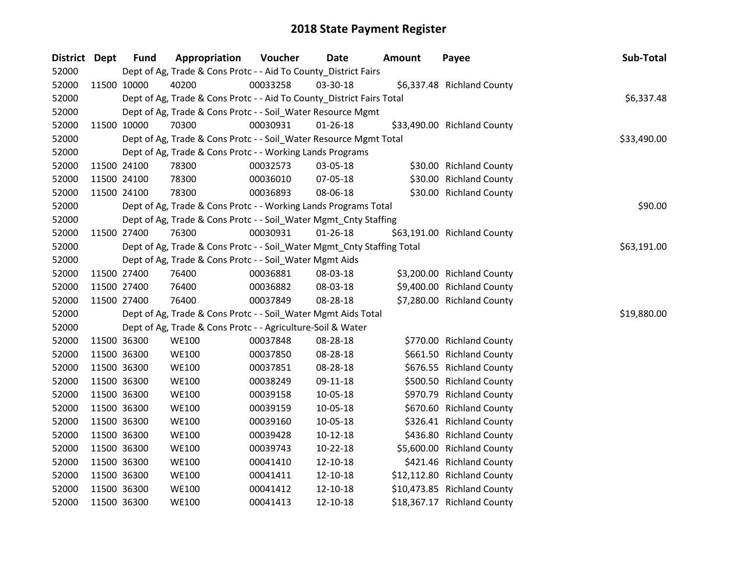| District Dept | <b>Fund</b> | Appropriation                                                          | Voucher  | <b>Date</b>    | Amount | Payee                       | Sub-Total   |
|---------------|-------------|------------------------------------------------------------------------|----------|----------------|--------|-----------------------------|-------------|
| 52000         |             | Dept of Ag, Trade & Cons Protc - - Aid To County_District Fairs        |          |                |        |                             |             |
| 52000         | 11500 10000 | 40200                                                                  | 00033258 | 03-30-18       |        | \$6,337.48 Richland County  |             |
| 52000         |             | Dept of Ag, Trade & Cons Protc - - Aid To County_District Fairs Total  |          |                |        |                             | \$6,337.48  |
| 52000         |             | Dept of Ag, Trade & Cons Protc - - Soil_Water Resource Mgmt            |          |                |        |                             |             |
| 52000         | 11500 10000 | 70300                                                                  | 00030931 | $01 - 26 - 18$ |        | \$33,490.00 Richland County |             |
| 52000         |             | Dept of Ag, Trade & Cons Protc - - Soil_Water Resource Mgmt Total      |          |                |        |                             | \$33,490.00 |
| 52000         |             | Dept of Ag, Trade & Cons Protc - - Working Lands Programs              |          |                |        |                             |             |
| 52000         | 11500 24100 | 78300                                                                  | 00032573 | 03-05-18       |        | \$30.00 Richland County     |             |
| 52000         | 11500 24100 | 78300                                                                  | 00036010 | 07-05-18       |        | \$30.00 Richland County     |             |
| 52000         | 11500 24100 | 78300                                                                  | 00036893 | 08-06-18       |        | \$30.00 Richland County     |             |
| 52000         |             | Dept of Ag, Trade & Cons Protc - - Working Lands Programs Total        |          |                |        |                             | \$90.00     |
| 52000         |             | Dept of Ag, Trade & Cons Protc - - Soil_Water Mgmt_Cnty Staffing       |          |                |        |                             |             |
| 52000         | 11500 27400 | 76300                                                                  | 00030931 | $01 - 26 - 18$ |        | \$63,191.00 Richland County |             |
| 52000         |             | Dept of Ag, Trade & Cons Protc - - Soil_Water Mgmt_Cnty Staffing Total |          |                |        |                             | \$63,191.00 |
| 52000         |             | Dept of Ag, Trade & Cons Protc - - Soil_Water Mgmt Aids                |          |                |        |                             |             |
| 52000         | 11500 27400 | 76400                                                                  | 00036881 | 08-03-18       |        | \$3,200.00 Richland County  |             |
| 52000         | 11500 27400 | 76400                                                                  | 00036882 | 08-03-18       |        | \$9,400.00 Richland County  |             |
| 52000         | 11500 27400 | 76400                                                                  | 00037849 | 08-28-18       |        | \$7,280.00 Richland County  |             |
| 52000         |             | Dept of Ag, Trade & Cons Protc - - Soil_Water Mgmt Aids Total          |          |                |        |                             | \$19,880.00 |
| 52000         |             | Dept of Ag, Trade & Cons Protc - - Agriculture-Soil & Water            |          |                |        |                             |             |
| 52000         | 11500 36300 | <b>WE100</b>                                                           | 00037848 | 08-28-18       |        | \$770.00 Richland County    |             |
| 52000         | 11500 36300 | <b>WE100</b>                                                           | 00037850 | 08-28-18       |        | \$661.50 Richland County    |             |
| 52000         | 11500 36300 | <b>WE100</b>                                                           | 00037851 | 08-28-18       |        | \$676.55 Richland County    |             |
| 52000         | 11500 36300 | <b>WE100</b>                                                           | 00038249 | 09-11-18       |        | \$500.50 Richland County    |             |
| 52000         | 11500 36300 | <b>WE100</b>                                                           | 00039158 | 10-05-18       |        | \$970.79 Richland County    |             |
| 52000         | 11500 36300 | <b>WE100</b>                                                           | 00039159 | 10-05-18       |        | \$670.60 Richland County    |             |
| 52000         | 11500 36300 | <b>WE100</b>                                                           | 00039160 | 10-05-18       |        | \$326.41 Richland County    |             |
| 52000         | 11500 36300 | <b>WE100</b>                                                           | 00039428 | $10-12-18$     |        | \$436.80 Richland County    |             |
| 52000         | 11500 36300 | <b>WE100</b>                                                           | 00039743 | 10-22-18       |        | \$5,600.00 Richland County  |             |
| 52000         | 11500 36300 | <b>WE100</b>                                                           | 00041410 | 12-10-18       |        | \$421.46 Richland County    |             |
| 52000         | 11500 36300 | <b>WE100</b>                                                           | 00041411 | 12-10-18       |        | \$12,112.80 Richland County |             |
| 52000         | 11500 36300 | <b>WE100</b>                                                           | 00041412 | 12-10-18       |        | \$10,473.85 Richland County |             |
| 52000         | 11500 36300 | <b>WE100</b>                                                           | 00041413 | 12-10-18       |        | \$18,367.17 Richland County |             |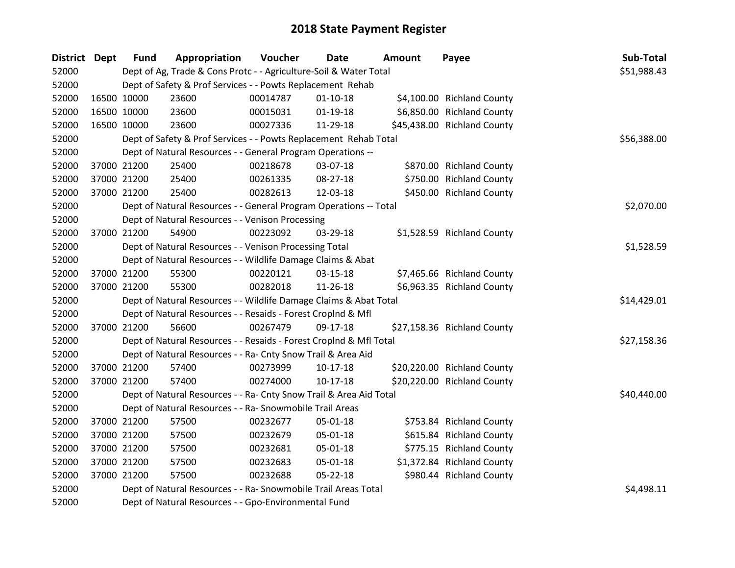| District Dept |             | <b>Fund</b> | Appropriation                                                      | Voucher     | <b>Date</b>    | <b>Amount</b> | Payee                       | Sub-Total   |
|---------------|-------------|-------------|--------------------------------------------------------------------|-------------|----------------|---------------|-----------------------------|-------------|
| 52000         |             |             | Dept of Ag, Trade & Cons Protc - - Agriculture-Soil & Water Total  |             |                |               |                             | \$51,988.43 |
| 52000         |             |             | Dept of Safety & Prof Services - - Powts Replacement Rehab         |             |                |               |                             |             |
| 52000         | 16500 10000 |             | 23600                                                              | 00014787    | $01 - 10 - 18$ |               | \$4,100.00 Richland County  |             |
| 52000         |             | 16500 10000 | 23600                                                              | 00015031    | $01-19-18$     |               | \$6,850.00 Richland County  |             |
| 52000         | 16500 10000 |             | 23600                                                              | 00027336    | 11-29-18       |               | \$45,438.00 Richland County |             |
| 52000         |             |             | Dept of Safety & Prof Services - - Powts Replacement Rehab Total   | \$56,388.00 |                |               |                             |             |
| 52000         |             |             | Dept of Natural Resources - - General Program Operations --        |             |                |               |                             |             |
| 52000         |             | 37000 21200 | 25400                                                              | 00218678    | 03-07-18       |               | \$870.00 Richland County    |             |
| 52000         |             | 37000 21200 | 25400                                                              | 00261335    | 08-27-18       |               | \$750.00 Richland County    |             |
| 52000         |             | 37000 21200 | 25400                                                              | 00282613    | 12-03-18       |               | \$450.00 Richland County    |             |
| 52000         |             |             | Dept of Natural Resources - - General Program Operations -- Total  |             |                |               |                             | \$2,070.00  |
| 52000         |             |             | Dept of Natural Resources - - Venison Processing                   |             |                |               |                             |             |
| 52000         |             | 37000 21200 | 54900                                                              | 00223092    | 03-29-18       |               | \$1,528.59 Richland County  |             |
| 52000         |             |             | Dept of Natural Resources - - Venison Processing Total             |             |                |               |                             | \$1,528.59  |
| 52000         |             |             | Dept of Natural Resources - - Wildlife Damage Claims & Abat        |             |                |               |                             |             |
| 52000         | 37000 21200 |             | 55300                                                              | 00220121    | 03-15-18       |               | \$7,465.66 Richland County  |             |
| 52000         |             | 37000 21200 | 55300                                                              | 00282018    | 11-26-18       |               | \$6,963.35 Richland County  |             |
| 52000         |             |             | Dept of Natural Resources - - Wildlife Damage Claims & Abat Total  |             |                |               |                             | \$14,429.01 |
| 52000         |             |             | Dept of Natural Resources - - Resaids - Forest Croplnd & Mfl       |             |                |               |                             |             |
| 52000         |             | 37000 21200 | 56600                                                              | 00267479    | 09-17-18       |               | \$27,158.36 Richland County |             |
| 52000         |             |             | Dept of Natural Resources - - Resaids - Forest Croplnd & Mfl Total |             |                |               |                             | \$27,158.36 |
| 52000         |             |             | Dept of Natural Resources - - Ra- Cnty Snow Trail & Area Aid       |             |                |               |                             |             |
| 52000         |             | 37000 21200 | 57400                                                              | 00273999    | $10-17-18$     |               | \$20,220.00 Richland County |             |
| 52000         |             | 37000 21200 | 57400                                                              | 00274000    | $10-17-18$     |               | \$20,220.00 Richland County |             |
| 52000         |             |             | Dept of Natural Resources - - Ra- Cnty Snow Trail & Area Aid Total |             |                |               |                             | \$40,440.00 |
| 52000         |             |             | Dept of Natural Resources - - Ra- Snowmobile Trail Areas           |             |                |               |                             |             |
| 52000         |             | 37000 21200 | 57500                                                              | 00232677    | 05-01-18       |               | \$753.84 Richland County    |             |
| 52000         |             | 37000 21200 | 57500                                                              | 00232679    | 05-01-18       |               | \$615.84 Richland County    |             |
| 52000         |             | 37000 21200 | 57500                                                              | 00232681    | 05-01-18       |               | \$775.15 Richland County    |             |
| 52000         | 37000 21200 |             | 57500                                                              | 00232683    | 05-01-18       |               | \$1,372.84 Richland County  |             |
| 52000         |             | 37000 21200 | 57500                                                              | 00232688    | $05 - 22 - 18$ |               | \$980.44 Richland County    |             |
| 52000         |             |             | Dept of Natural Resources - - Ra- Snowmobile Trail Areas Total     |             |                |               |                             | \$4,498.11  |
| 52000         |             |             | Dept of Natural Resources - - Gpo-Environmental Fund               |             |                |               |                             |             |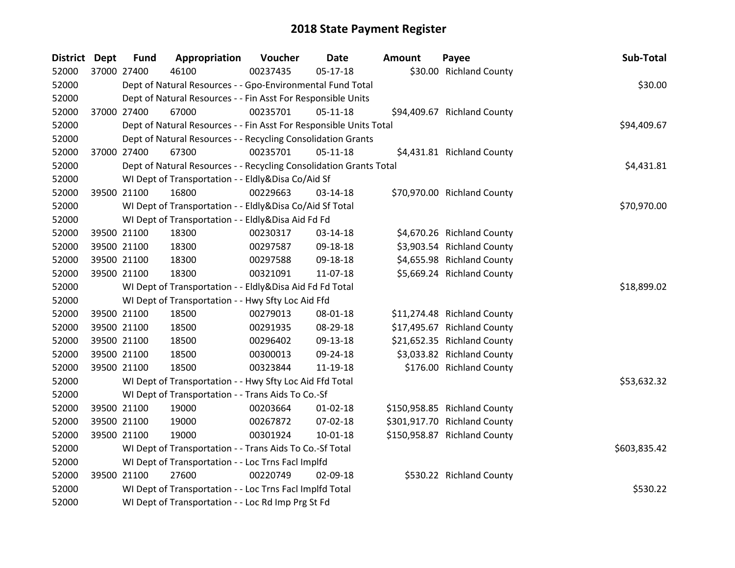| District Dept | <b>Fund</b> | Appropriation                                                      | Voucher  | <b>Date</b>    | <b>Amount</b> | Payee                        | Sub-Total    |
|---------------|-------------|--------------------------------------------------------------------|----------|----------------|---------------|------------------------------|--------------|
| 52000         | 37000 27400 | 46100                                                              | 00237435 | $05 - 17 - 18$ |               | \$30.00 Richland County      |              |
| 52000         |             | Dept of Natural Resources - - Gpo-Environmental Fund Total         |          |                |               |                              | \$30.00      |
| 52000         |             | Dept of Natural Resources - - Fin Asst For Responsible Units       |          |                |               |                              |              |
| 52000         | 37000 27400 | 67000                                                              | 00235701 | $05-11-18$     |               | \$94,409.67 Richland County  |              |
| 52000         |             | Dept of Natural Resources - - Fin Asst For Responsible Units Total |          |                |               |                              | \$94,409.67  |
| 52000         |             | Dept of Natural Resources - - Recycling Consolidation Grants       |          |                |               |                              |              |
| 52000         | 37000 27400 | 67300                                                              | 00235701 | $05 - 11 - 18$ |               | \$4,431.81 Richland County   |              |
| 52000         |             | Dept of Natural Resources - - Recycling Consolidation Grants Total |          |                |               |                              | \$4,431.81   |
| 52000         |             | WI Dept of Transportation - - Eldly&Disa Co/Aid Sf                 |          |                |               |                              |              |
| 52000         | 39500 21100 | 16800                                                              | 00229663 | $03 - 14 - 18$ |               | \$70,970.00 Richland County  |              |
| 52000         |             | WI Dept of Transportation - - Eldly&Disa Co/Aid Sf Total           |          |                |               |                              | \$70,970.00  |
| 52000         |             | WI Dept of Transportation - - Eldly&Disa Aid Fd Fd                 |          |                |               |                              |              |
| 52000         | 39500 21100 | 18300                                                              | 00230317 | 03-14-18       |               | \$4,670.26 Richland County   |              |
| 52000         | 39500 21100 | 18300                                                              | 00297587 | 09-18-18       |               | \$3,903.54 Richland County   |              |
| 52000         | 39500 21100 | 18300                                                              | 00297588 | 09-18-18       |               | \$4,655.98 Richland County   |              |
| 52000         | 39500 21100 | 18300                                                              | 00321091 | 11-07-18       |               | \$5,669.24 Richland County   |              |
| 52000         |             | WI Dept of Transportation - - Eldly&Disa Aid Fd Fd Total           |          |                |               |                              | \$18,899.02  |
| 52000         |             | WI Dept of Transportation - - Hwy Sfty Loc Aid Ffd                 |          |                |               |                              |              |
| 52000         | 39500 21100 | 18500                                                              | 00279013 | 08-01-18       |               | \$11,274.48 Richland County  |              |
| 52000         | 39500 21100 | 18500                                                              | 00291935 | 08-29-18       |               | \$17,495.67 Richland County  |              |
| 52000         | 39500 21100 | 18500                                                              | 00296402 | 09-13-18       |               | \$21,652.35 Richland County  |              |
| 52000         | 39500 21100 | 18500                                                              | 00300013 | 09-24-18       |               | \$3,033.82 Richland County   |              |
| 52000         | 39500 21100 | 18500                                                              | 00323844 | 11-19-18       |               | \$176.00 Richland County     |              |
| 52000         |             | WI Dept of Transportation - - Hwy Sfty Loc Aid Ffd Total           |          |                |               |                              | \$53,632.32  |
| 52000         |             | WI Dept of Transportation - - Trans Aids To Co.-Sf                 |          |                |               |                              |              |
| 52000         | 39500 21100 | 19000                                                              | 00203664 | $01 - 02 - 18$ |               | \$150,958.85 Richland County |              |
| 52000         | 39500 21100 | 19000                                                              | 00267872 | 07-02-18       |               | \$301,917.70 Richland County |              |
| 52000         | 39500 21100 | 19000                                                              | 00301924 | 10-01-18       |               | \$150,958.87 Richland County |              |
| 52000         |             | WI Dept of Transportation - - Trans Aids To Co.-Sf Total           |          |                |               |                              | \$603,835.42 |
| 52000         |             | WI Dept of Transportation - - Loc Trns Facl Implfd                 |          |                |               |                              |              |
| 52000         | 39500 21100 | 27600                                                              | 00220749 | 02-09-18       |               | \$530.22 Richland County     |              |
| 52000         |             | WI Dept of Transportation - - Loc Trns Facl Implfd Total           |          |                |               |                              | \$530.22     |
| 52000         |             | WI Dept of Transportation - - Loc Rd Imp Prg St Fd                 |          |                |               |                              |              |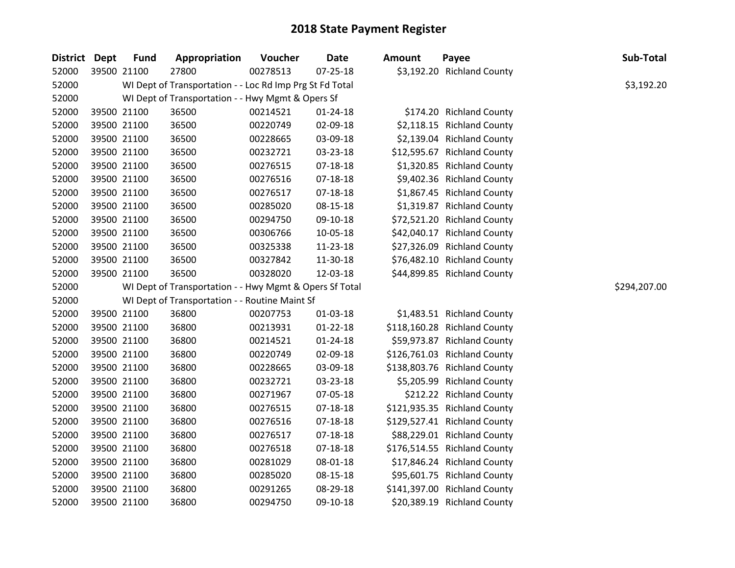| District Dept | <b>Fund</b> | Appropriation                                            | Voucher  | <b>Date</b>    | <b>Amount</b> | Payee                        | Sub-Total    |
|---------------|-------------|----------------------------------------------------------|----------|----------------|---------------|------------------------------|--------------|
| 52000         | 39500 21100 | 27800                                                    | 00278513 | $07 - 25 - 18$ |               | \$3,192.20 Richland County   |              |
| 52000         |             | WI Dept of Transportation - - Loc Rd Imp Prg St Fd Total |          |                |               |                              | \$3,192.20   |
| 52000         |             | WI Dept of Transportation - - Hwy Mgmt & Opers Sf        |          |                |               |                              |              |
| 52000         | 39500 21100 | 36500                                                    | 00214521 | $01 - 24 - 18$ |               | \$174.20 Richland County     |              |
| 52000         | 39500 21100 | 36500                                                    | 00220749 | 02-09-18       |               | \$2,118.15 Richland County   |              |
| 52000         | 39500 21100 | 36500                                                    | 00228665 | 03-09-18       |               | \$2,139.04 Richland County   |              |
| 52000         | 39500 21100 | 36500                                                    | 00232721 | 03-23-18       |               | \$12,595.67 Richland County  |              |
| 52000         | 39500 21100 | 36500                                                    | 00276515 | $07 - 18 - 18$ |               | \$1,320.85 Richland County   |              |
| 52000         | 39500 21100 | 36500                                                    | 00276516 | 07-18-18       |               | \$9,402.36 Richland County   |              |
| 52000         | 39500 21100 | 36500                                                    | 00276517 | $07 - 18 - 18$ |               | \$1,867.45 Richland County   |              |
| 52000         | 39500 21100 | 36500                                                    | 00285020 | 08-15-18       |               | \$1,319.87 Richland County   |              |
| 52000         | 39500 21100 | 36500                                                    | 00294750 | 09-10-18       |               | \$72,521.20 Richland County  |              |
| 52000         | 39500 21100 | 36500                                                    | 00306766 | 10-05-18       |               | \$42,040.17 Richland County  |              |
| 52000         | 39500 21100 | 36500                                                    | 00325338 | 11-23-18       |               | \$27,326.09 Richland County  |              |
| 52000         | 39500 21100 | 36500                                                    | 00327842 | 11-30-18       |               | \$76,482.10 Richland County  |              |
| 52000         | 39500 21100 | 36500                                                    | 00328020 | 12-03-18       |               | \$44,899.85 Richland County  |              |
| 52000         |             | WI Dept of Transportation - - Hwy Mgmt & Opers Sf Total  |          |                |               |                              | \$294,207.00 |
| 52000         |             | WI Dept of Transportation - - Routine Maint Sf           |          |                |               |                              |              |
| 52000         | 39500 21100 | 36800                                                    | 00207753 | 01-03-18       |               | \$1,483.51 Richland County   |              |
| 52000         | 39500 21100 | 36800                                                    | 00213931 | $01 - 22 - 18$ |               | \$118,160.28 Richland County |              |
| 52000         | 39500 21100 | 36800                                                    | 00214521 | $01 - 24 - 18$ |               | \$59,973.87 Richland County  |              |
| 52000         | 39500 21100 | 36800                                                    | 00220749 | 02-09-18       |               | \$126,761.03 Richland County |              |
| 52000         | 39500 21100 | 36800                                                    | 00228665 | 03-09-18       |               | \$138,803.76 Richland County |              |
| 52000         | 39500 21100 | 36800                                                    | 00232721 | 03-23-18       |               | \$5,205.99 Richland County   |              |
| 52000         | 39500 21100 | 36800                                                    | 00271967 | 07-05-18       |               | \$212.22 Richland County     |              |
| 52000         | 39500 21100 | 36800                                                    | 00276515 | 07-18-18       |               | \$121,935.35 Richland County |              |
| 52000         | 39500 21100 | 36800                                                    | 00276516 | 07-18-18       |               | \$129,527.41 Richland County |              |
| 52000         | 39500 21100 | 36800                                                    | 00276517 | 07-18-18       |               | \$88,229.01 Richland County  |              |
| 52000         | 39500 21100 | 36800                                                    | 00276518 | 07-18-18       |               | \$176,514.55 Richland County |              |
| 52000         | 39500 21100 | 36800                                                    | 00281029 | 08-01-18       |               | \$17,846.24 Richland County  |              |
| 52000         | 39500 21100 | 36800                                                    | 00285020 | 08-15-18       |               | \$95,601.75 Richland County  |              |
| 52000         | 39500 21100 | 36800                                                    | 00291265 | 08-29-18       |               | \$141,397.00 Richland County |              |
| 52000         | 39500 21100 | 36800                                                    | 00294750 | 09-10-18       |               | \$20,389.19 Richland County  |              |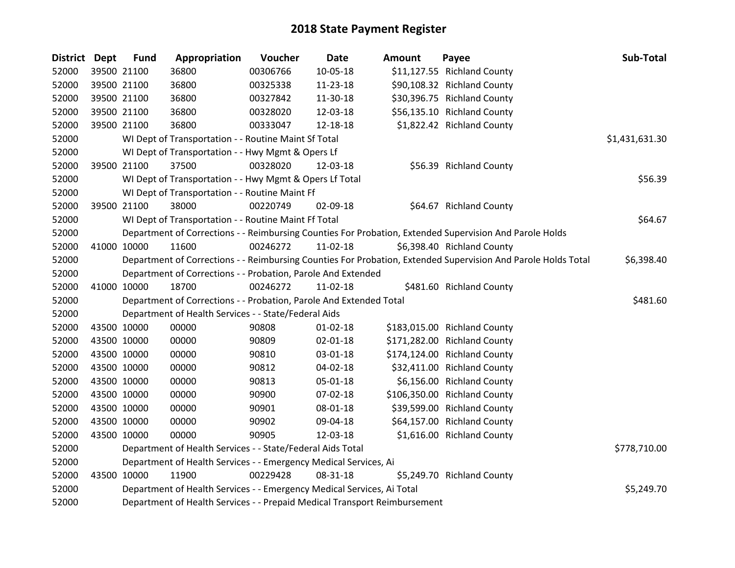| District Dept |             | <b>Fund</b> | Appropriation                                                                                                 | Voucher  | <b>Date</b>    | <b>Amount</b> | Payee                                                                                                   | Sub-Total      |  |  |  |
|---------------|-------------|-------------|---------------------------------------------------------------------------------------------------------------|----------|----------------|---------------|---------------------------------------------------------------------------------------------------------|----------------|--|--|--|
| 52000         |             | 39500 21100 | 36800                                                                                                         | 00306766 | 10-05-18       |               | \$11,127.55 Richland County                                                                             |                |  |  |  |
| 52000         |             | 39500 21100 | 36800                                                                                                         | 00325338 | 11-23-18       |               | \$90,108.32 Richland County                                                                             |                |  |  |  |
| 52000         | 39500 21100 |             | 36800                                                                                                         | 00327842 | 11-30-18       |               | \$30,396.75 Richland County                                                                             |                |  |  |  |
| 52000         |             | 39500 21100 | 36800                                                                                                         | 00328020 | 12-03-18       |               | \$56,135.10 Richland County                                                                             |                |  |  |  |
| 52000         |             | 39500 21100 | 36800                                                                                                         | 00333047 | 12-18-18       |               | \$1,822.42 Richland County                                                                              |                |  |  |  |
| 52000         |             |             | WI Dept of Transportation - - Routine Maint Sf Total                                                          |          |                |               |                                                                                                         | \$1,431,631.30 |  |  |  |
| 52000         |             |             | WI Dept of Transportation - - Hwy Mgmt & Opers Lf                                                             |          |                |               |                                                                                                         |                |  |  |  |
| 52000         |             | 39500 21100 | 37500                                                                                                         | 00328020 | 12-03-18       |               | \$56.39 Richland County                                                                                 |                |  |  |  |
| 52000         |             |             | WI Dept of Transportation - - Hwy Mgmt & Opers Lf Total                                                       |          |                |               |                                                                                                         | \$56.39        |  |  |  |
| 52000         |             |             | WI Dept of Transportation - - Routine Maint Ff                                                                |          |                |               |                                                                                                         |                |  |  |  |
| 52000         |             | 39500 21100 | 38000                                                                                                         | 00220749 | 02-09-18       |               | \$64.67 Richland County                                                                                 |                |  |  |  |
| 52000         |             |             | WI Dept of Transportation - - Routine Maint Ff Total                                                          |          |                |               |                                                                                                         | \$64.67        |  |  |  |
| 52000         |             |             |                                                                                                               |          |                |               | Department of Corrections - - Reimbursing Counties For Probation, Extended Supervision And Parole Holds |                |  |  |  |
| 52000         | 41000 10000 |             | 11600                                                                                                         | 00246272 | 11-02-18       |               | \$6,398.40 Richland County                                                                              |                |  |  |  |
| 52000         |             |             | Department of Corrections - - Reimbursing Counties For Probation, Extended Supervision And Parole Holds Total |          |                |               |                                                                                                         |                |  |  |  |
| 52000         |             |             | Department of Corrections - - Probation, Parole And Extended                                                  |          |                |               |                                                                                                         |                |  |  |  |
| 52000         | 41000 10000 |             | 18700                                                                                                         | 00246272 | 11-02-18       |               | \$481.60 Richland County                                                                                |                |  |  |  |
| 52000         |             |             | Department of Corrections - - Probation, Parole And Extended Total                                            |          |                |               |                                                                                                         | \$481.60       |  |  |  |
| 52000         |             |             | Department of Health Services - - State/Federal Aids                                                          |          |                |               |                                                                                                         |                |  |  |  |
| 52000         | 43500 10000 |             | 00000                                                                                                         | 90808    | $01 - 02 - 18$ |               | \$183,015.00 Richland County                                                                            |                |  |  |  |
| 52000         | 43500 10000 |             | 00000                                                                                                         | 90809    | 02-01-18       |               | \$171,282.00 Richland County                                                                            |                |  |  |  |
| 52000         | 43500 10000 |             | 00000                                                                                                         | 90810    | 03-01-18       |               | \$174,124.00 Richland County                                                                            |                |  |  |  |
| 52000         | 43500 10000 |             | 00000                                                                                                         | 90812    | 04-02-18       |               | \$32,411.00 Richland County                                                                             |                |  |  |  |
| 52000         | 43500 10000 |             | 00000                                                                                                         | 90813    | 05-01-18       |               | \$6,156.00 Richland County                                                                              |                |  |  |  |
| 52000         | 43500 10000 |             | 00000                                                                                                         | 90900    | 07-02-18       |               | \$106,350.00 Richland County                                                                            |                |  |  |  |
| 52000         |             | 43500 10000 | 00000                                                                                                         | 90901    | 08-01-18       |               | \$39,599.00 Richland County                                                                             |                |  |  |  |
| 52000         | 43500 10000 |             | 00000                                                                                                         | 90902    | 09-04-18       |               | \$64,157.00 Richland County                                                                             |                |  |  |  |
| 52000         | 43500 10000 |             | 00000                                                                                                         | 90905    | 12-03-18       |               | \$1,616.00 Richland County                                                                              |                |  |  |  |
| 52000         |             |             | Department of Health Services - - State/Federal Aids Total                                                    |          |                |               |                                                                                                         | \$778,710.00   |  |  |  |
| 52000         |             |             | Department of Health Services - - Emergency Medical Services, Ai                                              |          |                |               |                                                                                                         |                |  |  |  |
| 52000         | 43500 10000 |             | 11900                                                                                                         | 00229428 | 08-31-18       |               | \$5,249.70 Richland County                                                                              |                |  |  |  |
| 52000         |             |             | Department of Health Services - - Emergency Medical Services, Ai Total                                        |          |                |               |                                                                                                         | \$5,249.70     |  |  |  |
| 52000         |             |             | Department of Health Services - - Prepaid Medical Transport Reimbursement                                     |          |                |               |                                                                                                         |                |  |  |  |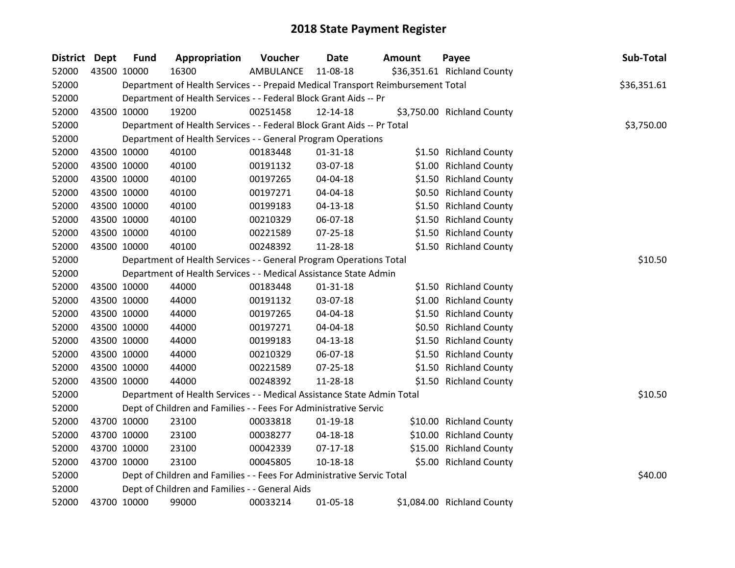| District Dept | <b>Fund</b> | Appropriation                                                                   | Voucher   | <b>Date</b>    | <b>Amount</b> | Payee                       | Sub-Total   |
|---------------|-------------|---------------------------------------------------------------------------------|-----------|----------------|---------------|-----------------------------|-------------|
| 52000         | 43500 10000 | 16300                                                                           | AMBULANCE | 11-08-18       |               | \$36,351.61 Richland County |             |
| 52000         |             | Department of Health Services - - Prepaid Medical Transport Reimbursement Total |           |                |               |                             | \$36,351.61 |
| 52000         |             | Department of Health Services - - Federal Block Grant Aids -- Pr                |           |                |               |                             |             |
| 52000         | 43500 10000 | 19200                                                                           | 00251458  | 12-14-18       |               | \$3,750.00 Richland County  |             |
| 52000         |             | Department of Health Services - - Federal Block Grant Aids -- Pr Total          |           |                |               |                             | \$3,750.00  |
| 52000         |             | Department of Health Services - - General Program Operations                    |           |                |               |                             |             |
| 52000         | 43500 10000 | 40100                                                                           | 00183448  | $01 - 31 - 18$ |               | \$1.50 Richland County      |             |
| 52000         | 43500 10000 | 40100                                                                           | 00191132  | 03-07-18       |               | \$1.00 Richland County      |             |
| 52000         | 43500 10000 | 40100                                                                           | 00197265  | 04-04-18       |               | \$1.50 Richland County      |             |
| 52000         | 43500 10000 | 40100                                                                           | 00197271  | 04-04-18       |               | \$0.50 Richland County      |             |
| 52000         | 43500 10000 | 40100                                                                           | 00199183  | $04 - 13 - 18$ |               | \$1.50 Richland County      |             |
| 52000         | 43500 10000 | 40100                                                                           | 00210329  | 06-07-18       |               | \$1.50 Richland County      |             |
| 52000         | 43500 10000 | 40100                                                                           | 00221589  | $07 - 25 - 18$ |               | \$1.50 Richland County      |             |
| 52000         | 43500 10000 | 40100                                                                           | 00248392  | 11-28-18       |               | \$1.50 Richland County      |             |
| 52000         |             | Department of Health Services - - General Program Operations Total              |           |                |               |                             | \$10.50     |
| 52000         |             | Department of Health Services - - Medical Assistance State Admin                |           |                |               |                             |             |
| 52000         | 43500 10000 | 44000                                                                           | 00183448  | $01 - 31 - 18$ |               | \$1.50 Richland County      |             |
| 52000         | 43500 10000 | 44000                                                                           | 00191132  | 03-07-18       |               | \$1.00 Richland County      |             |
| 52000         | 43500 10000 | 44000                                                                           | 00197265  | 04-04-18       |               | \$1.50 Richland County      |             |
| 52000         | 43500 10000 | 44000                                                                           | 00197271  | 04-04-18       |               | \$0.50 Richland County      |             |
| 52000         | 43500 10000 | 44000                                                                           | 00199183  | $04 - 13 - 18$ |               | \$1.50 Richland County      |             |
| 52000         | 43500 10000 | 44000                                                                           | 00210329  | 06-07-18       |               | \$1.50 Richland County      |             |
| 52000         | 43500 10000 | 44000                                                                           | 00221589  | 07-25-18       |               | \$1.50 Richland County      |             |
| 52000         | 43500 10000 | 44000                                                                           | 00248392  | 11-28-18       |               | \$1.50 Richland County      |             |
| 52000         |             | Department of Health Services - - Medical Assistance State Admin Total          |           |                |               |                             | \$10.50     |
| 52000         |             | Dept of Children and Families - - Fees For Administrative Servic                |           |                |               |                             |             |
| 52000         | 43700 10000 | 23100                                                                           | 00033818  | 01-19-18       |               | \$10.00 Richland County     |             |
| 52000         | 43700 10000 | 23100                                                                           | 00038277  | $04 - 18 - 18$ |               | \$10.00 Richland County     |             |
| 52000         | 43700 10000 | 23100                                                                           | 00042339  | 07-17-18       |               | \$15.00 Richland County     |             |
| 52000         | 43700 10000 | 23100                                                                           | 00045805  | 10-18-18       |               | \$5.00 Richland County      |             |
| 52000         |             | Dept of Children and Families - - Fees For Administrative Servic Total          |           |                |               |                             | \$40.00     |
| 52000         |             | Dept of Children and Families - - General Aids                                  |           |                |               |                             |             |
| 52000         | 43700 10000 | 99000                                                                           | 00033214  | 01-05-18       |               | \$1,084.00 Richland County  |             |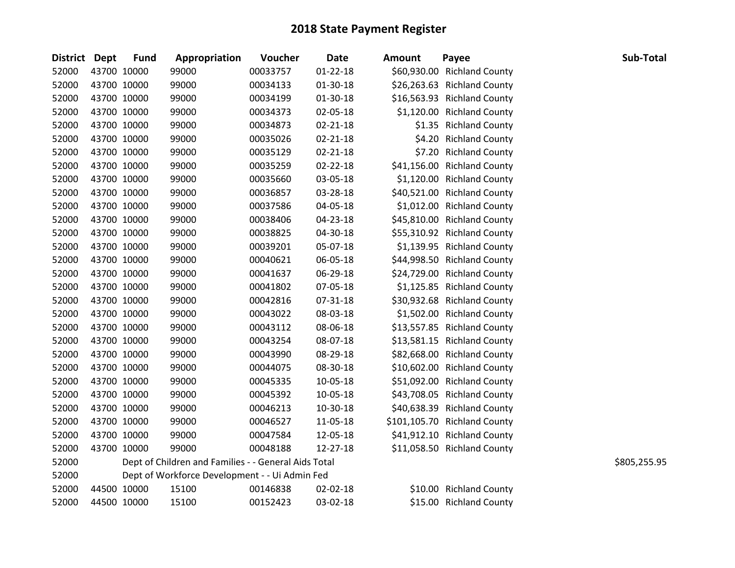| District Dept |             | <b>Fund</b> | Appropriation                                        | Voucher  | <b>Date</b>    | <b>Amount</b> | Payee                        | Sub-Total    |
|---------------|-------------|-------------|------------------------------------------------------|----------|----------------|---------------|------------------------------|--------------|
| 52000         |             | 43700 10000 | 99000                                                | 00033757 | $01 - 22 - 18$ |               | \$60,930.00 Richland County  |              |
| 52000         |             | 43700 10000 | 99000                                                | 00034133 | $01-30-18$     |               | \$26,263.63 Richland County  |              |
| 52000         |             | 43700 10000 | 99000                                                | 00034199 | 01-30-18       |               | \$16,563.93 Richland County  |              |
| 52000         | 43700 10000 |             | 99000                                                | 00034373 | 02-05-18       |               | \$1,120.00 Richland County   |              |
| 52000         |             | 43700 10000 | 99000                                                | 00034873 | 02-21-18       |               | \$1.35 Richland County       |              |
| 52000         |             | 43700 10000 | 99000                                                | 00035026 | $02 - 21 - 18$ |               | \$4.20 Richland County       |              |
| 52000         |             | 43700 10000 | 99000                                                | 00035129 | $02 - 21 - 18$ |               | \$7.20 Richland County       |              |
| 52000         |             | 43700 10000 | 99000                                                | 00035259 | 02-22-18       |               | \$41,156.00 Richland County  |              |
| 52000         |             | 43700 10000 | 99000                                                | 00035660 | 03-05-18       |               | \$1,120.00 Richland County   |              |
| 52000         |             | 43700 10000 | 99000                                                | 00036857 | 03-28-18       |               | \$40,521.00 Richland County  |              |
| 52000         |             | 43700 10000 | 99000                                                | 00037586 | 04-05-18       |               | \$1,012.00 Richland County   |              |
| 52000         |             | 43700 10000 | 99000                                                | 00038406 | 04-23-18       |               | \$45,810.00 Richland County  |              |
| 52000         |             | 43700 10000 | 99000                                                | 00038825 | 04-30-18       |               | \$55,310.92 Richland County  |              |
| 52000         |             | 43700 10000 | 99000                                                | 00039201 | 05-07-18       |               | \$1,139.95 Richland County   |              |
| 52000         |             | 43700 10000 | 99000                                                | 00040621 | 06-05-18       |               | \$44,998.50 Richland County  |              |
| 52000         |             | 43700 10000 | 99000                                                | 00041637 | 06-29-18       |               | \$24,729.00 Richland County  |              |
| 52000         |             | 43700 10000 | 99000                                                | 00041802 | 07-05-18       |               | \$1,125.85 Richland County   |              |
| 52000         |             | 43700 10000 | 99000                                                | 00042816 | 07-31-18       |               | \$30,932.68 Richland County  |              |
| 52000         |             | 43700 10000 | 99000                                                | 00043022 | 08-03-18       |               | \$1,502.00 Richland County   |              |
| 52000         | 43700 10000 |             | 99000                                                | 00043112 | 08-06-18       |               | \$13,557.85 Richland County  |              |
| 52000         |             | 43700 10000 | 99000                                                | 00043254 | 08-07-18       |               | \$13,581.15 Richland County  |              |
| 52000         |             | 43700 10000 | 99000                                                | 00043990 | 08-29-18       |               | \$82,668.00 Richland County  |              |
| 52000         |             | 43700 10000 | 99000                                                | 00044075 | 08-30-18       |               | \$10,602.00 Richland County  |              |
| 52000         |             | 43700 10000 | 99000                                                | 00045335 | 10-05-18       |               | \$51,092.00 Richland County  |              |
| 52000         |             | 43700 10000 | 99000                                                | 00045392 | 10-05-18       |               | \$43,708.05 Richland County  |              |
| 52000         |             | 43700 10000 | 99000                                                | 00046213 | 10-30-18       |               | \$40,638.39 Richland County  |              |
| 52000         |             | 43700 10000 | 99000                                                | 00046527 | 11-05-18       |               | \$101,105.70 Richland County |              |
| 52000         |             | 43700 10000 | 99000                                                | 00047584 | 12-05-18       |               | \$41,912.10 Richland County  |              |
| 52000         |             | 43700 10000 | 99000                                                | 00048188 | 12-27-18       |               | \$11,058.50 Richland County  |              |
| 52000         |             |             | Dept of Children and Families - - General Aids Total |          |                |               |                              | \$805,255.95 |
| 52000         |             |             | Dept of Workforce Development - - Ui Admin Fed       |          |                |               |                              |              |
| 52000         |             | 44500 10000 | 15100                                                | 00146838 | 02-02-18       |               | \$10.00 Richland County      |              |
| 52000         |             | 44500 10000 | 15100                                                | 00152423 | 03-02-18       |               | \$15.00 Richland County      |              |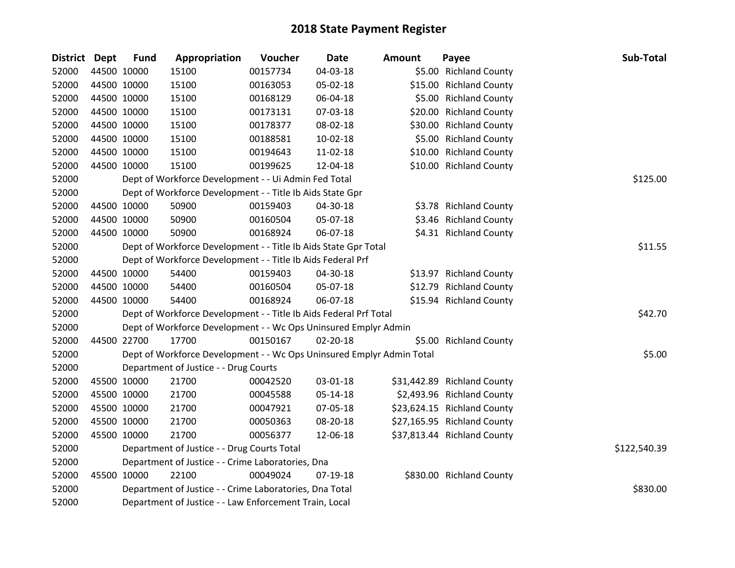|       |             |             | Appropriation                                                         | Voucher  | Date           | <b>Amount</b> | Payee                       | Sub-Total    |
|-------|-------------|-------------|-----------------------------------------------------------------------|----------|----------------|---------------|-----------------------------|--------------|
| 52000 |             | 44500 10000 | 15100                                                                 | 00157734 | 04-03-18       |               | \$5.00 Richland County      |              |
| 52000 | 44500 10000 |             | 15100                                                                 | 00163053 | 05-02-18       |               | \$15.00 Richland County     |              |
| 52000 | 44500 10000 |             | 15100                                                                 | 00168129 | 06-04-18       |               | \$5.00 Richland County      |              |
| 52000 | 44500 10000 |             | 15100                                                                 | 00173131 | 07-03-18       |               | \$20.00 Richland County     |              |
| 52000 | 44500 10000 |             | 15100                                                                 | 00178377 | 08-02-18       |               | \$30.00 Richland County     |              |
| 52000 | 44500 10000 |             | 15100                                                                 | 00188581 | 10-02-18       |               | \$5.00 Richland County      |              |
| 52000 | 44500 10000 |             | 15100                                                                 | 00194643 | 11-02-18       |               | \$10.00 Richland County     |              |
| 52000 | 44500 10000 |             | 15100                                                                 | 00199625 | 12-04-18       |               | \$10.00 Richland County     |              |
| 52000 |             |             | Dept of Workforce Development - - Ui Admin Fed Total                  |          |                |               |                             | \$125.00     |
| 52000 |             |             | Dept of Workforce Development - - Title Ib Aids State Gpr             |          |                |               |                             |              |
| 52000 | 44500 10000 |             | 50900                                                                 | 00159403 | 04-30-18       |               | \$3.78 Richland County      |              |
| 52000 | 44500 10000 |             | 50900                                                                 | 00160504 | 05-07-18       |               | \$3.46 Richland County      |              |
| 52000 | 44500 10000 |             | 50900                                                                 | 00168924 | 06-07-18       |               | \$4.31 Richland County      |              |
| 52000 |             |             | Dept of Workforce Development - - Title Ib Aids State Gpr Total       |          |                |               |                             | \$11.55      |
| 52000 |             |             | Dept of Workforce Development - - Title Ib Aids Federal Prf           |          |                |               |                             |              |
| 52000 | 44500 10000 |             | 54400                                                                 | 00159403 | 04-30-18       |               | \$13.97 Richland County     |              |
| 52000 | 44500 10000 |             | 54400                                                                 | 00160504 | 05-07-18       |               | \$12.79 Richland County     |              |
| 52000 | 44500 10000 |             | 54400                                                                 | 00168924 | 06-07-18       |               | \$15.94 Richland County     |              |
| 52000 |             |             | Dept of Workforce Development - - Title Ib Aids Federal Prf Total     |          |                |               |                             | \$42.70      |
| 52000 |             |             | Dept of Workforce Development - - Wc Ops Uninsured Emplyr Admin       |          |                |               |                             |              |
| 52000 |             | 44500 22700 | 17700                                                                 | 00150167 | $02 - 20 - 18$ |               | \$5.00 Richland County      |              |
| 52000 |             |             | Dept of Workforce Development - - Wc Ops Uninsured Emplyr Admin Total |          |                |               |                             | \$5.00       |
| 52000 |             |             | Department of Justice - - Drug Courts                                 |          |                |               |                             |              |
| 52000 |             | 45500 10000 | 21700                                                                 | 00042520 | 03-01-18       |               | \$31,442.89 Richland County |              |
| 52000 | 45500 10000 |             | 21700                                                                 | 00045588 | 05-14-18       |               | \$2,493.96 Richland County  |              |
| 52000 | 45500 10000 |             | 21700                                                                 | 00047921 | 07-05-18       |               | \$23,624.15 Richland County |              |
| 52000 | 45500 10000 |             | 21700                                                                 | 00050363 | 08-20-18       |               | \$27,165.95 Richland County |              |
| 52000 | 45500 10000 |             | 21700                                                                 | 00056377 | 12-06-18       |               | \$37,813.44 Richland County |              |
| 52000 |             |             | Department of Justice - - Drug Courts Total                           |          |                |               |                             | \$122,540.39 |
| 52000 |             |             | Department of Justice - - Crime Laboratories, Dna                     |          |                |               |                             |              |
| 52000 |             | 45500 10000 | 22100                                                                 | 00049024 | $07-19-18$     |               | \$830.00 Richland County    |              |
| 52000 |             |             | Department of Justice - - Crime Laboratories, Dna Total               |          |                |               |                             | \$830.00     |
| 52000 |             |             | Department of Justice - - Law Enforcement Train, Local                |          |                |               |                             |              |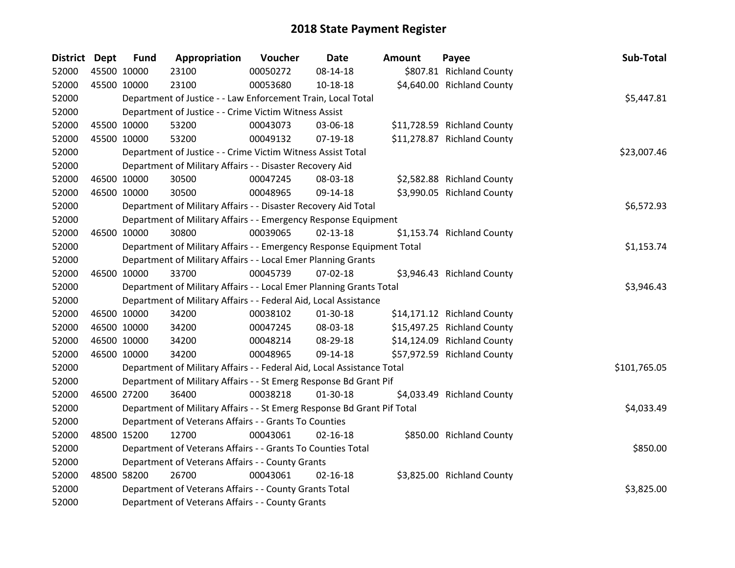| <b>District Dept</b> |             | <b>Fund</b> | Appropriation                                                           | Voucher  | <b>Date</b>    | <b>Amount</b> | Payee                       | Sub-Total    |
|----------------------|-------------|-------------|-------------------------------------------------------------------------|----------|----------------|---------------|-----------------------------|--------------|
| 52000                | 45500 10000 |             | 23100                                                                   | 00050272 | 08-14-18       |               | \$807.81 Richland County    |              |
| 52000                | 45500 10000 |             | 23100                                                                   | 00053680 | 10-18-18       |               | \$4,640.00 Richland County  |              |
| 52000                |             |             | Department of Justice - - Law Enforcement Train, Local Total            |          |                |               |                             | \$5,447.81   |
| 52000                |             |             | Department of Justice - - Crime Victim Witness Assist                   |          |                |               |                             |              |
| 52000                | 45500 10000 |             | 53200                                                                   | 00043073 | 03-06-18       |               | \$11,728.59 Richland County |              |
| 52000                |             | 45500 10000 | 53200                                                                   | 00049132 | $07-19-18$     |               | \$11,278.87 Richland County |              |
| 52000                |             |             | Department of Justice - - Crime Victim Witness Assist Total             |          |                |               |                             | \$23,007.46  |
| 52000                |             |             | Department of Military Affairs - - Disaster Recovery Aid                |          |                |               |                             |              |
| 52000                | 46500 10000 |             | 30500                                                                   | 00047245 | 08-03-18       |               | \$2,582.88 Richland County  |              |
| 52000                |             | 46500 10000 | 30500                                                                   | 00048965 | 09-14-18       |               | \$3,990.05 Richland County  |              |
| 52000                |             |             | Department of Military Affairs - - Disaster Recovery Aid Total          |          |                |               |                             | \$6,572.93   |
| 52000                |             |             | Department of Military Affairs - - Emergency Response Equipment         |          |                |               |                             |              |
| 52000                | 46500 10000 |             | 30800                                                                   | 00039065 | $02 - 13 - 18$ |               | \$1,153.74 Richland County  |              |
| 52000                |             |             | Department of Military Affairs - - Emergency Response Equipment Total   |          |                |               |                             | \$1,153.74   |
| 52000                |             |             | Department of Military Affairs - - Local Emer Planning Grants           |          |                |               |                             |              |
| 52000                | 46500 10000 |             | 33700                                                                   | 00045739 | $07 - 02 - 18$ |               | \$3,946.43 Richland County  |              |
| 52000                |             |             | Department of Military Affairs - - Local Emer Planning Grants Total     |          |                |               |                             | \$3,946.43   |
| 52000                |             |             | Department of Military Affairs - - Federal Aid, Local Assistance        |          |                |               |                             |              |
| 52000                | 46500 10000 |             | 34200                                                                   | 00038102 | 01-30-18       |               | \$14,171.12 Richland County |              |
| 52000                | 46500 10000 |             | 34200                                                                   | 00047245 | 08-03-18       |               | \$15,497.25 Richland County |              |
| 52000                |             | 46500 10000 | 34200                                                                   | 00048214 | 08-29-18       |               | \$14,124.09 Richland County |              |
| 52000                | 46500 10000 |             | 34200                                                                   | 00048965 | 09-14-18       |               | \$57,972.59 Richland County |              |
| 52000                |             |             | Department of Military Affairs - - Federal Aid, Local Assistance Total  |          |                |               |                             | \$101,765.05 |
| 52000                |             |             | Department of Military Affairs - - St Emerg Response Bd Grant Pif       |          |                |               |                             |              |
| 52000                | 46500 27200 |             | 36400                                                                   | 00038218 | $01-30-18$     |               | \$4,033.49 Richland County  |              |
| 52000                |             |             | Department of Military Affairs - - St Emerg Response Bd Grant Pif Total |          |                |               |                             | \$4,033.49   |
| 52000                |             |             | Department of Veterans Affairs - - Grants To Counties                   |          |                |               |                             |              |
| 52000                | 48500 15200 |             | 12700                                                                   | 00043061 | $02 - 16 - 18$ |               | \$850.00 Richland County    |              |
| 52000                |             |             | Department of Veterans Affairs - - Grants To Counties Total             |          |                |               |                             | \$850.00     |
| 52000                |             |             | Department of Veterans Affairs - - County Grants                        |          |                |               |                             |              |
| 52000                |             | 48500 58200 | 26700                                                                   | 00043061 | $02 - 16 - 18$ |               | \$3,825.00 Richland County  |              |
| 52000                |             |             | Department of Veterans Affairs - - County Grants Total                  |          |                |               |                             | \$3,825.00   |
| 52000                |             |             | Department of Veterans Affairs - - County Grants                        |          |                |               |                             |              |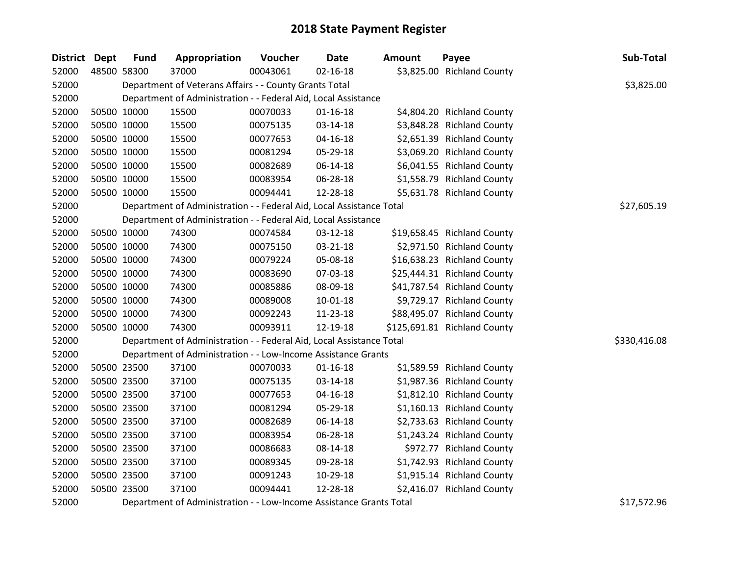| District Dept | <b>Fund</b> | Appropriation                                                        | Voucher  | <b>Date</b>    | <b>Amount</b> | Payee                        | Sub-Total    |
|---------------|-------------|----------------------------------------------------------------------|----------|----------------|---------------|------------------------------|--------------|
| 52000         | 48500 58300 | 37000                                                                | 00043061 | $02 - 16 - 18$ |               | \$3,825.00 Richland County   |              |
| 52000         |             | Department of Veterans Affairs - - County Grants Total               |          |                |               |                              | \$3,825.00   |
| 52000         |             | Department of Administration - - Federal Aid, Local Assistance       |          |                |               |                              |              |
| 52000         | 50500 10000 | 15500                                                                | 00070033 | $01 - 16 - 18$ |               | \$4,804.20 Richland County   |              |
| 52000         | 50500 10000 | 15500                                                                | 00075135 | 03-14-18       |               | \$3,848.28 Richland County   |              |
| 52000         | 50500 10000 | 15500                                                                | 00077653 | 04-16-18       |               | \$2,651.39 Richland County   |              |
| 52000         | 50500 10000 | 15500                                                                | 00081294 | 05-29-18       |               | \$3,069.20 Richland County   |              |
| 52000         | 50500 10000 | 15500                                                                | 00082689 | 06-14-18       |               | \$6,041.55 Richland County   |              |
| 52000         | 50500 10000 | 15500                                                                | 00083954 | 06-28-18       |               | \$1,558.79 Richland County   |              |
| 52000         | 50500 10000 | 15500                                                                | 00094441 | 12-28-18       |               | \$5,631.78 Richland County   |              |
| 52000         |             | Department of Administration - - Federal Aid, Local Assistance Total |          |                |               |                              | \$27,605.19  |
| 52000         |             | Department of Administration - - Federal Aid, Local Assistance       |          |                |               |                              |              |
| 52000         | 50500 10000 | 74300                                                                | 00074584 | 03-12-18       |               | \$19,658.45 Richland County  |              |
| 52000         | 50500 10000 | 74300                                                                | 00075150 | 03-21-18       |               | \$2,971.50 Richland County   |              |
| 52000         | 50500 10000 | 74300                                                                | 00079224 | 05-08-18       |               | \$16,638.23 Richland County  |              |
| 52000         | 50500 10000 | 74300                                                                | 00083690 | 07-03-18       |               | \$25,444.31 Richland County  |              |
| 52000         | 50500 10000 | 74300                                                                | 00085886 | 08-09-18       |               | \$41,787.54 Richland County  |              |
| 52000         | 50500 10000 | 74300                                                                | 00089008 | $10 - 01 - 18$ |               | \$9,729.17 Richland County   |              |
| 52000         | 50500 10000 | 74300                                                                | 00092243 | 11-23-18       |               | \$88,495.07 Richland County  |              |
| 52000         | 50500 10000 | 74300                                                                | 00093911 | 12-19-18       |               | \$125,691.81 Richland County |              |
| 52000         |             | Department of Administration - - Federal Aid, Local Assistance Total |          |                |               |                              | \$330,416.08 |
| 52000         |             | Department of Administration - - Low-Income Assistance Grants        |          |                |               |                              |              |
| 52000         | 50500 23500 | 37100                                                                | 00070033 | $01 - 16 - 18$ |               | \$1,589.59 Richland County   |              |
| 52000         | 50500 23500 | 37100                                                                | 00075135 | 03-14-18       |               | \$1,987.36 Richland County   |              |
| 52000         | 50500 23500 | 37100                                                                | 00077653 | 04-16-18       |               | \$1,812.10 Richland County   |              |
| 52000         | 50500 23500 | 37100                                                                | 00081294 | 05-29-18       |               | \$1,160.13 Richland County   |              |
| 52000         | 50500 23500 | 37100                                                                | 00082689 | 06-14-18       |               | \$2,733.63 Richland County   |              |
| 52000         | 50500 23500 | 37100                                                                | 00083954 | 06-28-18       |               | \$1,243.24 Richland County   |              |
| 52000         | 50500 23500 | 37100                                                                | 00086683 | 08-14-18       |               | \$972.77 Richland County     |              |
| 52000         | 50500 23500 | 37100                                                                | 00089345 | 09-28-18       |               | \$1,742.93 Richland County   |              |
| 52000         | 50500 23500 | 37100                                                                | 00091243 | 10-29-18       |               | \$1,915.14 Richland County   |              |
| 52000         | 50500 23500 | 37100                                                                | 00094441 | 12-28-18       |               | \$2,416.07 Richland County   |              |
| 52000         |             | Department of Administration - - Low-Income Assistance Grants Total  |          |                |               |                              | \$17,572.96  |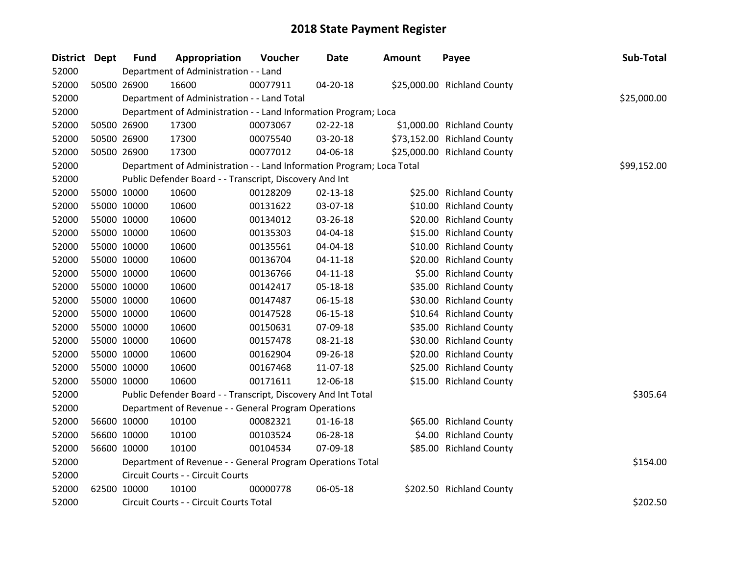| District Dept | <b>Fund</b> | Appropriation                                                         | Voucher  | <b>Date</b>    | <b>Amount</b> | Payee                       | Sub-Total   |
|---------------|-------------|-----------------------------------------------------------------------|----------|----------------|---------------|-----------------------------|-------------|
| 52000         |             | Department of Administration - - Land                                 |          |                |               |                             |             |
| 52000         | 50500 26900 | 16600                                                                 | 00077911 | 04-20-18       |               | \$25,000.00 Richland County |             |
| 52000         |             | Department of Administration - - Land Total                           |          |                |               |                             | \$25,000.00 |
| 52000         |             | Department of Administration - - Land Information Program; Loca       |          |                |               |                             |             |
| 52000         | 50500 26900 | 17300                                                                 | 00073067 | 02-22-18       |               | \$1,000.00 Richland County  |             |
| 52000         | 50500 26900 | 17300                                                                 | 00075540 | 03-20-18       |               | \$73,152.00 Richland County |             |
| 52000         | 50500 26900 | 17300                                                                 | 00077012 | 04-06-18       |               | \$25,000.00 Richland County |             |
| 52000         |             | Department of Administration - - Land Information Program; Loca Total |          |                |               |                             | \$99,152.00 |
| 52000         |             | Public Defender Board - - Transcript, Discovery And Int               |          |                |               |                             |             |
| 52000         | 55000 10000 | 10600                                                                 | 00128209 | $02 - 13 - 18$ |               | \$25.00 Richland County     |             |
| 52000         | 55000 10000 | 10600                                                                 | 00131622 | 03-07-18       |               | \$10.00 Richland County     |             |
| 52000         | 55000 10000 | 10600                                                                 | 00134012 | 03-26-18       |               | \$20.00 Richland County     |             |
| 52000         | 55000 10000 | 10600                                                                 | 00135303 | 04-04-18       |               | \$15.00 Richland County     |             |
| 52000         | 55000 10000 | 10600                                                                 | 00135561 | 04-04-18       |               | \$10.00 Richland County     |             |
| 52000         | 55000 10000 | 10600                                                                 | 00136704 | $04 - 11 - 18$ |               | \$20.00 Richland County     |             |
| 52000         | 55000 10000 | 10600                                                                 | 00136766 | $04 - 11 - 18$ |               | \$5.00 Richland County      |             |
| 52000         | 55000 10000 | 10600                                                                 | 00142417 | 05-18-18       |               | \$35.00 Richland County     |             |
| 52000         | 55000 10000 | 10600                                                                 | 00147487 | $06 - 15 - 18$ |               | \$30.00 Richland County     |             |
| 52000         | 55000 10000 | 10600                                                                 | 00147528 | 06-15-18       |               | \$10.64 Richland County     |             |
| 52000         | 55000 10000 | 10600                                                                 | 00150631 | 07-09-18       |               | \$35.00 Richland County     |             |
| 52000         | 55000 10000 | 10600                                                                 | 00157478 | 08-21-18       |               | \$30.00 Richland County     |             |
| 52000         | 55000 10000 | 10600                                                                 | 00162904 | 09-26-18       |               | \$20.00 Richland County     |             |
| 52000         | 55000 10000 | 10600                                                                 | 00167468 | 11-07-18       |               | \$25.00 Richland County     |             |
| 52000         | 55000 10000 | 10600                                                                 | 00171611 | 12-06-18       |               | \$15.00 Richland County     |             |
| 52000         |             | Public Defender Board - - Transcript, Discovery And Int Total         |          |                |               |                             | \$305.64    |
| 52000         |             | Department of Revenue - - General Program Operations                  |          |                |               |                             |             |
| 52000         | 56600 10000 | 10100                                                                 | 00082321 | $01 - 16 - 18$ |               | \$65.00 Richland County     |             |
| 52000         | 56600 10000 | 10100                                                                 | 00103524 | 06-28-18       |               | \$4.00 Richland County      |             |
| 52000         | 56600 10000 | 10100                                                                 | 00104534 | 07-09-18       |               | \$85.00 Richland County     |             |
| 52000         |             | Department of Revenue - - General Program Operations Total            |          |                |               |                             | \$154.00    |
| 52000         |             | Circuit Courts - - Circuit Courts                                     |          |                |               |                             |             |
| 52000         | 62500 10000 | 10100                                                                 | 00000778 | 06-05-18       |               | \$202.50 Richland County    |             |
| 52000         |             | Circuit Courts - - Circuit Courts Total                               |          |                |               |                             | \$202.50    |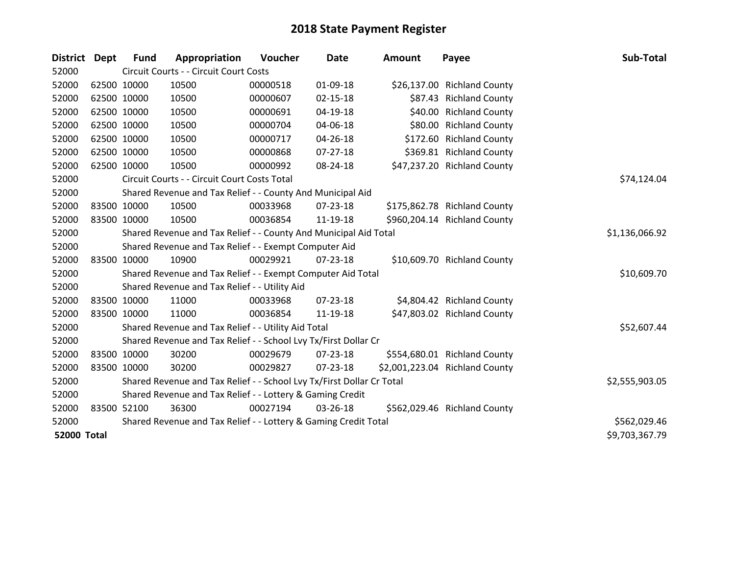| <b>District Dept</b> |             | <b>Fund</b> | Appropriation                                                         | <b>Voucher</b> | <b>Date</b>    | Amount | Payee                          | Sub-Total      |
|----------------------|-------------|-------------|-----------------------------------------------------------------------|----------------|----------------|--------|--------------------------------|----------------|
| 52000                |             |             | Circuit Courts - - Circuit Court Costs                                |                |                |        |                                |                |
| 52000                | 62500 10000 |             | 10500                                                                 | 00000518       | 01-09-18       |        | \$26,137.00 Richland County    |                |
| 52000                | 62500 10000 |             | 10500                                                                 | 00000607       | $02 - 15 - 18$ |        | \$87.43 Richland County        |                |
| 52000                | 62500 10000 |             | 10500                                                                 | 00000691       | 04-19-18       |        | \$40.00 Richland County        |                |
| 52000                | 62500 10000 |             | 10500                                                                 | 00000704       | 04-06-18       |        | \$80.00 Richland County        |                |
| 52000                |             | 62500 10000 | 10500                                                                 | 00000717       | 04-26-18       |        | \$172.60 Richland County       |                |
| 52000                | 62500 10000 |             | 10500                                                                 | 00000868       | $07 - 27 - 18$ |        | \$369.81 Richland County       |                |
| 52000                | 62500 10000 |             | 10500                                                                 | 00000992       | 08-24-18       |        | \$47,237.20 Richland County    |                |
| 52000                |             |             | Circuit Courts - - Circuit Court Costs Total                          |                |                |        |                                | \$74,124.04    |
| 52000                |             |             | Shared Revenue and Tax Relief - - County And Municipal Aid            |                |                |        |                                |                |
| 52000                | 83500 10000 |             | 10500                                                                 | 00033968       | 07-23-18       |        | \$175,862.78 Richland County   |                |
| 52000                | 83500 10000 |             | 10500                                                                 | 00036854       | 11-19-18       |        | \$960,204.14 Richland County   |                |
| 52000                |             |             | Shared Revenue and Tax Relief - - County And Municipal Aid Total      | \$1,136,066.92 |                |        |                                |                |
| 52000                |             |             | Shared Revenue and Tax Relief - - Exempt Computer Aid                 |                |                |        |                                |                |
| 52000                | 83500 10000 |             | 10900                                                                 | 00029921       | 07-23-18       |        | \$10,609.70 Richland County    |                |
| 52000                |             |             | Shared Revenue and Tax Relief - - Exempt Computer Aid Total           |                |                |        |                                | \$10,609.70    |
| 52000                |             |             | Shared Revenue and Tax Relief - - Utility Aid                         |                |                |        |                                |                |
| 52000                | 83500 10000 |             | 11000                                                                 | 00033968       | 07-23-18       |        | \$4,804.42 Richland County     |                |
| 52000                | 83500 10000 |             | 11000                                                                 | 00036854       | 11-19-18       |        | \$47,803.02 Richland County    |                |
| 52000                |             |             | Shared Revenue and Tax Relief - - Utility Aid Total                   |                |                |        |                                | \$52,607.44    |
| 52000                |             |             | Shared Revenue and Tax Relief - - School Lvy Tx/First Dollar Cr       |                |                |        |                                |                |
| 52000                | 83500 10000 |             | 30200                                                                 | 00029679       | 07-23-18       |        | \$554,680.01 Richland County   |                |
| 52000                | 83500 10000 |             | 30200                                                                 | 00029827       | 07-23-18       |        | \$2,001,223.04 Richland County |                |
| 52000                |             |             | Shared Revenue and Tax Relief - - School Lvy Tx/First Dollar Cr Total |                |                |        |                                | \$2,555,903.05 |
| 52000                |             |             | Shared Revenue and Tax Relief - - Lottery & Gaming Credit             |                |                |        |                                |                |
| 52000                | 83500 52100 |             | 36300                                                                 | 00027194       | 03-26-18       |        | \$562,029.46 Richland County   |                |
| 52000                |             |             | Shared Revenue and Tax Relief - - Lottery & Gaming Credit Total       |                |                |        |                                | \$562,029.46   |
| <b>52000 Total</b>   |             |             |                                                                       |                |                |        |                                | \$9,703,367.79 |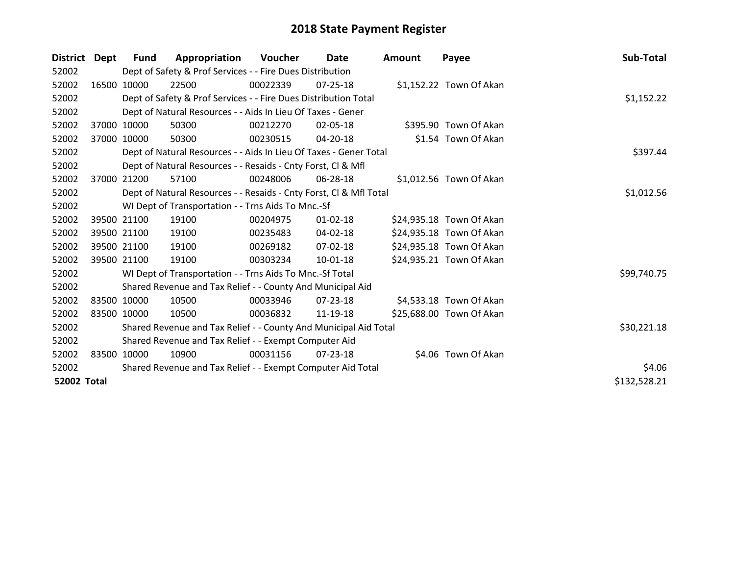| District           | Dept  | <b>Fund</b> | Appropriation                                                      | <b>Voucher</b> | Date           | <b>Amount</b> | Payee                    | Sub-Total    |
|--------------------|-------|-------------|--------------------------------------------------------------------|----------------|----------------|---------------|--------------------------|--------------|
| 52002              |       |             | Dept of Safety & Prof Services - - Fire Dues Distribution          |                |                |               |                          |              |
| 52002              |       | 16500 10000 | 22500                                                              | 00022339       | 07-25-18       |               | \$1,152.22 Town Of Akan  |              |
| 52002              |       |             | Dept of Safety & Prof Services - - Fire Dues Distribution Total    |                |                |               |                          | \$1,152.22   |
| 52002              |       |             | Dept of Natural Resources - - Aids In Lieu Of Taxes - Gener        |                |                |               |                          |              |
| 52002              |       | 37000 10000 | 50300                                                              | 00212270       | 02-05-18       |               | \$395.90 Town Of Akan    |              |
| 52002              |       | 37000 10000 | 50300                                                              | 00230515       | 04-20-18       |               | \$1.54 Town Of Akan      |              |
| 52002              |       |             | Dept of Natural Resources - - Aids In Lieu Of Taxes - Gener Total  |                |                |               |                          | \$397.44     |
| 52002              |       |             | Dept of Natural Resources - - Resaids - Cnty Forst, Cl & Mfl       |                |                |               |                          |              |
| 52002              | 37000 | 21200       | 57100                                                              | 00248006       | 06-28-18       |               | \$1,012.56 Town Of Akan  |              |
| 52002              |       |             | Dept of Natural Resources - - Resaids - Cnty Forst, CI & Mfl Total |                |                |               |                          | \$1,012.56   |
| 52002              |       |             | WI Dept of Transportation - - Trns Aids To Mnc.-Sf                 |                |                |               |                          |              |
| 52002              |       | 39500 21100 | 19100                                                              | 00204975       | $01 - 02 - 18$ |               | \$24,935.18 Town Of Akan |              |
| 52002              |       | 39500 21100 | 19100                                                              | 00235483       | 04-02-18       |               | \$24,935.18 Town Of Akan |              |
| 52002              |       | 39500 21100 | 19100                                                              | 00269182       | 07-02-18       |               | \$24,935.18 Town Of Akan |              |
| 52002              |       | 39500 21100 | 19100                                                              | 00303234       | 10-01-18       |               | \$24,935.21 Town Of Akan |              |
| 52002              |       |             | WI Dept of Transportation - - Trns Aids To Mnc.-Sf Total           |                |                |               |                          | \$99,740.75  |
| 52002              |       |             | Shared Revenue and Tax Relief - - County And Municipal Aid         |                |                |               |                          |              |
| 52002              |       | 83500 10000 | 10500                                                              | 00033946       | 07-23-18       |               | \$4,533.18 Town Of Akan  |              |
| 52002              |       | 83500 10000 | 10500                                                              | 00036832       | 11-19-18       |               | \$25,688.00 Town Of Akan |              |
| 52002              |       |             | Shared Revenue and Tax Relief - - County And Municipal Aid Total   |                |                |               |                          | \$30,221.18  |
| 52002              |       |             | Shared Revenue and Tax Relief - - Exempt Computer Aid              |                |                |               |                          |              |
| 52002              |       | 83500 10000 | 10900                                                              | 00031156       | $07 - 23 - 18$ |               | \$4.06 Town Of Akan      |              |
| 52002              |       |             | Shared Revenue and Tax Relief - - Exempt Computer Aid Total        |                |                |               |                          | \$4.06       |
| <b>52002 Total</b> |       |             |                                                                    |                |                |               |                          | \$132,528.21 |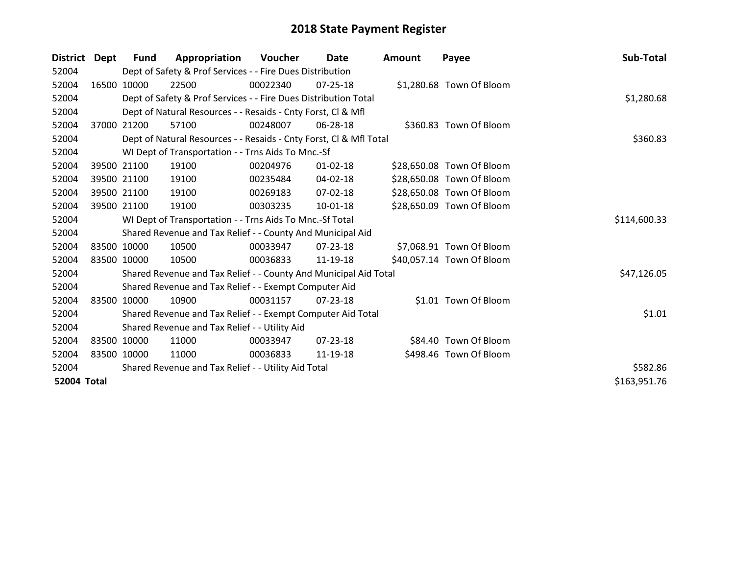| <b>District</b>    | Dept        | Fund        | Appropriation                                                      | Voucher  | Date           | Amount | Payee                     | Sub-Total    |
|--------------------|-------------|-------------|--------------------------------------------------------------------|----------|----------------|--------|---------------------------|--------------|
| 52004              |             |             | Dept of Safety & Prof Services - - Fire Dues Distribution          |          |                |        |                           |              |
| 52004              |             | 16500 10000 | 22500                                                              | 00022340 | 07-25-18       |        | \$1,280.68 Town Of Bloom  |              |
| 52004              |             |             | Dept of Safety & Prof Services - - Fire Dues Distribution Total    |          |                |        |                           | \$1,280.68   |
| 52004              |             |             | Dept of Natural Resources - - Resaids - Cnty Forst, CI & Mfl       |          |                |        |                           |              |
| 52004              | 37000       | 21200       | 57100                                                              | 00248007 | 06-28-18       |        | \$360.83 Town Of Bloom    |              |
| 52004              |             |             | Dept of Natural Resources - - Resaids - Cnty Forst, Cl & Mfl Total |          |                |        |                           | \$360.83     |
| 52004              |             |             | WI Dept of Transportation - - Trns Aids To Mnc.-Sf                 |          |                |        |                           |              |
| 52004              |             | 39500 21100 | 19100                                                              | 00204976 | $01 - 02 - 18$ |        | \$28,650.08 Town Of Bloom |              |
| 52004              |             | 39500 21100 | 19100                                                              | 00235484 | 04-02-18       |        | \$28,650.08 Town Of Bloom |              |
| 52004              |             | 39500 21100 | 19100                                                              | 00269183 | 07-02-18       |        | \$28,650.08 Town Of Bloom |              |
| 52004              |             | 39500 21100 | 19100                                                              | 00303235 | $10 - 01 - 18$ |        | \$28,650.09 Town Of Bloom |              |
| 52004              |             |             | WI Dept of Transportation - - Trns Aids To Mnc.-Sf Total           |          |                |        |                           | \$114,600.33 |
| 52004              |             |             | Shared Revenue and Tax Relief - - County And Municipal Aid         |          |                |        |                           |              |
| 52004              |             | 83500 10000 | 10500                                                              | 00033947 | 07-23-18       |        | \$7,068.91 Town Of Bloom  |              |
| 52004              | 83500 10000 |             | 10500                                                              | 00036833 | 11-19-18       |        | \$40,057.14 Town Of Bloom |              |
| 52004              |             |             | Shared Revenue and Tax Relief - - County And Municipal Aid Total   |          |                |        |                           | \$47,126.05  |
| 52004              |             |             | Shared Revenue and Tax Relief - - Exempt Computer Aid              |          |                |        |                           |              |
| 52004              |             | 83500 10000 | 10900                                                              | 00031157 | 07-23-18       |        | \$1.01 Town Of Bloom      |              |
| 52004              |             |             | Shared Revenue and Tax Relief - - Exempt Computer Aid Total        |          |                |        |                           | \$1.01       |
| 52004              |             |             | Shared Revenue and Tax Relief - - Utility Aid                      |          |                |        |                           |              |
| 52004              |             | 83500 10000 | 11000                                                              | 00033947 | $07 - 23 - 18$ |        | \$84.40 Town Of Bloom     |              |
| 52004              | 83500 10000 |             | 11000                                                              | 00036833 | 11-19-18       |        | \$498.46 Town Of Bloom    |              |
| 52004              |             |             | Shared Revenue and Tax Relief - - Utility Aid Total                |          |                |        |                           | \$582.86     |
| <b>52004 Total</b> |             |             |                                                                    |          |                |        |                           | \$163,951.76 |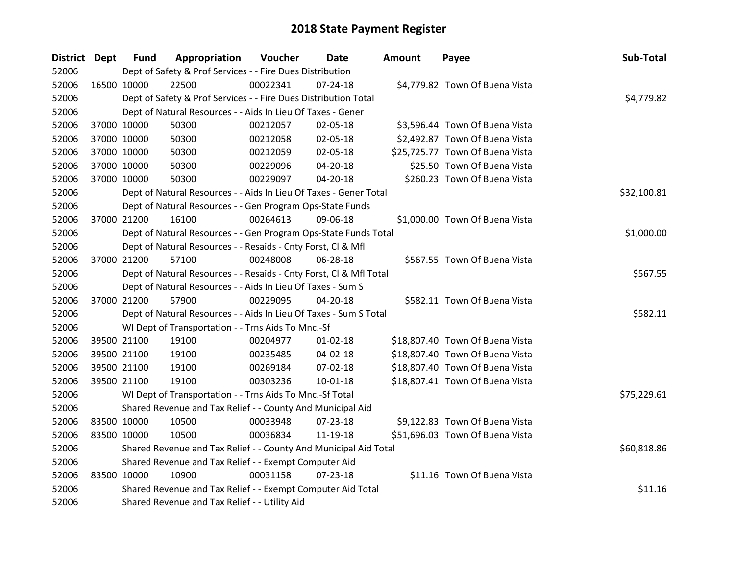| District Dept | <b>Fund</b> | Appropriation                                                      | Voucher  | Date           | <b>Amount</b> | Payee                           | Sub-Total   |
|---------------|-------------|--------------------------------------------------------------------|----------|----------------|---------------|---------------------------------|-------------|
| 52006         |             | Dept of Safety & Prof Services - - Fire Dues Distribution          |          |                |               |                                 |             |
| 52006         | 16500 10000 | 22500                                                              | 00022341 | $07 - 24 - 18$ |               | \$4,779.82 Town Of Buena Vista  |             |
| 52006         |             | Dept of Safety & Prof Services - - Fire Dues Distribution Total    |          |                |               |                                 | \$4,779.82  |
| 52006         |             | Dept of Natural Resources - - Aids In Lieu Of Taxes - Gener        |          |                |               |                                 |             |
| 52006         | 37000 10000 | 50300                                                              | 00212057 | 02-05-18       |               | \$3,596.44 Town Of Buena Vista  |             |
| 52006         | 37000 10000 | 50300                                                              | 00212058 | 02-05-18       |               | \$2,492.87 Town Of Buena Vista  |             |
| 52006         | 37000 10000 | 50300                                                              | 00212059 | 02-05-18       |               | \$25,725.77 Town Of Buena Vista |             |
| 52006         | 37000 10000 | 50300                                                              | 00229096 | 04-20-18       |               | \$25.50 Town Of Buena Vista     |             |
| 52006         | 37000 10000 | 50300                                                              | 00229097 | $04 - 20 - 18$ |               | \$260.23 Town Of Buena Vista    |             |
| 52006         |             | Dept of Natural Resources - - Aids In Lieu Of Taxes - Gener Total  |          |                |               |                                 | \$32,100.81 |
| 52006         |             | Dept of Natural Resources - - Gen Program Ops-State Funds          |          |                |               |                                 |             |
| 52006         | 37000 21200 | 16100                                                              | 00264613 | 09-06-18       |               | \$1,000.00 Town Of Buena Vista  |             |
| 52006         |             | Dept of Natural Resources - - Gen Program Ops-State Funds Total    |          |                |               |                                 | \$1,000.00  |
| 52006         |             | Dept of Natural Resources - - Resaids - Cnty Forst, Cl & Mfl       |          |                |               |                                 |             |
| 52006         | 37000 21200 | 57100                                                              | 00248008 | 06-28-18       |               | \$567.55 Town Of Buena Vista    |             |
| 52006         |             | Dept of Natural Resources - - Resaids - Cnty Forst, Cl & Mfl Total |          |                |               |                                 | \$567.55    |
| 52006         |             | Dept of Natural Resources - - Aids In Lieu Of Taxes - Sum S        |          |                |               |                                 |             |
| 52006         | 37000 21200 | 57900                                                              | 00229095 | 04-20-18       |               | \$582.11 Town Of Buena Vista    |             |
| 52006         |             | Dept of Natural Resources - - Aids In Lieu Of Taxes - Sum S Total  |          |                |               |                                 | \$582.11    |
| 52006         |             | WI Dept of Transportation - - Trns Aids To Mnc.-Sf                 |          |                |               |                                 |             |
| 52006         | 39500 21100 | 19100                                                              | 00204977 | $01 - 02 - 18$ |               | \$18,807.40 Town Of Buena Vista |             |
| 52006         | 39500 21100 | 19100                                                              | 00235485 | 04-02-18       |               | \$18,807.40 Town Of Buena Vista |             |
| 52006         | 39500 21100 | 19100                                                              | 00269184 | 07-02-18       |               | \$18,807.40 Town Of Buena Vista |             |
| 52006         | 39500 21100 | 19100                                                              | 00303236 | $10 - 01 - 18$ |               | \$18,807.41 Town Of Buena Vista |             |
| 52006         |             | WI Dept of Transportation - - Trns Aids To Mnc.-Sf Total           |          |                |               |                                 | \$75,229.61 |
| 52006         |             | Shared Revenue and Tax Relief - - County And Municipal Aid         |          |                |               |                                 |             |
| 52006         | 83500 10000 | 10500                                                              | 00033948 | 07-23-18       |               | \$9,122.83 Town Of Buena Vista  |             |
| 52006         | 83500 10000 | 10500                                                              | 00036834 | 11-19-18       |               | \$51,696.03 Town Of Buena Vista |             |
| 52006         |             | Shared Revenue and Tax Relief - - County And Municipal Aid Total   |          |                |               |                                 | \$60,818.86 |
| 52006         |             | Shared Revenue and Tax Relief - - Exempt Computer Aid              |          |                |               |                                 |             |
| 52006         | 83500 10000 | 10900                                                              | 00031158 | $07 - 23 - 18$ |               | \$11.16 Town Of Buena Vista     |             |
| 52006         |             | Shared Revenue and Tax Relief - - Exempt Computer Aid Total        |          |                |               |                                 | \$11.16     |
| 52006         |             | Shared Revenue and Tax Relief - - Utility Aid                      |          |                |               |                                 |             |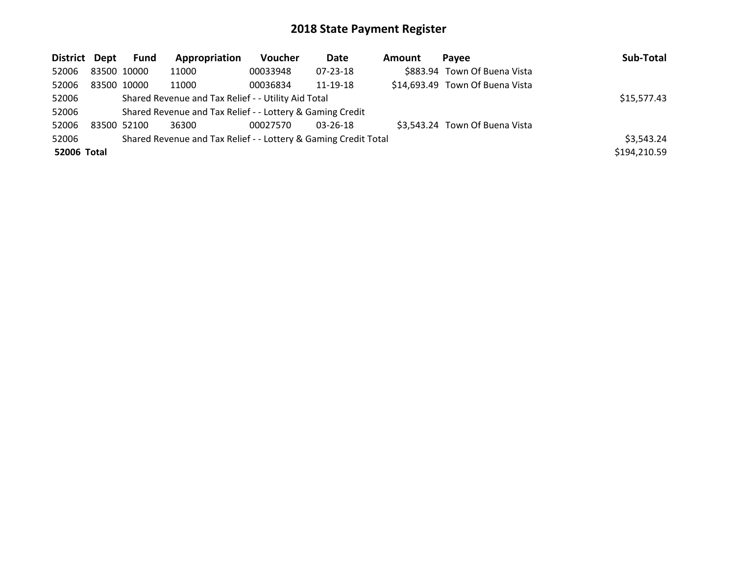| District Dept | Fund        | Appropriation                                                   | <b>Voucher</b> | Date           | Amount | Pavee                           | Sub-Total    |
|---------------|-------------|-----------------------------------------------------------------|----------------|----------------|--------|---------------------------------|--------------|
| 52006         | 83500 10000 | 11000                                                           | 00033948       | 07-23-18       |        | \$883.94 Town Of Buena Vista    |              |
| 52006         | 83500 10000 | 11000                                                           | 00036834       | 11-19-18       |        | \$14,693.49 Town Of Buena Vista |              |
| 52006         |             | Shared Revenue and Tax Relief - - Utility Aid Total             |                |                |        |                                 | \$15,577.43  |
| 52006         |             | Shared Revenue and Tax Relief - - Lottery & Gaming Credit       |                |                |        |                                 |              |
| 52006         | 83500 52100 | 36300                                                           | 00027570       | $03 - 26 - 18$ |        | \$3,543.24 Town Of Buena Vista  |              |
| 52006         |             | Shared Revenue and Tax Relief - - Lottery & Gaming Credit Total |                |                |        |                                 | \$3,543.24   |
| 52006 Total   |             |                                                                 |                |                |        |                                 | \$194,210.59 |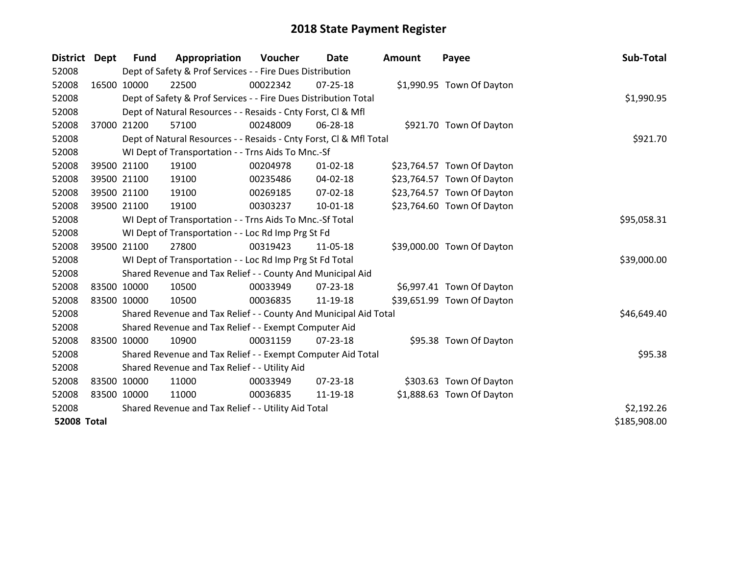| <b>District</b>    | Dept | <b>Fund</b> | Appropriation                                                      | Voucher    | Date           | Amount | Payee                      | Sub-Total    |
|--------------------|------|-------------|--------------------------------------------------------------------|------------|----------------|--------|----------------------------|--------------|
| 52008              |      |             | Dept of Safety & Prof Services - - Fire Dues Distribution          |            |                |        |                            |              |
| 52008              |      | 16500 10000 | 22500                                                              | 00022342   | $07 - 25 - 18$ |        | \$1,990.95 Town Of Dayton  |              |
| 52008              |      |             | Dept of Safety & Prof Services - - Fire Dues Distribution Total    |            |                |        |                            | \$1,990.95   |
| 52008              |      |             | Dept of Natural Resources - - Resaids - Cnty Forst, CI & Mfl       |            |                |        |                            |              |
| 52008              |      | 37000 21200 | 57100                                                              | 00248009   | 06-28-18       |        | \$921.70 Town Of Dayton    |              |
| 52008              |      |             | Dept of Natural Resources - - Resaids - Cnty Forst, Cl & Mfl Total |            |                |        |                            | \$921.70     |
| 52008              |      |             | WI Dept of Transportation - - Trns Aids To Mnc.-Sf                 |            |                |        |                            |              |
| 52008              |      | 39500 21100 | 19100                                                              | 00204978   | $01 - 02 - 18$ |        | \$23,764.57 Town Of Dayton |              |
| 52008              |      | 39500 21100 | 19100                                                              | 00235486   | 04-02-18       |        | \$23,764.57 Town Of Dayton |              |
| 52008              |      | 39500 21100 | 19100                                                              | 00269185   | 07-02-18       |        | \$23,764.57 Town Of Dayton |              |
| 52008              |      | 39500 21100 | 19100                                                              | 00303237   | $10 - 01 - 18$ |        | \$23,764.60 Town Of Dayton |              |
| 52008              |      |             | WI Dept of Transportation - - Trns Aids To Mnc.-Sf Total           |            |                |        |                            | \$95,058.31  |
| 52008              |      |             | WI Dept of Transportation - - Loc Rd Imp Prg St Fd                 |            |                |        |                            |              |
| 52008              |      | 39500 21100 | 27800                                                              | 00319423   | 11-05-18       |        | \$39,000.00 Town Of Dayton |              |
| 52008              |      |             | WI Dept of Transportation - - Loc Rd Imp Prg St Fd Total           |            |                |        |                            | \$39,000.00  |
| 52008              |      |             | Shared Revenue and Tax Relief - - County And Municipal Aid         |            |                |        |                            |              |
| 52008              |      | 83500 10000 | 10500                                                              | 00033949   | $07 - 23 - 18$ |        | \$6,997.41 Town Of Dayton  |              |
| 52008              |      | 83500 10000 | 10500                                                              | 00036835   | 11-19-18       |        | \$39,651.99 Town Of Dayton |              |
| 52008              |      |             | Shared Revenue and Tax Relief - - County And Municipal Aid Total   |            |                |        |                            | \$46,649.40  |
| 52008              |      |             | Shared Revenue and Tax Relief - - Exempt Computer Aid              |            |                |        |                            |              |
| 52008              |      | 83500 10000 | 10900                                                              | 00031159   | $07 - 23 - 18$ |        | \$95.38 Town Of Dayton     |              |
| 52008              |      |             | Shared Revenue and Tax Relief - - Exempt Computer Aid Total        |            |                |        |                            | \$95.38      |
| 52008              |      |             | Shared Revenue and Tax Relief - - Utility Aid                      |            |                |        |                            |              |
| 52008              |      | 83500 10000 | 11000                                                              | 00033949   | $07 - 23 - 18$ |        | \$303.63 Town Of Dayton    |              |
| 52008              |      | 83500 10000 | 11000                                                              | 00036835   | 11-19-18       |        | \$1,888.63 Town Of Dayton  |              |
| 52008              |      |             | Shared Revenue and Tax Relief - - Utility Aid Total                | \$2,192.26 |                |        |                            |              |
| <b>52008 Total</b> |      |             |                                                                    |            |                |        |                            | \$185,908.00 |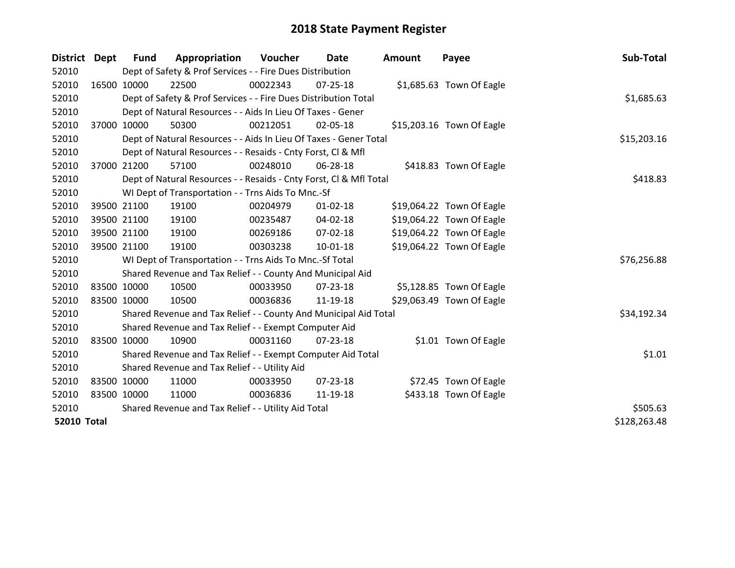| District Dept      | <b>Fund</b>                                         | Appropriation                                                      | Voucher  | Date           | <b>Amount</b> | Payee                     | Sub-Total    |
|--------------------|-----------------------------------------------------|--------------------------------------------------------------------|----------|----------------|---------------|---------------------------|--------------|
| 52010              |                                                     | Dept of Safety & Prof Services - - Fire Dues Distribution          |          |                |               |                           |              |
| 52010              | 16500 10000                                         | 22500                                                              | 00022343 | $07 - 25 - 18$ |               | \$1,685.63 Town Of Eagle  |              |
| 52010              |                                                     | Dept of Safety & Prof Services - - Fire Dues Distribution Total    |          |                |               |                           | \$1,685.63   |
| 52010              |                                                     | Dept of Natural Resources - - Aids In Lieu Of Taxes - Gener        |          |                |               |                           |              |
| 52010              | 37000 10000                                         | 50300                                                              | 00212051 | 02-05-18       |               | \$15,203.16 Town Of Eagle |              |
| 52010              |                                                     | Dept of Natural Resources - - Aids In Lieu Of Taxes - Gener Total  |          | \$15,203.16    |               |                           |              |
| 52010              |                                                     | Dept of Natural Resources - - Resaids - Cnty Forst, Cl & Mfl       |          |                |               |                           |              |
| 52010              | 37000 21200                                         | 57100                                                              | 00248010 | 06-28-18       |               | \$418.83 Town Of Eagle    |              |
| 52010              |                                                     | Dept of Natural Resources - - Resaids - Cnty Forst, Cl & Mfl Total |          |                |               |                           | \$418.83     |
| 52010              |                                                     | WI Dept of Transportation - - Trns Aids To Mnc.-Sf                 |          |                |               |                           |              |
| 52010              | 39500 21100                                         | 19100                                                              | 00204979 | $01 - 02 - 18$ |               | \$19,064.22 Town Of Eagle |              |
| 52010              | 39500 21100                                         | 19100                                                              | 00235487 | $04 - 02 - 18$ |               | \$19,064.22 Town Of Eagle |              |
| 52010              | 39500 21100                                         | 19100                                                              | 00269186 | 07-02-18       |               | \$19,064.22 Town Of Eagle |              |
| 52010              | 39500 21100                                         | 19100                                                              | 00303238 | $10 - 01 - 18$ |               | \$19,064.22 Town Of Eagle |              |
| 52010              |                                                     | WI Dept of Transportation - - Trns Aids To Mnc.-Sf Total           |          |                |               |                           | \$76,256.88  |
| 52010              |                                                     | Shared Revenue and Tax Relief - - County And Municipal Aid         |          |                |               |                           |              |
| 52010              | 83500 10000                                         | 10500                                                              | 00033950 | 07-23-18       |               | \$5,128.85 Town Of Eagle  |              |
| 52010              | 83500 10000                                         | 10500                                                              | 00036836 | 11-19-18       |               | \$29,063.49 Town Of Eagle |              |
| 52010              |                                                     | Shared Revenue and Tax Relief - - County And Municipal Aid Total   |          |                |               |                           | \$34,192.34  |
| 52010              |                                                     | Shared Revenue and Tax Relief - - Exempt Computer Aid              |          |                |               |                           |              |
| 52010              | 83500 10000                                         | 10900                                                              | 00031160 | $07 - 23 - 18$ |               | \$1.01 Town Of Eagle      |              |
| 52010              |                                                     | Shared Revenue and Tax Relief - - Exempt Computer Aid Total        |          |                |               |                           | \$1.01       |
| 52010              |                                                     | Shared Revenue and Tax Relief - - Utility Aid                      |          |                |               |                           |              |
| 52010              | 83500 10000                                         | 11000                                                              | 00033950 | $07 - 23 - 18$ |               | \$72.45 Town Of Eagle     |              |
| 52010              | 83500 10000                                         | 11000                                                              | 00036836 | 11-19-18       |               | \$433.18 Town Of Eagle    |              |
| 52010              | Shared Revenue and Tax Relief - - Utility Aid Total | \$505.63                                                           |          |                |               |                           |              |
| <b>52010 Total</b> |                                                     |                                                                    |          |                |               |                           | \$128,263.48 |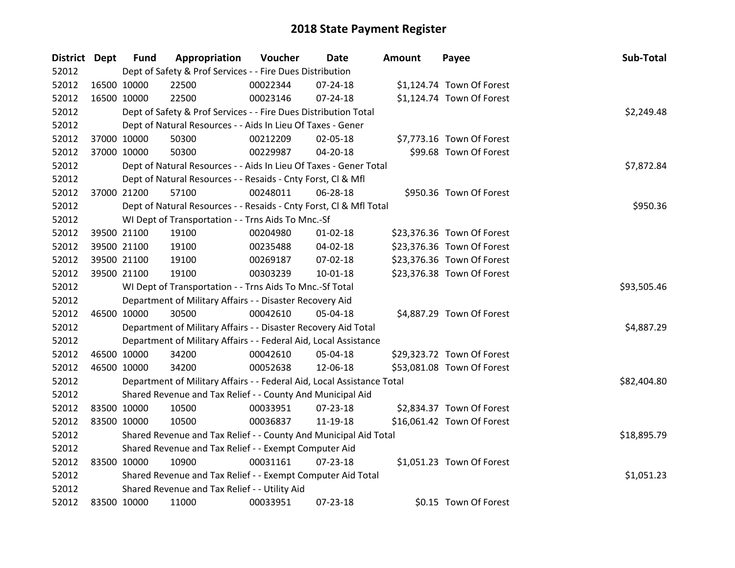| District Dept |             | <b>Fund</b> | Appropriation                                                          | Voucher  | <b>Date</b>    | <b>Amount</b> | Payee                      | Sub-Total   |
|---------------|-------------|-------------|------------------------------------------------------------------------|----------|----------------|---------------|----------------------------|-------------|
| 52012         |             |             | Dept of Safety & Prof Services - - Fire Dues Distribution              |          |                |               |                            |             |
| 52012         |             | 16500 10000 | 22500                                                                  | 00022344 | $07 - 24 - 18$ |               | \$1,124.74 Town Of Forest  |             |
| 52012         |             | 16500 10000 | 22500                                                                  | 00023146 | 07-24-18       |               | \$1,124.74 Town Of Forest  |             |
| 52012         |             |             | Dept of Safety & Prof Services - - Fire Dues Distribution Total        |          |                |               |                            | \$2,249.48  |
| 52012         |             |             | Dept of Natural Resources - - Aids In Lieu Of Taxes - Gener            |          |                |               |                            |             |
| 52012         |             | 37000 10000 | 50300                                                                  | 00212209 | 02-05-18       |               | \$7,773.16 Town Of Forest  |             |
| 52012         |             | 37000 10000 | 50300                                                                  | 00229987 | 04-20-18       |               | \$99.68 Town Of Forest     |             |
| 52012         |             |             | Dept of Natural Resources - - Aids In Lieu Of Taxes - Gener Total      |          |                |               |                            | \$7,872.84  |
| 52012         |             |             | Dept of Natural Resources - - Resaids - Cnty Forst, CI & Mfl           |          |                |               |                            |             |
| 52012         |             | 37000 21200 | 57100                                                                  | 00248011 | 06-28-18       |               | \$950.36 Town Of Forest    |             |
| 52012         |             |             | Dept of Natural Resources - - Resaids - Cnty Forst, Cl & Mfl Total     |          |                |               |                            | \$950.36    |
| 52012         |             |             | WI Dept of Transportation - - Trns Aids To Mnc.-Sf                     |          |                |               |                            |             |
| 52012         |             | 39500 21100 | 19100                                                                  | 00204980 | $01 - 02 - 18$ |               | \$23,376.36 Town Of Forest |             |
| 52012         |             | 39500 21100 | 19100                                                                  | 00235488 | 04-02-18       |               | \$23,376.36 Town Of Forest |             |
| 52012         |             | 39500 21100 | 19100                                                                  | 00269187 | 07-02-18       |               | \$23,376.36 Town Of Forest |             |
| 52012         |             | 39500 21100 | 19100                                                                  | 00303239 | $10 - 01 - 18$ |               | \$23,376.38 Town Of Forest |             |
| 52012         |             |             | WI Dept of Transportation - - Trns Aids To Mnc.-Sf Total               |          |                |               |                            | \$93,505.46 |
| 52012         |             |             | Department of Military Affairs - - Disaster Recovery Aid               |          |                |               |                            |             |
| 52012         |             | 46500 10000 | 30500                                                                  | 00042610 | 05-04-18       |               | \$4,887.29 Town Of Forest  |             |
| 52012         |             |             | Department of Military Affairs - - Disaster Recovery Aid Total         |          |                |               |                            | \$4,887.29  |
| 52012         |             |             | Department of Military Affairs - - Federal Aid, Local Assistance       |          |                |               |                            |             |
| 52012         |             | 46500 10000 | 34200                                                                  | 00042610 | 05-04-18       |               | \$29,323.72 Town Of Forest |             |
| 52012         |             | 46500 10000 | 34200                                                                  | 00052638 | 12-06-18       |               | \$53,081.08 Town Of Forest |             |
| 52012         |             |             | Department of Military Affairs - - Federal Aid, Local Assistance Total |          |                |               |                            | \$82,404.80 |
| 52012         |             |             | Shared Revenue and Tax Relief - - County And Municipal Aid             |          |                |               |                            |             |
| 52012         |             | 83500 10000 | 10500                                                                  | 00033951 | 07-23-18       |               | \$2,834.37 Town Of Forest  |             |
| 52012         |             | 83500 10000 | 10500                                                                  | 00036837 | 11-19-18       |               | \$16,061.42 Town Of Forest |             |
| 52012         |             |             | Shared Revenue and Tax Relief - - County And Municipal Aid Total       |          |                |               |                            | \$18,895.79 |
| 52012         |             |             | Shared Revenue and Tax Relief - - Exempt Computer Aid                  |          |                |               |                            |             |
| 52012         |             | 83500 10000 | 10900                                                                  | 00031161 | $07 - 23 - 18$ |               | \$1,051.23 Town Of Forest  |             |
| 52012         |             |             | Shared Revenue and Tax Relief - - Exempt Computer Aid Total            |          |                |               |                            | \$1,051.23  |
| 52012         |             |             | Shared Revenue and Tax Relief - - Utility Aid                          |          |                |               |                            |             |
| 52012         | 83500 10000 |             | 11000                                                                  | 00033951 | 07-23-18       |               | \$0.15 Town Of Forest      |             |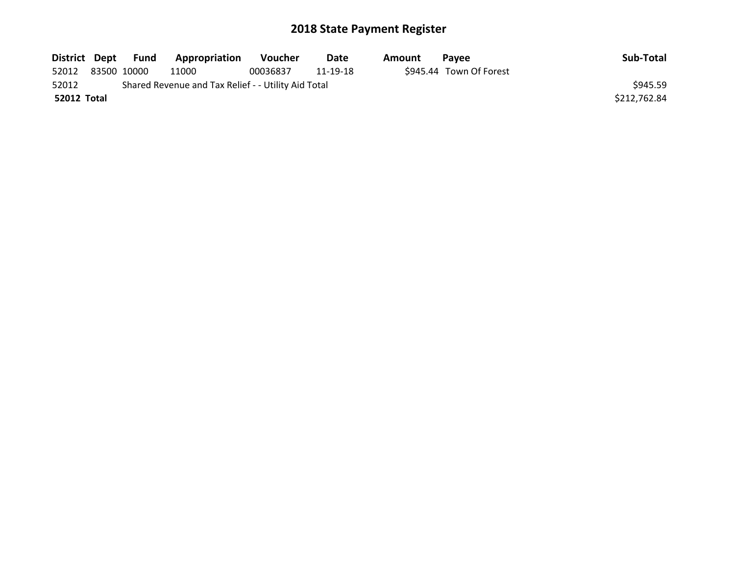|             | District Dept Fund | <b>Appropriation</b>                                | Voucher  | Date     | Amount | <b>Pavee</b>            | Sub-Total    |
|-------------|--------------------|-----------------------------------------------------|----------|----------|--------|-------------------------|--------------|
| 52012       | 83500 10000        | 11000                                               | 00036837 | 11-19-18 |        | \$945.44 Town Of Forest |              |
| 52012       |                    | Shared Revenue and Tax Relief - - Utility Aid Total |          |          |        |                         | \$945.59     |
| 52012 Total |                    |                                                     |          |          |        |                         | \$212,762.84 |
|             |                    |                                                     |          |          |        |                         |              |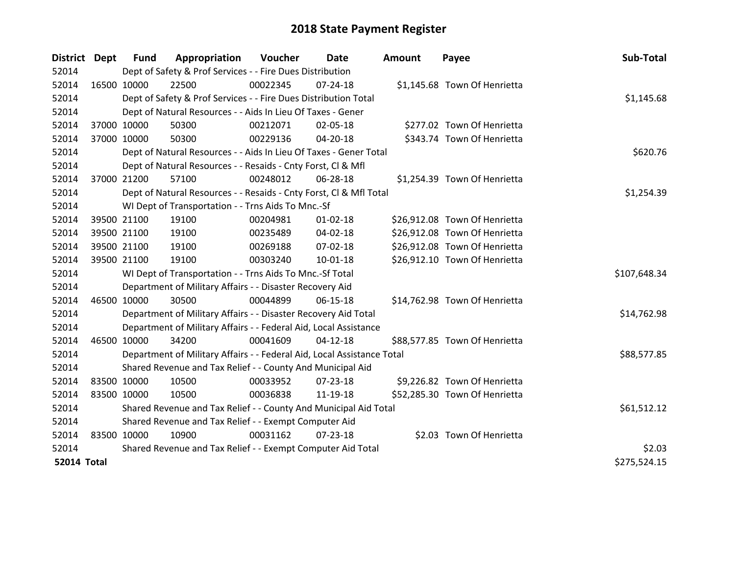| District Dept      |             | <b>Fund</b> | Appropriation                                                          | <b>Voucher</b> | Date           | <b>Amount</b> | Payee                         | Sub-Total    |
|--------------------|-------------|-------------|------------------------------------------------------------------------|----------------|----------------|---------------|-------------------------------|--------------|
| 52014              |             |             | Dept of Safety & Prof Services - - Fire Dues Distribution              |                |                |               |                               |              |
| 52014              | 16500 10000 |             | 22500                                                                  | 00022345       | $07 - 24 - 18$ |               | \$1,145.68 Town Of Henrietta  |              |
| 52014              |             |             | Dept of Safety & Prof Services - - Fire Dues Distribution Total        |                |                |               |                               | \$1,145.68   |
| 52014              |             |             | Dept of Natural Resources - - Aids In Lieu Of Taxes - Gener            |                |                |               |                               |              |
| 52014              |             | 37000 10000 | 50300                                                                  | 00212071       | 02-05-18       |               | \$277.02 Town Of Henrietta    |              |
| 52014              |             | 37000 10000 | 50300                                                                  | 00229136       | 04-20-18       |               | \$343.74 Town Of Henrietta    |              |
| 52014              |             |             | Dept of Natural Resources - - Aids In Lieu Of Taxes - Gener Total      |                |                |               |                               | \$620.76     |
| 52014              |             |             | Dept of Natural Resources - - Resaids - Cnty Forst, CI & Mfl           |                |                |               |                               |              |
| 52014              |             | 37000 21200 | 57100                                                                  | 00248012       | 06-28-18       |               | \$1,254.39 Town Of Henrietta  |              |
| 52014              |             |             | Dept of Natural Resources - - Resaids - Cnty Forst, CI & Mfl Total     |                |                |               |                               | \$1,254.39   |
| 52014              |             |             | WI Dept of Transportation - - Trns Aids To Mnc.-Sf                     |                |                |               |                               |              |
| 52014              |             | 39500 21100 | 19100                                                                  | 00204981       | $01 - 02 - 18$ |               | \$26,912.08 Town Of Henrietta |              |
| 52014              |             | 39500 21100 | 19100                                                                  | 00235489       | $04 - 02 - 18$ |               | \$26,912.08 Town Of Henrietta |              |
| 52014              |             | 39500 21100 | 19100                                                                  | 00269188       | $07 - 02 - 18$ |               | \$26,912.08 Town Of Henrietta |              |
| 52014              |             | 39500 21100 | 19100                                                                  | 00303240       | 10-01-18       |               | \$26,912.10 Town Of Henrietta |              |
| 52014              |             |             | WI Dept of Transportation - - Trns Aids To Mnc.-Sf Total               |                |                |               |                               | \$107,648.34 |
| 52014              |             |             | Department of Military Affairs - - Disaster Recovery Aid               |                |                |               |                               |              |
| 52014              | 46500 10000 |             | 30500                                                                  | 00044899       | 06-15-18       |               | \$14,762.98 Town Of Henrietta |              |
| 52014              |             |             | Department of Military Affairs - - Disaster Recovery Aid Total         |                |                |               |                               | \$14,762.98  |
| 52014              |             |             | Department of Military Affairs - - Federal Aid, Local Assistance       |                |                |               |                               |              |
| 52014              | 46500 10000 |             | 34200                                                                  | 00041609       | $04 - 12 - 18$ |               | \$88,577.85 Town Of Henrietta |              |
| 52014              |             |             | Department of Military Affairs - - Federal Aid, Local Assistance Total |                |                |               |                               | \$88,577.85  |
| 52014              |             |             | Shared Revenue and Tax Relief - - County And Municipal Aid             |                |                |               |                               |              |
| 52014              | 83500 10000 |             | 10500                                                                  | 00033952       | $07 - 23 - 18$ |               | \$9,226.82 Town Of Henrietta  |              |
| 52014              |             | 83500 10000 | 10500                                                                  | 00036838       | 11-19-18       |               | \$52,285.30 Town Of Henrietta |              |
| 52014              |             |             | Shared Revenue and Tax Relief - - County And Municipal Aid Total       |                |                |               |                               | \$61,512.12  |
| 52014              |             |             | Shared Revenue and Tax Relief - - Exempt Computer Aid                  |                |                |               |                               |              |
| 52014              | 83500 10000 |             | 10900                                                                  | 00031162       | $07 - 23 - 18$ |               | \$2.03 Town Of Henrietta      |              |
| 52014              |             |             | Shared Revenue and Tax Relief - - Exempt Computer Aid Total            | \$2.03         |                |               |                               |              |
| <b>52014 Total</b> |             |             |                                                                        |                |                |               |                               | \$275,524.15 |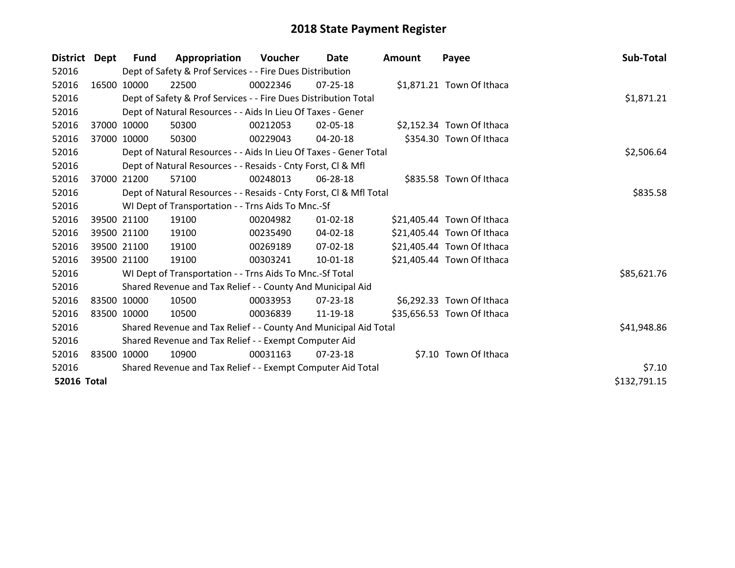| District Dept      |       | Fund                                                  | Appropriation                                                      | Voucher  | Date       | <b>Amount</b> | Payee                      | Sub-Total    |
|--------------------|-------|-------------------------------------------------------|--------------------------------------------------------------------|----------|------------|---------------|----------------------------|--------------|
| 52016              |       |                                                       | Dept of Safety & Prof Services - - Fire Dues Distribution          |          |            |               |                            |              |
| 52016              |       | 16500 10000                                           | 22500                                                              | 00022346 | 07-25-18   |               | \$1,871.21 Town Of Ithaca  |              |
| 52016              |       |                                                       | Dept of Safety & Prof Services - - Fire Dues Distribution Total    |          |            |               |                            | \$1,871.21   |
| 52016              |       |                                                       | Dept of Natural Resources - - Aids In Lieu Of Taxes - Gener        |          |            |               |                            |              |
| 52016              |       | 37000 10000                                           | 50300                                                              | 00212053 | 02-05-18   |               | \$2,152.34 Town Of Ithaca  |              |
| 52016              |       | 37000 10000                                           | 50300                                                              | 00229043 | 04-20-18   |               | \$354.30 Town Of Ithaca    |              |
| 52016              |       |                                                       | Dept of Natural Resources - - Aids In Lieu Of Taxes - Gener Total  |          | \$2,506.64 |               |                            |              |
| 52016              |       |                                                       | Dept of Natural Resources - - Resaids - Cnty Forst, CI & Mfl       |          |            |               |                            |              |
| 52016              | 37000 | 21200                                                 | 57100                                                              | 00248013 | 06-28-18   |               | \$835.58 Town Of Ithaca    |              |
| 52016              |       |                                                       | Dept of Natural Resources - - Resaids - Cnty Forst, Cl & Mfl Total |          |            |               |                            | \$835.58     |
| 52016              |       |                                                       | WI Dept of Transportation - - Trns Aids To Mnc.-Sf                 |          |            |               |                            |              |
| 52016              |       | 39500 21100                                           | 19100                                                              | 00204982 | 01-02-18   |               | \$21,405.44 Town Of Ithaca |              |
| 52016              |       | 39500 21100                                           | 19100                                                              | 00235490 | 04-02-18   |               | \$21,405.44 Town Of Ithaca |              |
| 52016              |       | 39500 21100                                           | 19100                                                              | 00269189 | 07-02-18   |               | \$21,405.44 Town Of Ithaca |              |
| 52016              |       | 39500 21100                                           | 19100                                                              | 00303241 | 10-01-18   |               | \$21,405.44 Town Of Ithaca |              |
| 52016              |       |                                                       | WI Dept of Transportation - - Trns Aids To Mnc.-Sf Total           |          |            |               |                            | \$85,621.76  |
| 52016              |       |                                                       | Shared Revenue and Tax Relief - - County And Municipal Aid         |          |            |               |                            |              |
| 52016              |       | 83500 10000                                           | 10500                                                              | 00033953 | 07-23-18   |               | \$6,292.33 Town Of Ithaca  |              |
| 52016              |       | 83500 10000                                           | 10500                                                              | 00036839 | 11-19-18   |               | \$35,656.53 Town Of Ithaca |              |
| 52016              |       |                                                       | Shared Revenue and Tax Relief - - County And Municipal Aid Total   |          |            |               |                            | \$41,948.86  |
| 52016              |       | Shared Revenue and Tax Relief - - Exempt Computer Aid |                                                                    |          |            |               |                            |              |
| 52016              |       | 83500 10000                                           | 10900                                                              | 00031163 | 07-23-18   |               | \$7.10 Town Of Ithaca      |              |
| 52016              |       |                                                       | Shared Revenue and Tax Relief - - Exempt Computer Aid Total        |          |            |               |                            | \$7.10       |
| <b>52016 Total</b> |       |                                                       |                                                                    |          |            |               |                            | \$132,791.15 |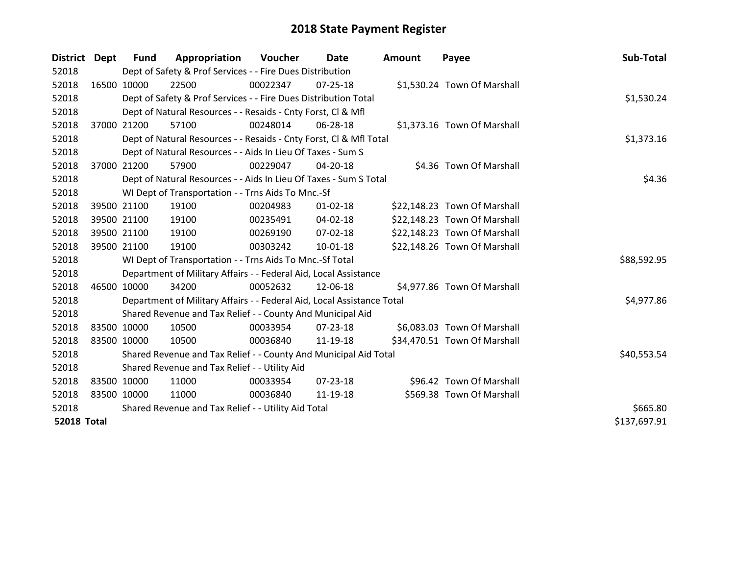| District Dept      | Fund        | Appropriation                                                          | Voucher  | Date           | <b>Amount</b> | Payee                        | Sub-Total    |
|--------------------|-------------|------------------------------------------------------------------------|----------|----------------|---------------|------------------------------|--------------|
| 52018              |             | Dept of Safety & Prof Services - - Fire Dues Distribution              |          |                |               |                              |              |
| 52018              | 16500 10000 | 22500                                                                  | 00022347 | $07 - 25 - 18$ |               | \$1,530.24 Town Of Marshall  |              |
| 52018              |             | Dept of Safety & Prof Services - - Fire Dues Distribution Total        |          |                |               |                              | \$1,530.24   |
| 52018              |             | Dept of Natural Resources - - Resaids - Cnty Forst, CI & Mfl           |          |                |               |                              |              |
| 52018              | 37000 21200 | 57100                                                                  | 00248014 | 06-28-18       |               | \$1,373.16 Town Of Marshall  |              |
| 52018              |             | Dept of Natural Resources - - Resaids - Cnty Forst, Cl & Mfl Total     |          | \$1,373.16     |               |                              |              |
| 52018              |             | Dept of Natural Resources - - Aids In Lieu Of Taxes - Sum S            |          |                |               |                              |              |
| 52018              | 37000 21200 | 57900                                                                  | 00229047 | 04-20-18       |               | \$4.36 Town Of Marshall      |              |
| 52018              |             | Dept of Natural Resources - - Aids In Lieu Of Taxes - Sum S Total      |          |                |               |                              | \$4.36       |
| 52018              |             | WI Dept of Transportation - - Trns Aids To Mnc.-Sf                     |          |                |               |                              |              |
| 52018              | 39500 21100 | 19100                                                                  | 00204983 | $01 - 02 - 18$ |               | \$22,148.23 Town Of Marshall |              |
| 52018              | 39500 21100 | 19100                                                                  | 00235491 | $04 - 02 - 18$ |               | \$22,148.23 Town Of Marshall |              |
| 52018              | 39500 21100 | 19100                                                                  | 00269190 | 07-02-18       |               | \$22,148.23 Town Of Marshall |              |
| 52018              | 39500 21100 | 19100                                                                  | 00303242 | $10 - 01 - 18$ |               | \$22,148.26 Town Of Marshall |              |
| 52018              |             | WI Dept of Transportation - - Trns Aids To Mnc.-Sf Total               |          |                |               |                              | \$88,592.95  |
| 52018              |             | Department of Military Affairs - - Federal Aid, Local Assistance       |          |                |               |                              |              |
| 52018              | 46500 10000 | 34200                                                                  | 00052632 | 12-06-18       |               | \$4,977.86 Town Of Marshall  |              |
| 52018              |             | Department of Military Affairs - - Federal Aid, Local Assistance Total |          |                |               |                              | \$4,977.86   |
| 52018              |             | Shared Revenue and Tax Relief - - County And Municipal Aid             |          |                |               |                              |              |
| 52018              | 83500 10000 | 10500                                                                  | 00033954 | $07 - 23 - 18$ |               | \$6,083.03 Town Of Marshall  |              |
| 52018              | 83500 10000 | 10500                                                                  | 00036840 | 11-19-18       |               | \$34,470.51 Town Of Marshall |              |
| 52018              |             | Shared Revenue and Tax Relief - - County And Municipal Aid Total       |          |                |               |                              | \$40,553.54  |
| 52018              |             | Shared Revenue and Tax Relief - - Utility Aid                          |          |                |               |                              |              |
| 52018              | 83500 10000 | 11000                                                                  | 00033954 | $07 - 23 - 18$ |               | \$96.42 Town Of Marshall     |              |
| 52018              | 83500 10000 | 11000                                                                  | 00036840 | 11-19-18       |               | \$569.38 Town Of Marshall    |              |
| 52018              |             | Shared Revenue and Tax Relief - - Utility Aid Total                    | \$665.80 |                |               |                              |              |
| <b>52018 Total</b> |             |                                                                        |          |                |               |                              | \$137,697.91 |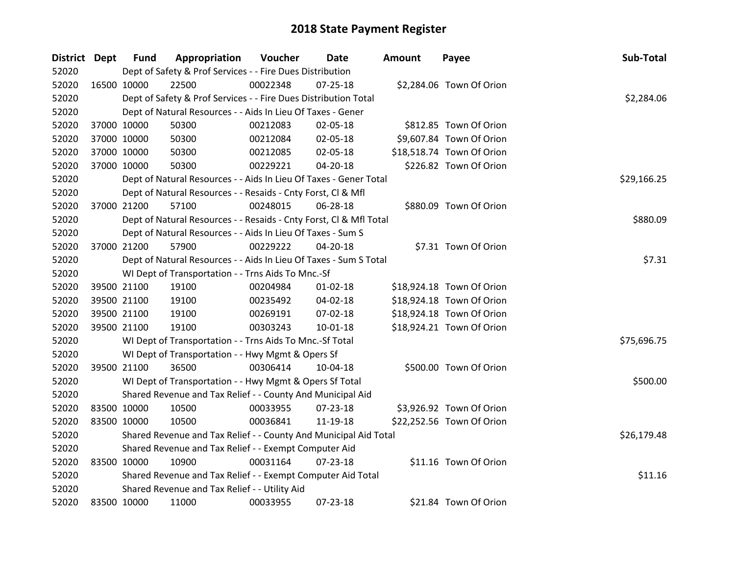| District Dept |             | <b>Fund</b> | Appropriation                                                      | Voucher  | Date           | <b>Amount</b> | Payee                     | Sub-Total   |
|---------------|-------------|-------------|--------------------------------------------------------------------|----------|----------------|---------------|---------------------------|-------------|
| 52020         |             |             | Dept of Safety & Prof Services - - Fire Dues Distribution          |          |                |               |                           |             |
| 52020         |             | 16500 10000 | 22500                                                              | 00022348 | $07 - 25 - 18$ |               | \$2,284.06 Town Of Orion  |             |
| 52020         |             |             | Dept of Safety & Prof Services - - Fire Dues Distribution Total    |          |                |               |                           | \$2,284.06  |
| 52020         |             |             | Dept of Natural Resources - - Aids In Lieu Of Taxes - Gener        |          |                |               |                           |             |
| 52020         |             | 37000 10000 | 50300                                                              | 00212083 | 02-05-18       |               | \$812.85 Town Of Orion    |             |
| 52020         |             | 37000 10000 | 50300                                                              | 00212084 | 02-05-18       |               | \$9,607.84 Town Of Orion  |             |
| 52020         |             | 37000 10000 | 50300                                                              | 00212085 | 02-05-18       |               | \$18,518.74 Town Of Orion |             |
| 52020         |             | 37000 10000 | 50300                                                              | 00229221 | $04 - 20 - 18$ |               | \$226.82 Town Of Orion    |             |
| 52020         |             |             | Dept of Natural Resources - - Aids In Lieu Of Taxes - Gener Total  |          |                |               |                           | \$29,166.25 |
| 52020         |             |             | Dept of Natural Resources - - Resaids - Cnty Forst, Cl & Mfl       |          |                |               |                           |             |
| 52020         |             | 37000 21200 | 57100                                                              | 00248015 | 06-28-18       |               | \$880.09 Town Of Orion    |             |
| 52020         |             |             | Dept of Natural Resources - - Resaids - Cnty Forst, Cl & Mfl Total |          |                |               |                           | \$880.09    |
| 52020         |             |             | Dept of Natural Resources - - Aids In Lieu Of Taxes - Sum S        |          |                |               |                           |             |
| 52020         |             | 37000 21200 | 57900                                                              | 00229222 | 04-20-18       |               | \$7.31 Town Of Orion      |             |
| 52020         |             |             | Dept of Natural Resources - - Aids In Lieu Of Taxes - Sum S Total  | \$7.31   |                |               |                           |             |
| 52020         |             |             | WI Dept of Transportation - - Trns Aids To Mnc.-Sf                 |          |                |               |                           |             |
| 52020         |             | 39500 21100 | 19100                                                              | 00204984 | $01 - 02 - 18$ |               | \$18,924.18 Town Of Orion |             |
| 52020         |             | 39500 21100 | 19100                                                              | 00235492 | 04-02-18       |               | \$18,924.18 Town Of Orion |             |
| 52020         |             | 39500 21100 | 19100                                                              | 00269191 | 07-02-18       |               | \$18,924.18 Town Of Orion |             |
| 52020         |             | 39500 21100 | 19100                                                              | 00303243 | $10 - 01 - 18$ |               | \$18,924.21 Town Of Orion |             |
| 52020         |             |             | WI Dept of Transportation - - Trns Aids To Mnc.-Sf Total           |          |                |               |                           | \$75,696.75 |
| 52020         |             |             | WI Dept of Transportation - - Hwy Mgmt & Opers Sf                  |          |                |               |                           |             |
| 52020         |             | 39500 21100 | 36500                                                              | 00306414 | 10-04-18       |               | \$500.00 Town Of Orion    |             |
| 52020         |             |             | WI Dept of Transportation - - Hwy Mgmt & Opers Sf Total            |          |                |               |                           | \$500.00    |
| 52020         |             |             | Shared Revenue and Tax Relief - - County And Municipal Aid         |          |                |               |                           |             |
| 52020         | 83500 10000 |             | 10500                                                              | 00033955 | 07-23-18       |               | \$3,926.92 Town Of Orion  |             |
| 52020         |             | 83500 10000 | 10500                                                              | 00036841 | 11-19-18       |               | \$22,252.56 Town Of Orion |             |
| 52020         |             |             | Shared Revenue and Tax Relief - - County And Municipal Aid Total   |          |                |               |                           | \$26,179.48 |
| 52020         |             |             | Shared Revenue and Tax Relief - - Exempt Computer Aid              |          |                |               |                           |             |
| 52020         | 83500 10000 |             | 10900                                                              | 00031164 | $07 - 23 - 18$ |               | \$11.16 Town Of Orion     |             |
| 52020         |             |             | Shared Revenue and Tax Relief - - Exempt Computer Aid Total        |          |                |               |                           | \$11.16     |
| 52020         |             |             | Shared Revenue and Tax Relief - - Utility Aid                      |          |                |               |                           |             |
| 52020         | 83500 10000 |             | 11000                                                              | 00033955 | 07-23-18       |               | \$21.84 Town Of Orion     |             |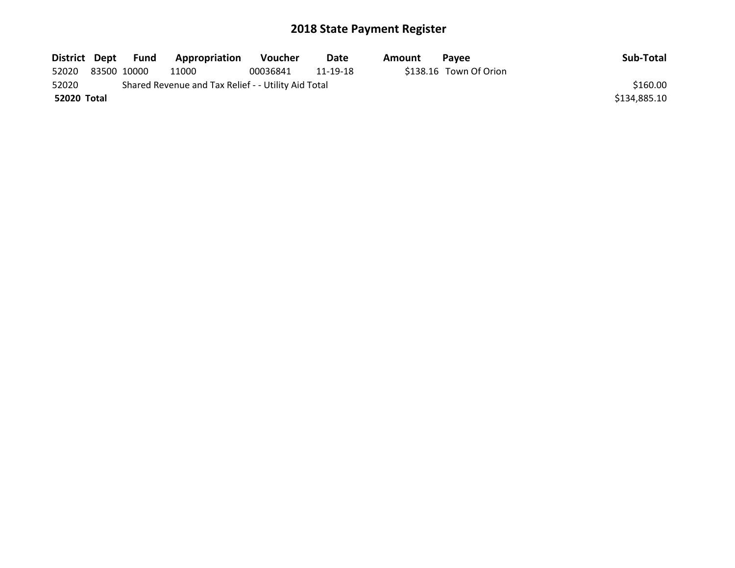| District Dept | Fund        | Appropriation                                       | <b>Voucher</b> | Date     | Amount | <b>Pavee</b>           | Sub-Total    |
|---------------|-------------|-----------------------------------------------------|----------------|----------|--------|------------------------|--------------|
| 52020         | 83500 10000 | 11000                                               | 00036841       | 11-19-18 |        | \$138.16 Town Of Orion |              |
| 52020         |             | Shared Revenue and Tax Relief - - Utility Aid Total |                |          |        |                        | \$160.00     |
| 52020 Total   |             |                                                     |                |          |        |                        | \$134,885.10 |
|               |             |                                                     |                |          |        |                        |              |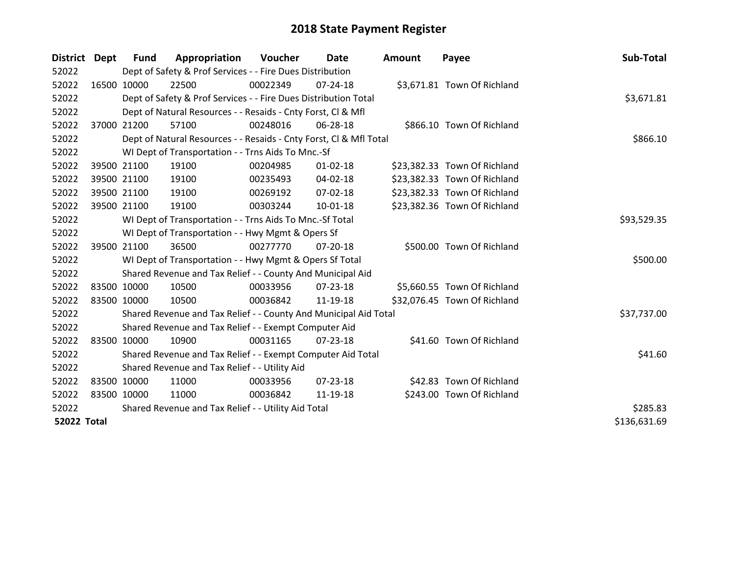| District Dept      |             | <b>Fund</b>                                         | Appropriation                                                      | Voucher  | Date           | <b>Amount</b> | Payee                        | Sub-Total    |
|--------------------|-------------|-----------------------------------------------------|--------------------------------------------------------------------|----------|----------------|---------------|------------------------------|--------------|
| 52022              |             |                                                     | Dept of Safety & Prof Services - - Fire Dues Distribution          |          |                |               |                              |              |
| 52022              |             | 16500 10000                                         | 22500                                                              | 00022349 | $07 - 24 - 18$ |               | \$3,671.81 Town Of Richland  |              |
| 52022              |             |                                                     | Dept of Safety & Prof Services - - Fire Dues Distribution Total    |          |                |               |                              | \$3,671.81   |
| 52022              |             |                                                     | Dept of Natural Resources - - Resaids - Cnty Forst, CI & Mfl       |          |                |               |                              |              |
| 52022              |             | 37000 21200                                         | 57100                                                              | 00248016 | 06-28-18       |               | \$866.10 Town Of Richland    |              |
| 52022              |             |                                                     | Dept of Natural Resources - - Resaids - Cnty Forst, Cl & Mfl Total |          |                |               |                              | \$866.10     |
| 52022              |             |                                                     | WI Dept of Transportation - - Trns Aids To Mnc.-Sf                 |          |                |               |                              |              |
| 52022              |             | 39500 21100                                         | 19100                                                              | 00204985 | $01 - 02 - 18$ |               | \$23,382.33 Town Of Richland |              |
| 52022              |             | 39500 21100                                         | 19100                                                              | 00235493 | 04-02-18       |               | \$23,382.33 Town Of Richland |              |
| 52022              |             | 39500 21100                                         | 19100                                                              | 00269192 | $07 - 02 - 18$ |               | \$23,382.33 Town Of Richland |              |
| 52022              |             | 39500 21100                                         | 19100                                                              | 00303244 | $10 - 01 - 18$ |               | \$23,382.36 Town Of Richland |              |
| 52022              |             |                                                     | WI Dept of Transportation - - Trns Aids To Mnc.-Sf Total           |          |                |               |                              | \$93,529.35  |
| 52022              |             |                                                     | WI Dept of Transportation - - Hwy Mgmt & Opers Sf                  |          |                |               |                              |              |
| 52022              |             | 39500 21100                                         | 36500                                                              | 00277770 | $07 - 20 - 18$ |               | \$500.00 Town Of Richland    |              |
| 52022              |             |                                                     | WI Dept of Transportation - - Hwy Mgmt & Opers Sf Total            |          |                |               |                              | \$500.00     |
| 52022              |             |                                                     | Shared Revenue and Tax Relief - - County And Municipal Aid         |          |                |               |                              |              |
| 52022              |             | 83500 10000                                         | 10500                                                              | 00033956 | $07 - 23 - 18$ |               | \$5,660.55 Town Of Richland  |              |
| 52022              |             | 83500 10000                                         | 10500                                                              | 00036842 | 11-19-18       |               | \$32,076.45 Town Of Richland |              |
| 52022              |             |                                                     | Shared Revenue and Tax Relief - - County And Municipal Aid Total   |          |                |               |                              | \$37,737.00  |
| 52022              |             |                                                     | Shared Revenue and Tax Relief - - Exempt Computer Aid              |          |                |               |                              |              |
| 52022              |             | 83500 10000                                         | 10900                                                              | 00031165 | $07 - 23 - 18$ |               | \$41.60 Town Of Richland     |              |
| 52022              |             |                                                     | Shared Revenue and Tax Relief - - Exempt Computer Aid Total        |          |                |               |                              | \$41.60      |
| 52022              |             |                                                     | Shared Revenue and Tax Relief - - Utility Aid                      |          |                |               |                              |              |
| 52022              |             | 83500 10000                                         | 11000                                                              | 00033956 | $07 - 23 - 18$ |               | \$42.83 Town Of Richland     |              |
| 52022              | 83500 10000 |                                                     | 11000                                                              | 00036842 | 11-19-18       |               | \$243.00 Town Of Richland    |              |
| 52022              |             | Shared Revenue and Tax Relief - - Utility Aid Total | \$285.83                                                           |          |                |               |                              |              |
| <b>52022 Total</b> |             |                                                     |                                                                    |          |                |               |                              | \$136,631.69 |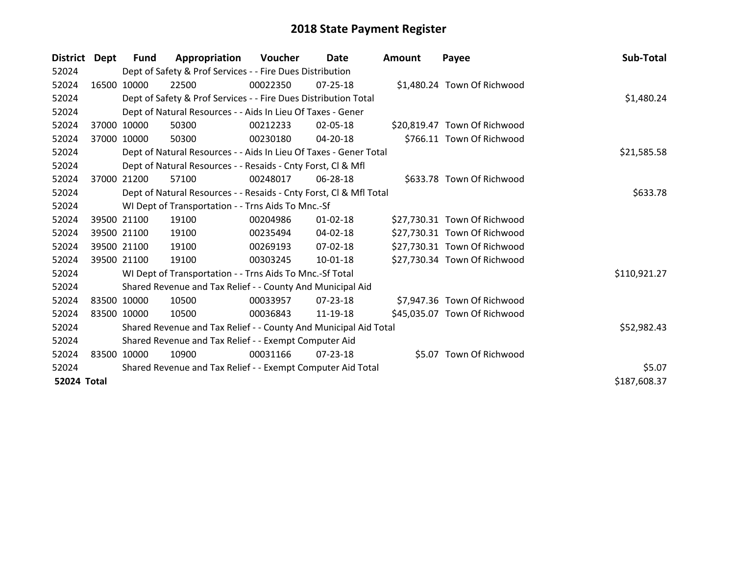| <b>District</b>    | Dept  | Fund        | Appropriation                                                      | Voucher  | Date           | Amount | Payee                        | Sub-Total    |
|--------------------|-------|-------------|--------------------------------------------------------------------|----------|----------------|--------|------------------------------|--------------|
| 52024              |       |             | Dept of Safety & Prof Services - - Fire Dues Distribution          |          |                |        |                              |              |
| 52024              |       | 16500 10000 | 22500                                                              | 00022350 | $07 - 25 - 18$ |        | \$1,480.24 Town Of Richwood  |              |
| 52024              |       |             | Dept of Safety & Prof Services - - Fire Dues Distribution Total    |          |                |        |                              | \$1,480.24   |
| 52024              |       |             | Dept of Natural Resources - - Aids In Lieu Of Taxes - Gener        |          |                |        |                              |              |
| 52024              | 37000 | 10000       | 50300                                                              | 00212233 | 02-05-18       |        | \$20,819.47 Town Of Richwood |              |
| 52024              |       | 37000 10000 | 50300                                                              | 00230180 | $04 - 20 - 18$ |        | \$766.11 Town Of Richwood    |              |
| 52024              |       |             | Dept of Natural Resources - - Aids In Lieu Of Taxes - Gener Total  |          |                |        |                              | \$21,585.58  |
| 52024              |       |             | Dept of Natural Resources - - Resaids - Cnty Forst, CI & Mfl       |          |                |        |                              |              |
| 52024              | 37000 | 21200       | 57100                                                              | 00248017 | 06-28-18       |        | \$633.78 Town Of Richwood    |              |
| 52024              |       |             | Dept of Natural Resources - - Resaids - Cnty Forst, Cl & Mfl Total |          |                |        |                              | \$633.78     |
| 52024              |       |             | WI Dept of Transportation - - Trns Aids To Mnc.-Sf                 |          |                |        |                              |              |
| 52024              |       | 39500 21100 | 19100                                                              | 00204986 | $01 - 02 - 18$ |        | \$27,730.31 Town Of Richwood |              |
| 52024              |       | 39500 21100 | 19100                                                              | 00235494 | 04-02-18       |        | \$27,730.31 Town Of Richwood |              |
| 52024              |       | 39500 21100 | 19100                                                              | 00269193 | 07-02-18       |        | \$27,730.31 Town Of Richwood |              |
| 52024              |       | 39500 21100 | 19100                                                              | 00303245 | 10-01-18       |        | \$27,730.34 Town Of Richwood |              |
| 52024              |       |             | WI Dept of Transportation - - Trns Aids To Mnc.-Sf Total           |          |                |        |                              | \$110,921.27 |
| 52024              |       |             | Shared Revenue and Tax Relief - - County And Municipal Aid         |          |                |        |                              |              |
| 52024              |       | 83500 10000 | 10500                                                              | 00033957 | 07-23-18       |        | \$7,947.36 Town Of Richwood  |              |
| 52024              |       | 83500 10000 | 10500                                                              | 00036843 | 11-19-18       |        | \$45,035.07 Town Of Richwood |              |
| 52024              |       |             | Shared Revenue and Tax Relief - - County And Municipal Aid Total   |          |                |        |                              | \$52,982.43  |
| 52024              |       |             | Shared Revenue and Tax Relief - - Exempt Computer Aid              |          |                |        |                              |              |
| 52024              |       | 83500 10000 | 10900                                                              | 00031166 | $07 - 23 - 18$ |        | \$5.07 Town Of Richwood      |              |
| 52024              |       |             | Shared Revenue and Tax Relief - - Exempt Computer Aid Total        |          |                |        |                              | \$5.07       |
| <b>52024 Total</b> |       |             |                                                                    |          |                |        |                              | \$187,608.37 |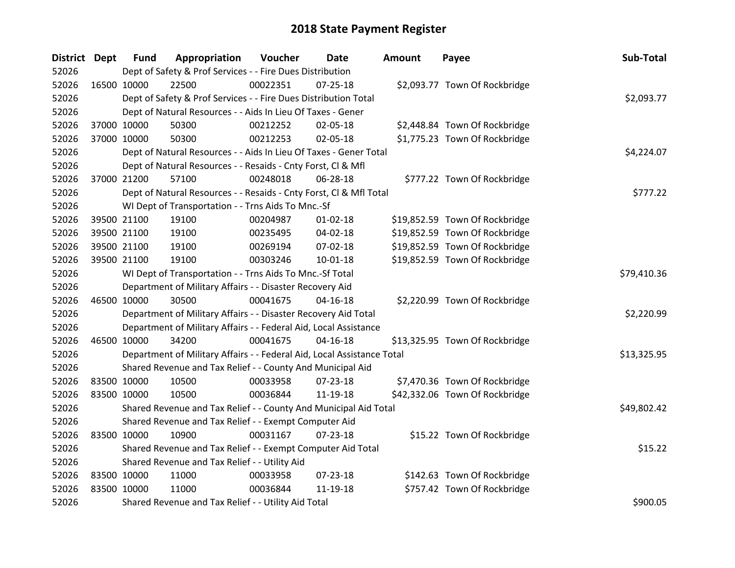| District Dept |             | <b>Fund</b> | Appropriation                                                          | Voucher     | <b>Date</b>    | <b>Amount</b> | Payee                          | Sub-Total   |
|---------------|-------------|-------------|------------------------------------------------------------------------|-------------|----------------|---------------|--------------------------------|-------------|
| 52026         |             |             | Dept of Safety & Prof Services - - Fire Dues Distribution              |             |                |               |                                |             |
| 52026         | 16500 10000 |             | 22500                                                                  | 00022351    | $07 - 25 - 18$ |               | \$2,093.77 Town Of Rockbridge  |             |
| 52026         |             |             | Dept of Safety & Prof Services - - Fire Dues Distribution Total        |             |                |               |                                | \$2,093.77  |
| 52026         |             |             | Dept of Natural Resources - - Aids In Lieu Of Taxes - Gener            |             |                |               |                                |             |
| 52026         |             | 37000 10000 | 50300                                                                  | 00212252    | 02-05-18       |               | \$2,448.84 Town Of Rockbridge  |             |
| 52026         |             | 37000 10000 | 50300                                                                  | 00212253    | $02 - 05 - 18$ |               | \$1,775.23 Town Of Rockbridge  |             |
| 52026         |             |             | Dept of Natural Resources - - Aids In Lieu Of Taxes - Gener Total      |             |                |               |                                | \$4,224.07  |
| 52026         |             |             | Dept of Natural Resources - - Resaids - Cnty Forst, Cl & Mfl           |             |                |               |                                |             |
| 52026         |             | 37000 21200 | 57100                                                                  | 00248018    | 06-28-18       |               | \$777.22 Town Of Rockbridge    |             |
| 52026         |             |             | Dept of Natural Resources - - Resaids - Cnty Forst, Cl & Mfl Total     |             |                |               |                                | \$777.22    |
| 52026         |             |             | WI Dept of Transportation - - Trns Aids To Mnc.-Sf                     |             |                |               |                                |             |
| 52026         |             | 39500 21100 | 19100                                                                  | 00204987    | $01 - 02 - 18$ |               | \$19,852.59 Town Of Rockbridge |             |
| 52026         |             | 39500 21100 | 19100                                                                  | 00235495    | 04-02-18       |               | \$19,852.59 Town Of Rockbridge |             |
| 52026         |             | 39500 21100 | 19100                                                                  | 00269194    | 07-02-18       |               | \$19,852.59 Town Of Rockbridge |             |
| 52026         |             | 39500 21100 | 19100                                                                  | 00303246    | $10 - 01 - 18$ |               | \$19,852.59 Town Of Rockbridge |             |
| 52026         |             |             | WI Dept of Transportation - - Trns Aids To Mnc.-Sf Total               | \$79,410.36 |                |               |                                |             |
| 52026         |             |             | Department of Military Affairs - - Disaster Recovery Aid               |             |                |               |                                |             |
| 52026         |             | 46500 10000 | 30500                                                                  | 00041675    | $04 - 16 - 18$ |               | \$2,220.99 Town Of Rockbridge  |             |
| 52026         |             |             | Department of Military Affairs - - Disaster Recovery Aid Total         |             |                |               |                                | \$2,220.99  |
| 52026         |             |             | Department of Military Affairs - - Federal Aid, Local Assistance       |             |                |               |                                |             |
| 52026         |             | 46500 10000 | 34200                                                                  | 00041675    | $04 - 16 - 18$ |               | \$13,325.95 Town Of Rockbridge |             |
| 52026         |             |             | Department of Military Affairs - - Federal Aid, Local Assistance Total |             |                |               |                                | \$13,325.95 |
| 52026         |             |             | Shared Revenue and Tax Relief - - County And Municipal Aid             |             |                |               |                                |             |
| 52026         | 83500 10000 |             | 10500                                                                  | 00033958    | 07-23-18       |               | \$7,470.36 Town Of Rockbridge  |             |
| 52026         |             | 83500 10000 | 10500                                                                  | 00036844    | 11-19-18       |               | \$42,332.06 Town Of Rockbridge |             |
| 52026         |             |             | Shared Revenue and Tax Relief - - County And Municipal Aid Total       |             |                |               |                                | \$49,802.42 |
| 52026         |             |             | Shared Revenue and Tax Relief - - Exempt Computer Aid                  |             |                |               |                                |             |
| 52026         |             | 83500 10000 | 10900                                                                  | 00031167    | $07 - 23 - 18$ |               | \$15.22 Town Of Rockbridge     |             |
| 52026         |             |             | Shared Revenue and Tax Relief - - Exempt Computer Aid Total            |             |                |               |                                | \$15.22     |
| 52026         |             |             | Shared Revenue and Tax Relief - - Utility Aid                          |             |                |               |                                |             |
| 52026         | 83500 10000 |             | 11000                                                                  | 00033958    | $07 - 23 - 18$ |               | \$142.63 Town Of Rockbridge    |             |
| 52026         |             | 83500 10000 | 11000                                                                  | 00036844    | 11-19-18       |               | \$757.42 Town Of Rockbridge    |             |
| 52026         |             |             | Shared Revenue and Tax Relief - - Utility Aid Total                    |             |                |               |                                | \$900.05    |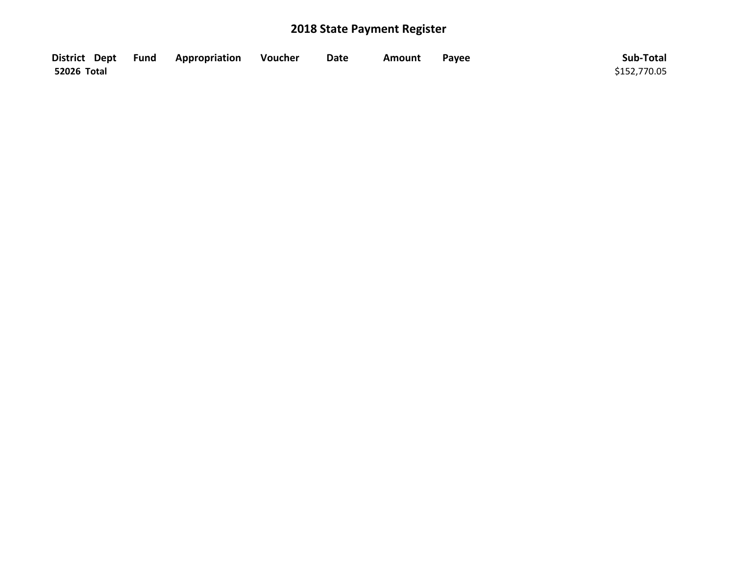|                    | District Dept Fund Appropriation | Voucher | <b>Date</b> | Amount | Payee | Sub-Total    |
|--------------------|----------------------------------|---------|-------------|--------|-------|--------------|
| <b>52026 Total</b> |                                  |         |             |        |       | \$152,770.05 |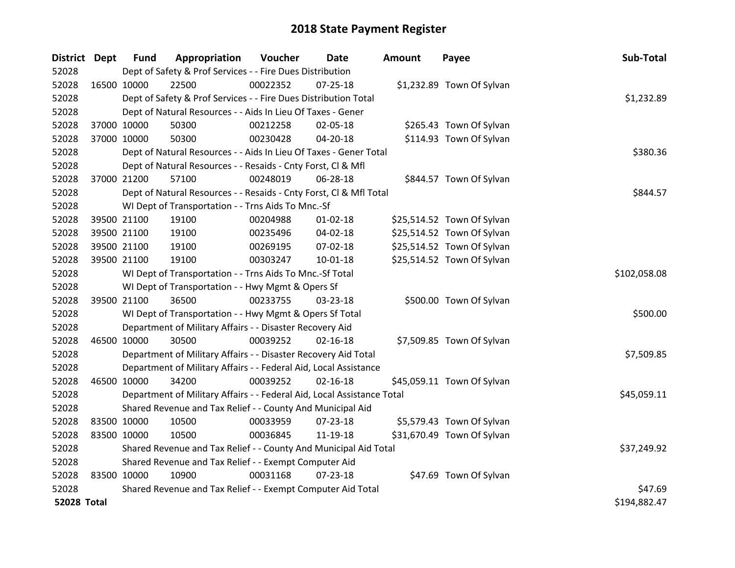| District Dept      |             | <b>Fund</b> | Appropriation                                                          | Voucher      | Date           | <b>Amount</b> | Payee                      | Sub-Total    |
|--------------------|-------------|-------------|------------------------------------------------------------------------|--------------|----------------|---------------|----------------------------|--------------|
| 52028              |             |             | Dept of Safety & Prof Services - - Fire Dues Distribution              |              |                |               |                            |              |
| 52028              | 16500 10000 |             | 22500                                                                  | 00022352     | $07 - 25 - 18$ |               | \$1,232.89 Town Of Sylvan  |              |
| 52028              |             |             | Dept of Safety & Prof Services - - Fire Dues Distribution Total        |              |                |               |                            | \$1,232.89   |
| 52028              |             |             | Dept of Natural Resources - - Aids In Lieu Of Taxes - Gener            |              |                |               |                            |              |
| 52028              | 37000 10000 |             | 50300                                                                  | 00212258     | 02-05-18       |               | \$265.43 Town Of Sylvan    |              |
| 52028              | 37000 10000 |             | 50300                                                                  | 00230428     | 04-20-18       |               | \$114.93 Town Of Sylvan    |              |
| 52028              |             |             | Dept of Natural Resources - - Aids In Lieu Of Taxes - Gener Total      |              |                |               |                            | \$380.36     |
| 52028              |             |             | Dept of Natural Resources - - Resaids - Cnty Forst, Cl & Mfl           |              |                |               |                            |              |
| 52028              | 37000 21200 |             | 57100                                                                  | 00248019     | 06-28-18       |               | \$844.57 Town Of Sylvan    |              |
| 52028              |             |             | Dept of Natural Resources - - Resaids - Cnty Forst, Cl & Mfl Total     |              |                |               |                            | \$844.57     |
| 52028              |             |             | WI Dept of Transportation - - Trns Aids To Mnc.-Sf                     |              |                |               |                            |              |
| 52028              | 39500 21100 |             | 19100                                                                  | 00204988     | $01 - 02 - 18$ |               | \$25,514.52 Town Of Sylvan |              |
| 52028              | 39500 21100 |             | 19100                                                                  | 00235496     | 04-02-18       |               | \$25,514.52 Town Of Sylvan |              |
| 52028              | 39500 21100 |             | 19100                                                                  | 00269195     | 07-02-18       |               | \$25,514.52 Town Of Sylvan |              |
| 52028              | 39500 21100 |             | 19100                                                                  | 00303247     | 10-01-18       |               | \$25,514.52 Town Of Sylvan |              |
| 52028              |             |             | WI Dept of Transportation - - Trns Aids To Mnc.-Sf Total               | \$102,058.08 |                |               |                            |              |
| 52028              |             |             | WI Dept of Transportation - - Hwy Mgmt & Opers Sf                      |              |                |               |                            |              |
| 52028              | 39500 21100 |             | 36500                                                                  | 00233755     | 03-23-18       |               | \$500.00 Town Of Sylvan    |              |
| 52028              |             |             | WI Dept of Transportation - - Hwy Mgmt & Opers Sf Total                |              |                |               |                            | \$500.00     |
| 52028              |             |             | Department of Military Affairs - - Disaster Recovery Aid               |              |                |               |                            |              |
| 52028              | 46500 10000 |             | 30500                                                                  | 00039252     | $02 - 16 - 18$ |               | \$7,509.85 Town Of Sylvan  |              |
| 52028              |             |             | Department of Military Affairs - - Disaster Recovery Aid Total         |              |                |               |                            | \$7,509.85   |
| 52028              |             |             | Department of Military Affairs - - Federal Aid, Local Assistance       |              |                |               |                            |              |
| 52028              | 46500 10000 |             | 34200                                                                  | 00039252     | $02 - 16 - 18$ |               | \$45,059.11 Town Of Sylvan |              |
| 52028              |             |             | Department of Military Affairs - - Federal Aid, Local Assistance Total |              |                |               |                            | \$45,059.11  |
| 52028              |             |             | Shared Revenue and Tax Relief - - County And Municipal Aid             |              |                |               |                            |              |
| 52028              | 83500 10000 |             | 10500                                                                  | 00033959     | 07-23-18       |               | \$5,579.43 Town Of Sylvan  |              |
| 52028              | 83500 10000 |             | 10500                                                                  | 00036845     | 11-19-18       |               | \$31,670.49 Town Of Sylvan |              |
| 52028              |             |             | Shared Revenue and Tax Relief - - County And Municipal Aid Total       |              |                |               |                            | \$37,249.92  |
| 52028              |             |             | Shared Revenue and Tax Relief - - Exempt Computer Aid                  |              |                |               |                            |              |
| 52028              | 83500 10000 |             | 10900                                                                  | 00031168     | 07-23-18       |               | \$47.69 Town Of Sylvan     |              |
| 52028              |             |             | Shared Revenue and Tax Relief - - Exempt Computer Aid Total            |              |                |               |                            | \$47.69      |
| <b>52028 Total</b> |             |             |                                                                        |              |                |               |                            | \$194,882.47 |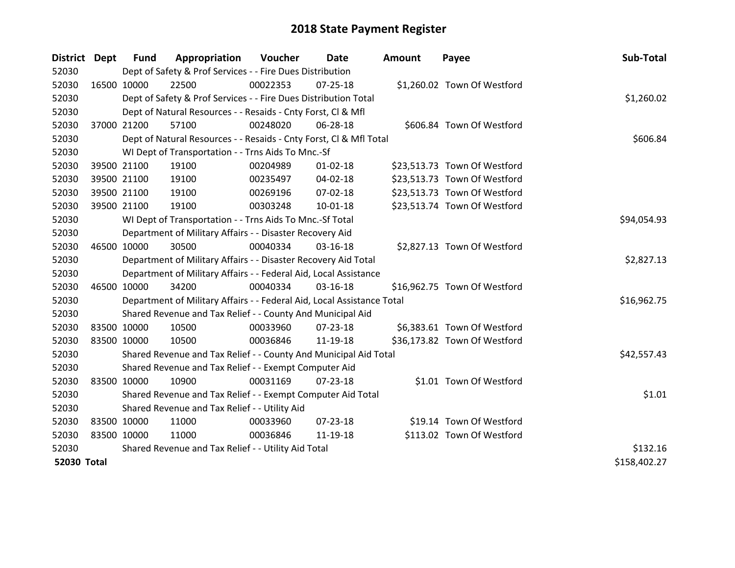| District Dept      |             | <b>Fund</b> | Appropriation                                                          | Voucher  | Date           | Amount | Payee                        | Sub-Total    |
|--------------------|-------------|-------------|------------------------------------------------------------------------|----------|----------------|--------|------------------------------|--------------|
| 52030              |             |             | Dept of Safety & Prof Services - - Fire Dues Distribution              |          |                |        |                              |              |
| 52030              | 16500 10000 |             | 22500                                                                  | 00022353 | $07 - 25 - 18$ |        | \$1,260.02 Town Of Westford  |              |
| 52030              |             |             | Dept of Safety & Prof Services - - Fire Dues Distribution Total        |          |                |        |                              | \$1,260.02   |
| 52030              |             |             | Dept of Natural Resources - - Resaids - Cnty Forst, Cl & Mfl           |          |                |        |                              |              |
| 52030              | 37000 21200 |             | 57100                                                                  | 00248020 | 06-28-18       |        | \$606.84 Town Of Westford    |              |
| 52030              |             |             | Dept of Natural Resources - - Resaids - Cnty Forst, Cl & Mfl Total     |          |                |        |                              | \$606.84     |
| 52030              |             |             | WI Dept of Transportation - - Trns Aids To Mnc.-Sf                     |          |                |        |                              |              |
| 52030              | 39500 21100 |             | 19100                                                                  | 00204989 | $01 - 02 - 18$ |        | \$23,513.73 Town Of Westford |              |
| 52030              | 39500 21100 |             | 19100                                                                  | 00235497 | 04-02-18       |        | \$23,513.73 Town Of Westford |              |
| 52030              | 39500 21100 |             | 19100                                                                  | 00269196 | 07-02-18       |        | \$23,513.73 Town Of Westford |              |
| 52030              | 39500 21100 |             | 19100                                                                  | 00303248 | $10 - 01 - 18$ |        | \$23,513.74 Town Of Westford |              |
| 52030              |             |             | WI Dept of Transportation - - Trns Aids To Mnc.-Sf Total               |          |                |        |                              | \$94,054.93  |
| 52030              |             |             | Department of Military Affairs - - Disaster Recovery Aid               |          |                |        |                              |              |
| 52030              | 46500 10000 |             | 30500                                                                  | 00040334 | 03-16-18       |        | \$2,827.13 Town Of Westford  |              |
| 52030              |             |             | Department of Military Affairs - - Disaster Recovery Aid Total         |          |                |        |                              | \$2,827.13   |
| 52030              |             |             | Department of Military Affairs - - Federal Aid, Local Assistance       |          |                |        |                              |              |
| 52030              | 46500 10000 |             | 34200                                                                  | 00040334 | $03 - 16 - 18$ |        | \$16,962.75 Town Of Westford |              |
| 52030              |             |             | Department of Military Affairs - - Federal Aid, Local Assistance Total |          |                |        |                              | \$16,962.75  |
| 52030              |             |             | Shared Revenue and Tax Relief - - County And Municipal Aid             |          |                |        |                              |              |
| 52030              | 83500 10000 |             | 10500                                                                  | 00033960 | $07 - 23 - 18$ |        | \$6,383.61 Town Of Westford  |              |
| 52030              | 83500 10000 |             | 10500                                                                  | 00036846 | 11-19-18       |        | \$36,173.82 Town Of Westford |              |
| 52030              |             |             | Shared Revenue and Tax Relief - - County And Municipal Aid Total       |          |                |        |                              | \$42,557.43  |
| 52030              |             |             | Shared Revenue and Tax Relief - - Exempt Computer Aid                  |          |                |        |                              |              |
| 52030              | 83500 10000 |             | 10900                                                                  | 00031169 | $07 - 23 - 18$ |        | \$1.01 Town Of Westford      |              |
| 52030              |             |             | Shared Revenue and Tax Relief - - Exempt Computer Aid Total            |          |                |        |                              | \$1.01       |
| 52030              |             |             | Shared Revenue and Tax Relief - - Utility Aid                          |          |                |        |                              |              |
| 52030              | 83500 10000 |             | 11000                                                                  | 00033960 | 07-23-18       |        | \$19.14 Town Of Westford     |              |
| 52030              | 83500 10000 |             | 11000                                                                  | 00036846 | 11-19-18       |        | \$113.02 Town Of Westford    |              |
| 52030              |             |             | Shared Revenue and Tax Relief - - Utility Aid Total                    |          |                |        |                              | \$132.16     |
| <b>52030 Total</b> |             |             |                                                                        |          |                |        |                              | \$158,402.27 |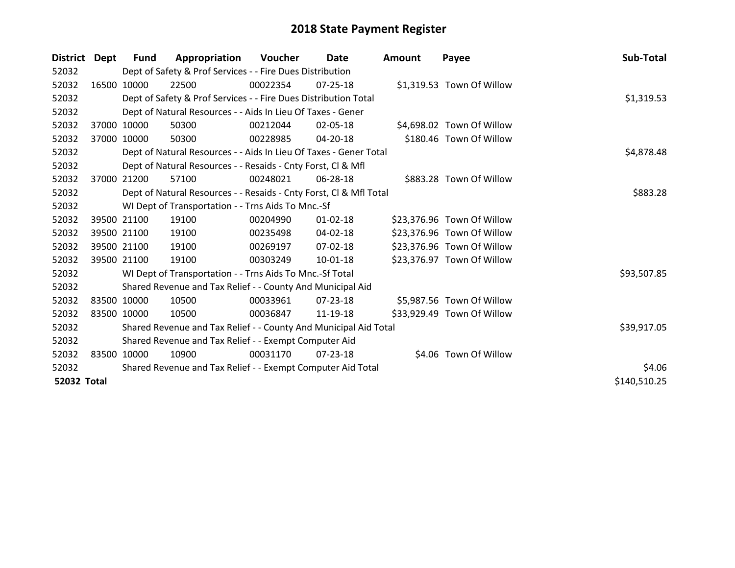| <b>District</b> | Dept        | Fund                                                         | Appropriation                                                      | Voucher  | Date           | <b>Amount</b> | Payee                      | Sub-Total    |
|-----------------|-------------|--------------------------------------------------------------|--------------------------------------------------------------------|----------|----------------|---------------|----------------------------|--------------|
| 52032           |             |                                                              | Dept of Safety & Prof Services - - Fire Dues Distribution          |          |                |               |                            |              |
| 52032           |             | 16500 10000                                                  | 22500                                                              | 00022354 | $07 - 25 - 18$ |               | \$1,319.53 Town Of Willow  |              |
| 52032           |             |                                                              | Dept of Safety & Prof Services - - Fire Dues Distribution Total    |          |                |               |                            | \$1,319.53   |
| 52032           |             |                                                              | Dept of Natural Resources - - Aids In Lieu Of Taxes - Gener        |          |                |               |                            |              |
| 52032           | 37000       | 10000                                                        | 50300                                                              | 00212044 | 02-05-18       |               | \$4,698.02 Town Of Willow  |              |
| 52032           |             | 37000 10000                                                  | 50300                                                              | 00228985 | 04-20-18       |               | \$180.46 Town Of Willow    |              |
| 52032           |             |                                                              | Dept of Natural Resources - - Aids In Lieu Of Taxes - Gener Total  |          |                |               |                            | \$4,878.48   |
| 52032           |             | Dept of Natural Resources - - Resaids - Cnty Forst, Cl & Mfl |                                                                    |          |                |               |                            |              |
| 52032           | 37000       | 21200                                                        | 57100                                                              | 00248021 | 06-28-18       |               | \$883.28 Town Of Willow    |              |
| 52032           |             |                                                              | Dept of Natural Resources - - Resaids - Cnty Forst, Cl & Mfl Total |          |                |               |                            | \$883.28     |
| 52032           |             |                                                              | WI Dept of Transportation - - Trns Aids To Mnc.-Sf                 |          |                |               |                            |              |
| 52032           |             | 39500 21100                                                  | 19100                                                              | 00204990 | $01 - 02 - 18$ |               | \$23,376.96 Town Of Willow |              |
| 52032           |             | 39500 21100                                                  | 19100                                                              | 00235498 | 04-02-18       |               | \$23,376.96 Town Of Willow |              |
| 52032           |             | 39500 21100                                                  | 19100                                                              | 00269197 | 07-02-18       |               | \$23,376.96 Town Of Willow |              |
| 52032           |             | 39500 21100                                                  | 19100                                                              | 00303249 | 10-01-18       |               | \$23,376.97 Town Of Willow |              |
| 52032           |             |                                                              | WI Dept of Transportation - - Trns Aids To Mnc.-Sf Total           |          |                |               |                            | \$93,507.85  |
| 52032           |             |                                                              | Shared Revenue and Tax Relief - - County And Municipal Aid         |          |                |               |                            |              |
| 52032           | 83500 10000 |                                                              | 10500                                                              | 00033961 | 07-23-18       |               | \$5,987.56 Town Of Willow  |              |
| 52032           |             | 83500 10000                                                  | 10500                                                              | 00036847 | 11-19-18       |               | \$33,929.49 Town Of Willow |              |
| 52032           |             |                                                              | Shared Revenue and Tax Relief - - County And Municipal Aid Total   |          |                |               |                            | \$39,917.05  |
| 52032           |             |                                                              | Shared Revenue and Tax Relief - - Exempt Computer Aid              |          |                |               |                            |              |
| 52032           |             | 83500 10000                                                  | 10900                                                              | 00031170 | 07-23-18       |               | \$4.06 Town Of Willow      |              |
| 52032           |             |                                                              | Shared Revenue and Tax Relief - - Exempt Computer Aid Total        |          |                |               |                            | \$4.06       |
| 52032 Total     |             |                                                              |                                                                    |          |                |               |                            | \$140,510.25 |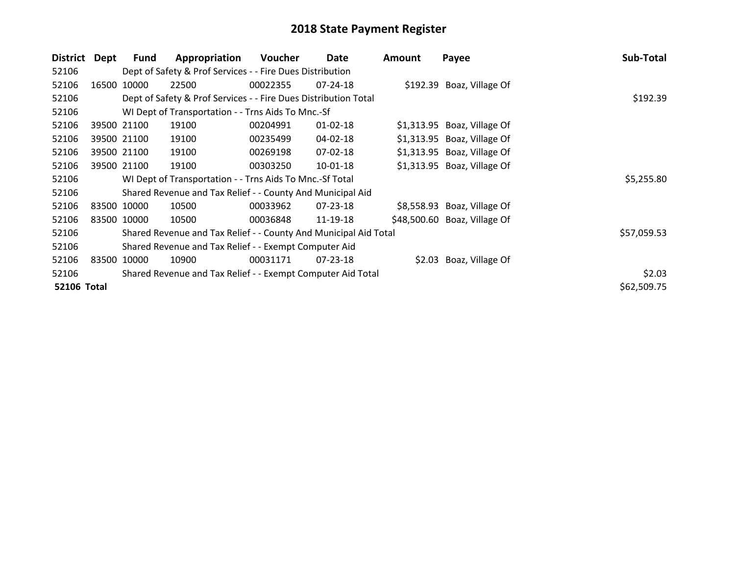| <b>District</b>    | <b>Dept</b> | Fund        | Appropriation                                                    | Voucher  | Date           | <b>Amount</b> | Payee                        | Sub-Total   |
|--------------------|-------------|-------------|------------------------------------------------------------------|----------|----------------|---------------|------------------------------|-------------|
| 52106              |             |             | Dept of Safety & Prof Services - - Fire Dues Distribution        |          |                |               |                              |             |
| 52106              |             | 16500 10000 | 22500                                                            | 00022355 | 07-24-18       |               | \$192.39 Boaz, Village Of    |             |
| 52106              |             |             | Dept of Safety & Prof Services - - Fire Dues Distribution Total  |          | \$192.39       |               |                              |             |
| 52106              |             |             | WI Dept of Transportation - - Trns Aids To Mnc.-Sf               |          |                |               |                              |             |
| 52106              |             | 39500 21100 | 19100                                                            | 00204991 | $01 - 02 - 18$ |               | $$1,313.95$ Boaz, Village Of |             |
| 52106              |             | 39500 21100 | 19100                                                            | 00235499 | 04-02-18       |               | $$1,313.95$ Boaz, Village Of |             |
| 52106              |             | 39500 21100 | 19100                                                            | 00269198 | 07-02-18       |               | \$1,313.95 Boaz, Village Of  |             |
| 52106              |             | 39500 21100 | 19100                                                            | 00303250 | 10-01-18       |               | \$1,313.95 Boaz, Village Of  |             |
| 52106              |             |             | WI Dept of Transportation - - Trns Aids To Mnc.-Sf Total         |          |                |               |                              | \$5,255.80  |
| 52106              |             |             | Shared Revenue and Tax Relief - - County And Municipal Aid       |          |                |               |                              |             |
| 52106              |             | 83500 10000 | 10500                                                            | 00033962 | $07 - 23 - 18$ |               | \$8,558.93 Boaz, Village Of  |             |
| 52106              |             | 83500 10000 | 10500                                                            | 00036848 | 11-19-18       |               | \$48,500.60 Boaz, Village Of |             |
| 52106              |             |             | Shared Revenue and Tax Relief - - County And Municipal Aid Total |          |                |               |                              | \$57,059.53 |
| 52106              |             |             | Shared Revenue and Tax Relief - - Exempt Computer Aid            |          |                |               |                              |             |
| 52106              | 83500       | 10000       | 10900                                                            | 00031171 | $07 - 23 - 18$ |               | \$2.03 Boaz, Village Of      |             |
| 52106              |             |             | Shared Revenue and Tax Relief - - Exempt Computer Aid Total      |          |                |               |                              | \$2.03      |
| <b>52106 Total</b> |             |             |                                                                  |          |                |               |                              | \$62,509.75 |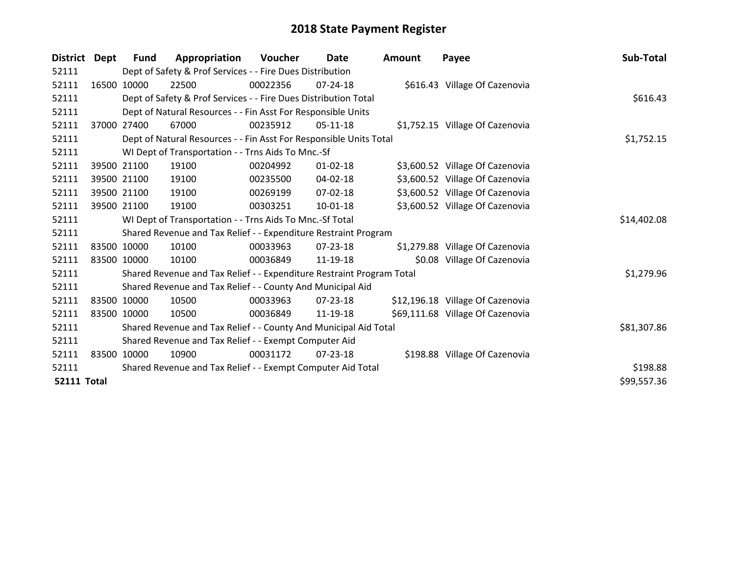| <b>District</b>    | Dept        | <b>Fund</b> | Appropriation                                                         | Voucher  | Date           | <b>Amount</b> | Payee                            | Sub-Total   |
|--------------------|-------------|-------------|-----------------------------------------------------------------------|----------|----------------|---------------|----------------------------------|-------------|
| 52111              |             |             | Dept of Safety & Prof Services - - Fire Dues Distribution             |          |                |               |                                  |             |
| 52111              |             | 16500 10000 | 22500                                                                 | 00022356 | 07-24-18       |               | \$616.43 Village Of Cazenovia    |             |
| 52111              |             |             | Dept of Safety & Prof Services - - Fire Dues Distribution Total       |          |                |               |                                  | \$616.43    |
| 52111              |             |             | Dept of Natural Resources - - Fin Asst For Responsible Units          |          |                |               |                                  |             |
| 52111              | 37000       | 27400       | 67000                                                                 | 00235912 | $05-11-18$     |               | \$1,752.15 Village Of Cazenovia  |             |
| 52111              |             |             | Dept of Natural Resources - - Fin Asst For Responsible Units Total    |          |                |               |                                  | \$1,752.15  |
| 52111              |             |             | WI Dept of Transportation - - Trns Aids To Mnc.-Sf                    |          |                |               |                                  |             |
| 52111              |             | 39500 21100 | 19100                                                                 | 00204992 | $01 - 02 - 18$ |               | \$3,600.52 Village Of Cazenovia  |             |
| 52111              |             | 39500 21100 | 19100                                                                 | 00235500 | 04-02-18       |               | \$3,600.52 Village Of Cazenovia  |             |
| 52111              |             | 39500 21100 | 19100                                                                 | 00269199 | $07 - 02 - 18$ |               | \$3,600.52 Village Of Cazenovia  |             |
| 52111              |             | 39500 21100 | 19100                                                                 | 00303251 | $10 - 01 - 18$ |               | \$3,600.52 Village Of Cazenovia  |             |
| 52111              |             |             | WI Dept of Transportation - - Trns Aids To Mnc.-Sf Total              |          |                |               |                                  | \$14,402.08 |
| 52111              |             |             | Shared Revenue and Tax Relief - - Expenditure Restraint Program       |          |                |               |                                  |             |
| 52111              |             | 83500 10000 | 10100                                                                 | 00033963 | $07 - 23 - 18$ |               | \$1,279.88 Village Of Cazenovia  |             |
| 52111              |             | 83500 10000 | 10100                                                                 | 00036849 | 11-19-18       |               | \$0.08 Village Of Cazenovia      |             |
| 52111              |             |             | Shared Revenue and Tax Relief - - Expenditure Restraint Program Total |          |                |               |                                  | \$1,279.96  |
| 52111              |             |             | Shared Revenue and Tax Relief - - County And Municipal Aid            |          |                |               |                                  |             |
| 52111              |             | 83500 10000 | 10500                                                                 | 00033963 | $07 - 23 - 18$ |               | \$12,196.18 Village Of Cazenovia |             |
| 52111              |             | 83500 10000 | 10500                                                                 | 00036849 | 11-19-18       |               | \$69,111.68 Village Of Cazenovia |             |
| 52111              |             |             | Shared Revenue and Tax Relief - - County And Municipal Aid Total      |          |                |               |                                  | \$81,307.86 |
| 52111              |             |             | Shared Revenue and Tax Relief - - Exempt Computer Aid                 |          |                |               |                                  |             |
| 52111              | 83500 10000 |             | 10900                                                                 | 00031172 | $07 - 23 - 18$ |               | \$198.88 Village Of Cazenovia    |             |
| 52111              |             |             | Shared Revenue and Tax Relief - - Exempt Computer Aid Total           |          |                |               |                                  | \$198.88    |
| <b>52111 Total</b> |             |             |                                                                       |          |                |               |                                  | \$99,557.36 |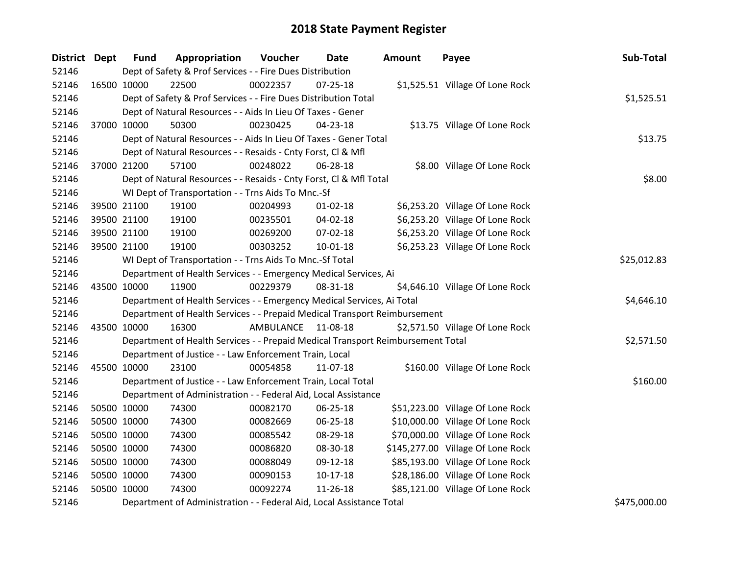| District Dept |             | <b>Fund</b> | Appropriation                                                                   | Voucher            | <b>Date</b>    | <b>Amount</b> | Payee                             | Sub-Total    |
|---------------|-------------|-------------|---------------------------------------------------------------------------------|--------------------|----------------|---------------|-----------------------------------|--------------|
| 52146         |             |             | Dept of Safety & Prof Services - - Fire Dues Distribution                       |                    |                |               |                                   |              |
| 52146         |             | 16500 10000 | 22500                                                                           | 00022357           | $07 - 25 - 18$ |               | \$1,525.51 Village Of Lone Rock   |              |
| 52146         |             |             | Dept of Safety & Prof Services - - Fire Dues Distribution Total                 |                    |                |               |                                   | \$1,525.51   |
| 52146         |             |             | Dept of Natural Resources - - Aids In Lieu Of Taxes - Gener                     |                    |                |               |                                   |              |
| 52146         |             | 37000 10000 | 50300                                                                           | 00230425           | 04-23-18       |               | \$13.75 Village Of Lone Rock      |              |
| 52146         |             |             | Dept of Natural Resources - - Aids In Lieu Of Taxes - Gener Total               |                    |                |               |                                   | \$13.75      |
| 52146         |             |             | Dept of Natural Resources - - Resaids - Cnty Forst, Cl & Mfl                    |                    |                |               |                                   |              |
| 52146         |             | 37000 21200 | 57100                                                                           | 00248022           | 06-28-18       |               | \$8.00 Village Of Lone Rock       |              |
| 52146         |             |             | Dept of Natural Resources - - Resaids - Cnty Forst, Cl & Mfl Total              |                    |                |               |                                   | \$8.00       |
| 52146         |             |             | WI Dept of Transportation - - Trns Aids To Mnc.-Sf                              |                    |                |               |                                   |              |
| 52146         |             | 39500 21100 | 19100                                                                           | 00204993           | $01 - 02 - 18$ |               | \$6,253.20 Village Of Lone Rock   |              |
| 52146         |             | 39500 21100 | 19100                                                                           | 00235501           | 04-02-18       |               | \$6,253.20 Village Of Lone Rock   |              |
| 52146         |             | 39500 21100 | 19100                                                                           | 00269200           | 07-02-18       |               | \$6,253.20 Village Of Lone Rock   |              |
| 52146         |             | 39500 21100 | 19100                                                                           | 00303252           | $10 - 01 - 18$ |               | \$6,253.23 Village Of Lone Rock   |              |
| 52146         |             |             | WI Dept of Transportation - - Trns Aids To Mnc.-Sf Total                        | \$25,012.83        |                |               |                                   |              |
| 52146         |             |             | Department of Health Services - - Emergency Medical Services, Ai                |                    |                |               |                                   |              |
| 52146         |             | 43500 10000 | 11900                                                                           | 00229379           | 08-31-18       |               | \$4,646.10 Village Of Lone Rock   |              |
| 52146         |             |             | Department of Health Services - - Emergency Medical Services, Ai Total          |                    |                |               |                                   | \$4,646.10   |
| 52146         |             |             | Department of Health Services - - Prepaid Medical Transport Reimbursement       |                    |                |               |                                   |              |
| 52146         | 43500 10000 |             | 16300                                                                           | AMBULANCE 11-08-18 |                |               | \$2,571.50 Village Of Lone Rock   |              |
| 52146         |             |             | Department of Health Services - - Prepaid Medical Transport Reimbursement Total |                    |                |               |                                   | \$2,571.50   |
| 52146         |             |             | Department of Justice - - Law Enforcement Train, Local                          |                    |                |               |                                   |              |
| 52146         | 45500 10000 |             | 23100                                                                           | 00054858           | 11-07-18       |               | \$160.00 Village Of Lone Rock     |              |
| 52146         |             |             | Department of Justice - - Law Enforcement Train, Local Total                    |                    |                |               |                                   | \$160.00     |
| 52146         |             |             | Department of Administration - - Federal Aid, Local Assistance                  |                    |                |               |                                   |              |
| 52146         |             | 50500 10000 | 74300                                                                           | 00082170           | 06-25-18       |               | \$51,223.00 Village Of Lone Rock  |              |
| 52146         |             | 50500 10000 | 74300                                                                           | 00082669           | 06-25-18       |               | \$10,000.00 Village Of Lone Rock  |              |
| 52146         |             | 50500 10000 | 74300                                                                           | 00085542           | 08-29-18       |               | \$70,000.00 Village Of Lone Rock  |              |
| 52146         |             | 50500 10000 | 74300                                                                           | 00086820           | 08-30-18       |               | \$145,277.00 Village Of Lone Rock |              |
| 52146         |             | 50500 10000 | 74300                                                                           | 00088049           | 09-12-18       |               | \$85,193.00 Village Of Lone Rock  |              |
| 52146         |             | 50500 10000 | 74300                                                                           | 00090153           | $10-17-18$     |               | \$28,186.00 Village Of Lone Rock  |              |
| 52146         | 50500 10000 |             | 74300                                                                           | 00092274           | 11-26-18       |               | \$85,121.00 Village Of Lone Rock  |              |
| 52146         |             |             | Department of Administration - - Federal Aid, Local Assistance Total            |                    |                |               |                                   | \$475,000.00 |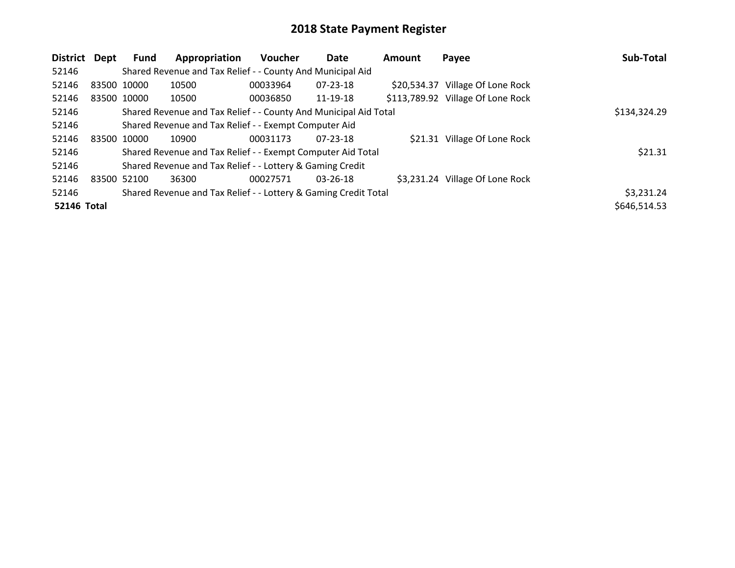| <b>District</b>    | Dept        | Fund | Appropriation                                                    | <b>Voucher</b> | Date           | <b>Amount</b> | Payee                             | Sub-Total    |
|--------------------|-------------|------|------------------------------------------------------------------|----------------|----------------|---------------|-----------------------------------|--------------|
| 52146              |             |      | Shared Revenue and Tax Relief - - County And Municipal Aid       |                |                |               |                                   |              |
| 52146              | 83500 10000 |      | 10500                                                            | 00033964       | $07 - 23 - 18$ |               | \$20,534.37 Village Of Lone Rock  |              |
| 52146              | 83500 10000 |      | 10500                                                            | 00036850       | 11-19-18       |               | \$113,789.92 Village Of Lone Rock |              |
| 52146              |             |      | Shared Revenue and Tax Relief - - County And Municipal Aid Total |                |                |               |                                   | \$134,324.29 |
| 52146              |             |      | Shared Revenue and Tax Relief - - Exempt Computer Aid            |                |                |               |                                   |              |
| 52146              | 83500 10000 |      | 10900                                                            | 00031173       | $07 - 23 - 18$ |               | \$21.31 Village Of Lone Rock      |              |
| 52146              |             |      | Shared Revenue and Tax Relief - - Exempt Computer Aid Total      |                |                |               |                                   | \$21.31      |
| 52146              |             |      | Shared Revenue and Tax Relief - - Lottery & Gaming Credit        |                |                |               |                                   |              |
| 52146              | 83500 52100 |      | 36300                                                            | 00027571       | $03 - 26 - 18$ |               | \$3,231.24 Village Of Lone Rock   |              |
| 52146              |             |      | Shared Revenue and Tax Relief - - Lottery & Gaming Credit Total  |                |                |               |                                   | \$3,231.24   |
| <b>52146 Total</b> |             |      |                                                                  |                |                |               |                                   | \$646,514.53 |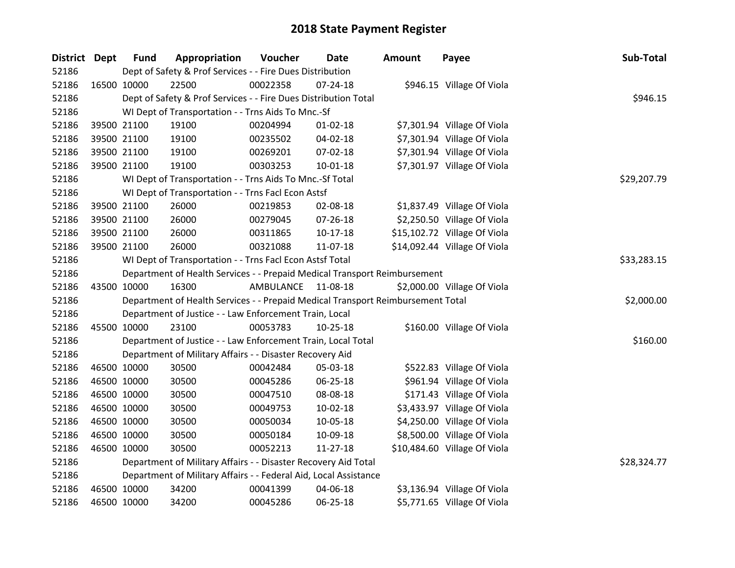| District Dept |             | <b>Fund</b>                                              | Appropriation                                                                   | Voucher   | Date           | <b>Amount</b> | Payee                        | Sub-Total   |
|---------------|-------------|----------------------------------------------------------|---------------------------------------------------------------------------------|-----------|----------------|---------------|------------------------------|-------------|
| 52186         |             |                                                          | Dept of Safety & Prof Services - - Fire Dues Distribution                       |           |                |               |                              |             |
| 52186         | 16500 10000 |                                                          | 22500                                                                           | 00022358  | $07 - 24 - 18$ |               | \$946.15 Village Of Viola    |             |
| 52186         |             |                                                          | Dept of Safety & Prof Services - - Fire Dues Distribution Total                 |           | \$946.15       |               |                              |             |
| 52186         |             |                                                          | WI Dept of Transportation - - Trns Aids To Mnc.-Sf                              |           |                |               |                              |             |
| 52186         |             | 39500 21100                                              | 19100                                                                           | 00204994  | $01 - 02 - 18$ |               | \$7,301.94 Village Of Viola  |             |
| 52186         |             | 39500 21100                                              | 19100                                                                           | 00235502  | 04-02-18       |               | \$7,301.94 Village Of Viola  |             |
| 52186         |             | 39500 21100                                              | 19100                                                                           | 00269201  | 07-02-18       |               | \$7,301.94 Village Of Viola  |             |
| 52186         |             | 39500 21100                                              | 19100                                                                           | 00303253  | $10-01-18$     |               | \$7,301.97 Village Of Viola  |             |
| 52186         |             |                                                          | WI Dept of Transportation - - Trns Aids To Mnc.-Sf Total                        |           |                |               |                              | \$29,207.79 |
| 52186         |             |                                                          | WI Dept of Transportation - - Trns Facl Econ Astsf                              |           |                |               |                              |             |
| 52186         |             | 39500 21100                                              | 26000                                                                           | 00219853  | 02-08-18       |               | \$1,837.49 Village Of Viola  |             |
| 52186         |             | 39500 21100                                              | 26000                                                                           | 00279045  | 07-26-18       |               | \$2,250.50 Village Of Viola  |             |
| 52186         |             | 39500 21100                                              | 26000                                                                           | 00311865  | $10-17-18$     |               | \$15,102.72 Village Of Viola |             |
| 52186         |             | 39500 21100                                              | 26000                                                                           | 00321088  | 11-07-18       |               | \$14,092.44 Village Of Viola |             |
| 52186         |             | WI Dept of Transportation - - Trns Facl Econ Astsf Total | \$33,283.15                                                                     |           |                |               |                              |             |
| 52186         |             |                                                          | Department of Health Services - - Prepaid Medical Transport Reimbursement       |           |                |               |                              |             |
| 52186         | 43500 10000 |                                                          | 16300                                                                           | AMBULANCE | 11-08-18       |               | \$2,000.00 Village Of Viola  |             |
| 52186         |             |                                                          | Department of Health Services - - Prepaid Medical Transport Reimbursement Total |           |                |               |                              | \$2,000.00  |
| 52186         |             |                                                          | Department of Justice - - Law Enforcement Train, Local                          |           |                |               |                              |             |
| 52186         |             | 45500 10000                                              | 23100                                                                           | 00053783  | 10-25-18       |               | \$160.00 Village Of Viola    |             |
| 52186         |             |                                                          | Department of Justice - - Law Enforcement Train, Local Total                    |           |                |               |                              | \$160.00    |
| 52186         |             |                                                          | Department of Military Affairs - - Disaster Recovery Aid                        |           |                |               |                              |             |
| 52186         |             | 46500 10000                                              | 30500                                                                           | 00042484  | 05-03-18       |               | \$522.83 Village Of Viola    |             |
| 52186         |             | 46500 10000                                              | 30500                                                                           | 00045286  | 06-25-18       |               | \$961.94 Village Of Viola    |             |
| 52186         |             | 46500 10000                                              | 30500                                                                           | 00047510  | 08-08-18       |               | \$171.43 Village Of Viola    |             |
| 52186         |             | 46500 10000                                              | 30500                                                                           | 00049753  | $10-02-18$     |               | \$3,433.97 Village Of Viola  |             |
| 52186         |             | 46500 10000                                              | 30500                                                                           | 00050034  | 10-05-18       |               | \$4,250.00 Village Of Viola  |             |
| 52186         |             | 46500 10000                                              | 30500                                                                           | 00050184  | 10-09-18       |               | \$8,500.00 Village Of Viola  |             |
| 52186         |             | 46500 10000                                              | 30500                                                                           | 00052213  | $11 - 27 - 18$ |               | \$10,484.60 Village Of Viola |             |
| 52186         |             |                                                          | Department of Military Affairs - - Disaster Recovery Aid Total                  |           |                |               |                              | \$28,324.77 |
| 52186         |             |                                                          | Department of Military Affairs - - Federal Aid, Local Assistance                |           |                |               |                              |             |
| 52186         |             | 46500 10000                                              | 34200                                                                           | 00041399  | 04-06-18       |               | \$3,136.94 Village Of Viola  |             |
| 52186         |             | 46500 10000                                              | 34200                                                                           | 00045286  | 06-25-18       |               | \$5,771.65 Village Of Viola  |             |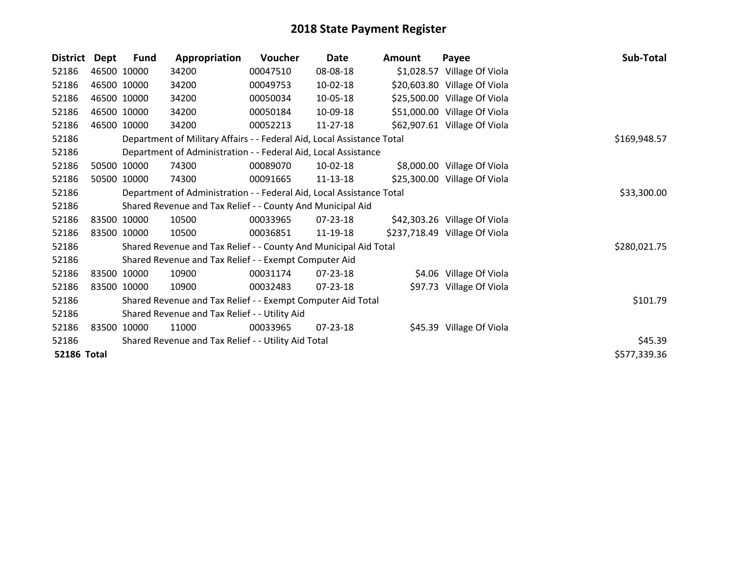| <b>District</b>    | <b>Dept</b> | Fund                                                                 | Appropriation                                                          | Voucher  | <b>Date</b> | <b>Amount</b> | Payee                         | Sub-Total    |
|--------------------|-------------|----------------------------------------------------------------------|------------------------------------------------------------------------|----------|-------------|---------------|-------------------------------|--------------|
| 52186              |             | 46500 10000                                                          | 34200                                                                  | 00047510 | 08-08-18    |               | \$1,028.57 Village Of Viola   |              |
| 52186              |             | 46500 10000                                                          | 34200                                                                  | 00049753 | 10-02-18    |               | \$20,603.80 Village Of Viola  |              |
| 52186              |             | 46500 10000                                                          | 34200                                                                  | 00050034 | 10-05-18    |               | \$25,500.00 Village Of Viola  |              |
| 52186              |             | 46500 10000                                                          | 34200                                                                  | 00050184 | 10-09-18    |               | \$51,000.00 Village Of Viola  |              |
| 52186              | 46500 10000 |                                                                      | 34200                                                                  | 00052213 | 11-27-18    |               | \$62,907.61 Village Of Viola  |              |
| 52186              |             |                                                                      | Department of Military Affairs - - Federal Aid, Local Assistance Total |          |             |               |                               | \$169,948.57 |
| 52186              |             |                                                                      | Department of Administration - - Federal Aid, Local Assistance         |          |             |               |                               |              |
| 52186              |             | 50500 10000                                                          | 74300                                                                  | 00089070 | 10-02-18    |               | \$8,000.00 Village Of Viola   |              |
| 52186              |             | 50500 10000                                                          | 74300                                                                  | 00091665 | 11-13-18    |               | \$25,300.00 Village Of Viola  |              |
| 52186              |             | Department of Administration - - Federal Aid, Local Assistance Total | \$33,300.00                                                            |          |             |               |                               |              |
| 52186              |             |                                                                      | Shared Revenue and Tax Relief - - County And Municipal Aid             |          |             |               |                               |              |
| 52186              |             | 83500 10000                                                          | 10500                                                                  | 00033965 | 07-23-18    |               | \$42,303.26 Village Of Viola  |              |
| 52186              |             | 83500 10000                                                          | 10500                                                                  | 00036851 | 11-19-18    |               | \$237,718.49 Village Of Viola |              |
| 52186              |             |                                                                      | Shared Revenue and Tax Relief - - County And Municipal Aid Total       |          |             |               |                               | \$280,021.75 |
| 52186              |             |                                                                      | Shared Revenue and Tax Relief - - Exempt Computer Aid                  |          |             |               |                               |              |
| 52186              |             | 83500 10000                                                          | 10900                                                                  | 00031174 | 07-23-18    |               | \$4.06 Village Of Viola       |              |
| 52186              |             | 83500 10000                                                          | 10900                                                                  | 00032483 | 07-23-18    |               | \$97.73 Village Of Viola      |              |
| 52186              |             |                                                                      | Shared Revenue and Tax Relief - - Exempt Computer Aid Total            |          |             |               |                               | \$101.79     |
| 52186              |             | Shared Revenue and Tax Relief - - Utility Aid                        |                                                                        |          |             |               |                               |              |
| 52186              | 83500       | 10000                                                                | 11000                                                                  | 00033965 | 07-23-18    |               | \$45.39 Village Of Viola      |              |
| 52186              |             |                                                                      | Shared Revenue and Tax Relief - - Utility Aid Total                    |          |             |               |                               | \$45.39      |
| <b>52186 Total</b> |             |                                                                      |                                                                        |          |             |               |                               | \$577,339.36 |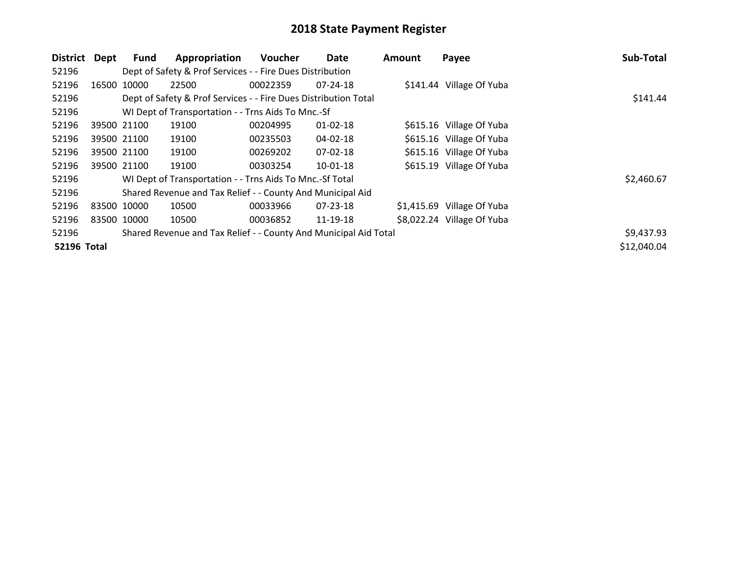| <b>District</b>    | Dept        | <b>Fund</b>                                               | Appropriation                                                    | <b>Voucher</b> | Date           | <b>Amount</b> | Payee                      | Sub-Total   |
|--------------------|-------------|-----------------------------------------------------------|------------------------------------------------------------------|----------------|----------------|---------------|----------------------------|-------------|
| 52196              |             | Dept of Safety & Prof Services - - Fire Dues Distribution |                                                                  |                |                |               |                            |             |
| 52196              |             | 16500 10000                                               | 22500                                                            | 00022359       | $07 - 24 - 18$ |               | \$141.44 Village Of Yuba   |             |
| 52196              |             |                                                           | Dept of Safety & Prof Services - - Fire Dues Distribution Total  |                |                |               |                            | \$141.44    |
| 52196              |             |                                                           | WI Dept of Transportation - - Trns Aids To Mnc.-Sf               |                |                |               |                            |             |
| 52196              |             | 39500 21100                                               | 19100                                                            | 00204995       | $01 - 02 - 18$ |               | \$615.16 Village Of Yuba   |             |
| 52196              |             | 39500 21100                                               | 19100                                                            | 00235503       | 04-02-18       |               | \$615.16 Village Of Yuba   |             |
| 52196              |             | 39500 21100                                               | 19100                                                            | 00269202       | 07-02-18       |               | \$615.16 Village Of Yuba   |             |
| 52196              |             | 39500 21100                                               | 19100                                                            | 00303254       | $10 - 01 - 18$ |               | \$615.19 Village Of Yuba   |             |
| 52196              |             |                                                           | WI Dept of Transportation - - Trns Aids To Mnc.-Sf Total         |                |                |               |                            | \$2,460.67  |
| 52196              |             |                                                           | Shared Revenue and Tax Relief - - County And Municipal Aid       |                |                |               |                            |             |
| 52196              | 83500 10000 |                                                           | 10500                                                            | 00033966       | 07-23-18       |               | \$1,415.69 Village Of Yuba |             |
| 52196              | 83500 10000 |                                                           | 10500                                                            | 00036852       | 11-19-18       |               | \$8,022.24 Village Of Yuba |             |
| 52196              |             |                                                           | Shared Revenue and Tax Relief - - County And Municipal Aid Total |                |                |               |                            | \$9,437.93  |
| <b>52196 Total</b> |             |                                                           |                                                                  |                |                |               |                            | \$12,040.04 |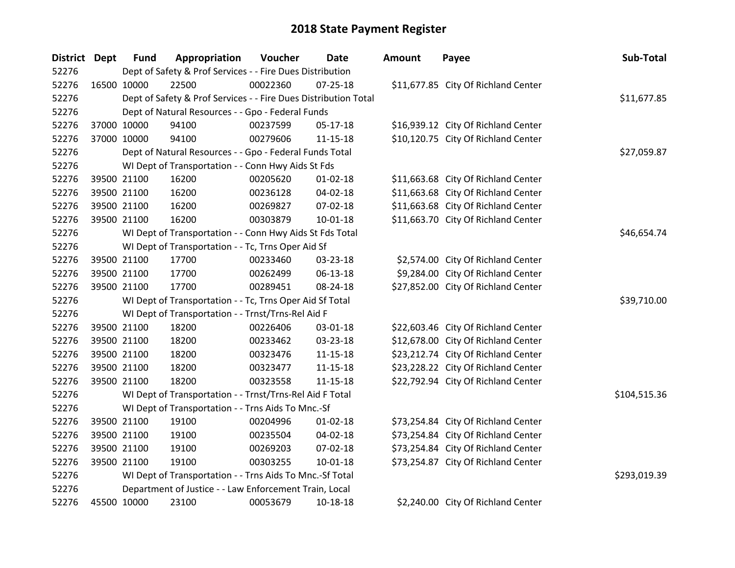| District Dept | <b>Fund</b>                                               | Appropriation                                                   | Voucher  | <b>Date</b>    | <b>Amount</b> | Payee                               | Sub-Total    |
|---------------|-----------------------------------------------------------|-----------------------------------------------------------------|----------|----------------|---------------|-------------------------------------|--------------|
| 52276         | Dept of Safety & Prof Services - - Fire Dues Distribution |                                                                 |          |                |               |                                     |              |
| 52276         | 16500 10000                                               | 22500                                                           | 00022360 | $07 - 25 - 18$ |               | \$11,677.85 City Of Richland Center |              |
| 52276         |                                                           | Dept of Safety & Prof Services - - Fire Dues Distribution Total |          |                |               |                                     | \$11,677.85  |
| 52276         |                                                           | Dept of Natural Resources - - Gpo - Federal Funds               |          |                |               |                                     |              |
| 52276         | 37000 10000                                               | 94100                                                           | 00237599 | 05-17-18       |               | \$16,939.12 City Of Richland Center |              |
| 52276         | 37000 10000                                               | 94100                                                           | 00279606 | $11 - 15 - 18$ |               | \$10,120.75 City Of Richland Center |              |
| 52276         |                                                           | Dept of Natural Resources - - Gpo - Federal Funds Total         |          |                |               |                                     | \$27,059.87  |
| 52276         |                                                           | WI Dept of Transportation - - Conn Hwy Aids St Fds              |          |                |               |                                     |              |
| 52276         | 39500 21100                                               | 16200                                                           | 00205620 | $01 - 02 - 18$ |               | \$11,663.68 City Of Richland Center |              |
| 52276         | 39500 21100                                               | 16200                                                           | 00236128 | 04-02-18       |               | \$11,663.68 City Of Richland Center |              |
| 52276         | 39500 21100                                               | 16200                                                           | 00269827 | 07-02-18       |               | \$11,663.68 City Of Richland Center |              |
| 52276         | 39500 21100                                               | 16200                                                           | 00303879 | 10-01-18       |               | \$11,663.70 City Of Richland Center |              |
| 52276         |                                                           | WI Dept of Transportation - - Conn Hwy Aids St Fds Total        |          |                |               |                                     | \$46,654.74  |
| 52276         |                                                           | WI Dept of Transportation - - Tc, Trns Oper Aid Sf              |          |                |               |                                     |              |
| 52276         | 39500 21100                                               | 17700                                                           | 00233460 | 03-23-18       |               | \$2,574.00 City Of Richland Center  |              |
| 52276         | 39500 21100                                               | 17700                                                           | 00262499 | 06-13-18       |               | \$9,284.00 City Of Richland Center  |              |
| 52276         | 39500 21100                                               | 17700                                                           | 00289451 | 08-24-18       |               | \$27,852.00 City Of Richland Center |              |
| 52276         |                                                           | WI Dept of Transportation - - Tc, Trns Oper Aid Sf Total        |          |                |               |                                     | \$39,710.00  |
| 52276         |                                                           | WI Dept of Transportation - - Trnst/Trns-Rel Aid F              |          |                |               |                                     |              |
| 52276         | 39500 21100                                               | 18200                                                           | 00226406 | 03-01-18       |               | \$22,603.46 City Of Richland Center |              |
| 52276         | 39500 21100                                               | 18200                                                           | 00233462 | 03-23-18       |               | \$12,678.00 City Of Richland Center |              |
| 52276         | 39500 21100                                               | 18200                                                           | 00323476 | $11 - 15 - 18$ |               | \$23,212.74 City Of Richland Center |              |
| 52276         | 39500 21100                                               | 18200                                                           | 00323477 | $11 - 15 - 18$ |               | \$23,228.22 City Of Richland Center |              |
| 52276         | 39500 21100                                               | 18200                                                           | 00323558 | 11-15-18       |               | \$22,792.94 City Of Richland Center |              |
| 52276         |                                                           | WI Dept of Transportation - - Trnst/Trns-Rel Aid F Total        |          |                |               |                                     | \$104,515.36 |
| 52276         |                                                           | WI Dept of Transportation - - Trns Aids To Mnc.-Sf              |          |                |               |                                     |              |
| 52276         | 39500 21100                                               | 19100                                                           | 00204996 | $01 - 02 - 18$ |               | \$73,254.84 City Of Richland Center |              |
| 52276         | 39500 21100                                               | 19100                                                           | 00235504 | 04-02-18       |               | \$73,254.84 City Of Richland Center |              |
| 52276         | 39500 21100                                               | 19100                                                           | 00269203 | 07-02-18       |               | \$73,254.84 City Of Richland Center |              |
| 52276         | 39500 21100                                               | 19100                                                           | 00303255 | $10 - 01 - 18$ |               | \$73,254.87 City Of Richland Center |              |
| 52276         |                                                           | WI Dept of Transportation - - Trns Aids To Mnc.-Sf Total        |          |                |               |                                     | \$293,019.39 |
| 52276         |                                                           | Department of Justice - - Law Enforcement Train, Local          |          |                |               |                                     |              |
| 52276         | 45500 10000                                               | 23100                                                           | 00053679 | 10-18-18       |               | \$2,240.00 City Of Richland Center  |              |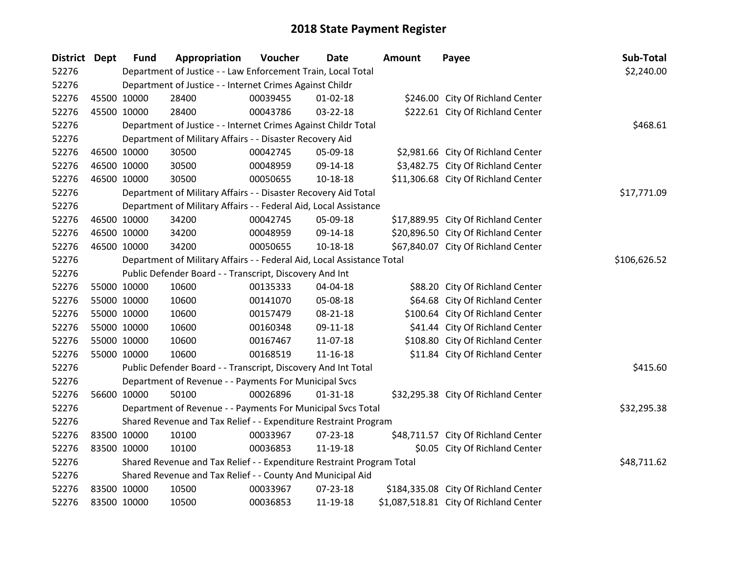| District Dept | <b>Fund</b>                                                     | Appropriation                                                          | Voucher  | <b>Date</b>    | <b>Amount</b> | Payee                                  | Sub-Total   |  |  |  |
|---------------|-----------------------------------------------------------------|------------------------------------------------------------------------|----------|----------------|---------------|----------------------------------------|-------------|--|--|--|
| 52276         |                                                                 | Department of Justice - - Law Enforcement Train, Local Total           |          |                |               |                                        | \$2,240.00  |  |  |  |
| 52276         |                                                                 | Department of Justice - - Internet Crimes Against Childr               |          |                |               |                                        |             |  |  |  |
| 52276         | 45500 10000                                                     | 28400                                                                  | 00039455 | $01 - 02 - 18$ |               | \$246.00 City Of Richland Center       |             |  |  |  |
| 52276         | 45500 10000                                                     | 28400                                                                  | 00043786 | 03-22-18       |               | \$222.61 City Of Richland Center       |             |  |  |  |
| 52276         |                                                                 | Department of Justice - - Internet Crimes Against Childr Total         |          |                |               |                                        | \$468.61    |  |  |  |
| 52276         |                                                                 | Department of Military Affairs - - Disaster Recovery Aid               |          |                |               |                                        |             |  |  |  |
| 52276         | 46500 10000                                                     | 30500                                                                  | 00042745 | 05-09-18       |               | \$2,981.66 City Of Richland Center     |             |  |  |  |
| 52276         | 46500 10000                                                     | 30500                                                                  | 00048959 | 09-14-18       |               | \$3,482.75 City Of Richland Center     |             |  |  |  |
| 52276         | 46500 10000                                                     | 30500                                                                  | 00050655 | 10-18-18       |               | \$11,306.68 City Of Richland Center    |             |  |  |  |
| 52276         |                                                                 | Department of Military Affairs - - Disaster Recovery Aid Total         |          |                |               |                                        | \$17,771.09 |  |  |  |
| 52276         |                                                                 | Department of Military Affairs - - Federal Aid, Local Assistance       |          |                |               |                                        |             |  |  |  |
| 52276         | 46500 10000                                                     | 34200                                                                  | 00042745 | 05-09-18       |               | \$17,889.95 City Of Richland Center    |             |  |  |  |
| 52276         | 46500 10000                                                     | 34200                                                                  | 00048959 | 09-14-18       |               | \$20,896.50 City Of Richland Center    |             |  |  |  |
| 52276         | 46500 10000                                                     | 34200                                                                  | 00050655 | 10-18-18       |               | \$67,840.07 City Of Richland Center    |             |  |  |  |
| 52276         |                                                                 | Department of Military Affairs - - Federal Aid, Local Assistance Total |          |                |               |                                        |             |  |  |  |
| 52276         |                                                                 | Public Defender Board - - Transcript, Discovery And Int                |          |                |               |                                        |             |  |  |  |
| 52276         | 55000 10000                                                     | 10600                                                                  | 00135333 | 04-04-18       |               | \$88.20 City Of Richland Center        |             |  |  |  |
| 52276         | 55000 10000                                                     | 10600                                                                  | 00141070 | 05-08-18       |               | \$64.68 City Of Richland Center        |             |  |  |  |
| 52276         | 55000 10000                                                     | 10600                                                                  | 00157479 | 08-21-18       |               | \$100.64 City Of Richland Center       |             |  |  |  |
| 52276         | 55000 10000                                                     | 10600                                                                  | 00160348 | 09-11-18       |               | \$41.44 City Of Richland Center        |             |  |  |  |
| 52276         | 55000 10000                                                     | 10600                                                                  | 00167467 | $11-07-18$     |               | \$108.80 City Of Richland Center       |             |  |  |  |
| 52276         | 55000 10000                                                     | 10600                                                                  | 00168519 | $11 - 16 - 18$ |               | \$11.84 City Of Richland Center        |             |  |  |  |
| 52276         |                                                                 | Public Defender Board - - Transcript, Discovery And Int Total          |          |                |               |                                        | \$415.60    |  |  |  |
| 52276         |                                                                 | Department of Revenue - - Payments For Municipal Svcs                  |          |                |               |                                        |             |  |  |  |
| 52276         | 56600 10000                                                     | 50100                                                                  | 00026896 | $01 - 31 - 18$ |               | \$32,295.38 City Of Richland Center    |             |  |  |  |
| 52276         |                                                                 | Department of Revenue - - Payments For Municipal Svcs Total            |          |                |               |                                        | \$32,295.38 |  |  |  |
| 52276         | Shared Revenue and Tax Relief - - Expenditure Restraint Program |                                                                        |          |                |               |                                        |             |  |  |  |
| 52276         | 83500 10000                                                     | 10100                                                                  | 00033967 | 07-23-18       |               | \$48,711.57 City Of Richland Center    |             |  |  |  |
| 52276         | 83500 10000                                                     | 10100                                                                  | 00036853 | 11-19-18       |               | \$0.05 City Of Richland Center         |             |  |  |  |
| 52276         |                                                                 | Shared Revenue and Tax Relief - - Expenditure Restraint Program Total  |          |                |               |                                        | \$48,711.62 |  |  |  |
| 52276         |                                                                 | Shared Revenue and Tax Relief - - County And Municipal Aid             |          |                |               |                                        |             |  |  |  |
| 52276         | 83500 10000                                                     | 10500                                                                  | 00033967 | 07-23-18       |               | \$184,335.08 City Of Richland Center   |             |  |  |  |
| 52276         | 83500 10000                                                     | 10500                                                                  | 00036853 | 11-19-18       |               | \$1,087,518.81 City Of Richland Center |             |  |  |  |